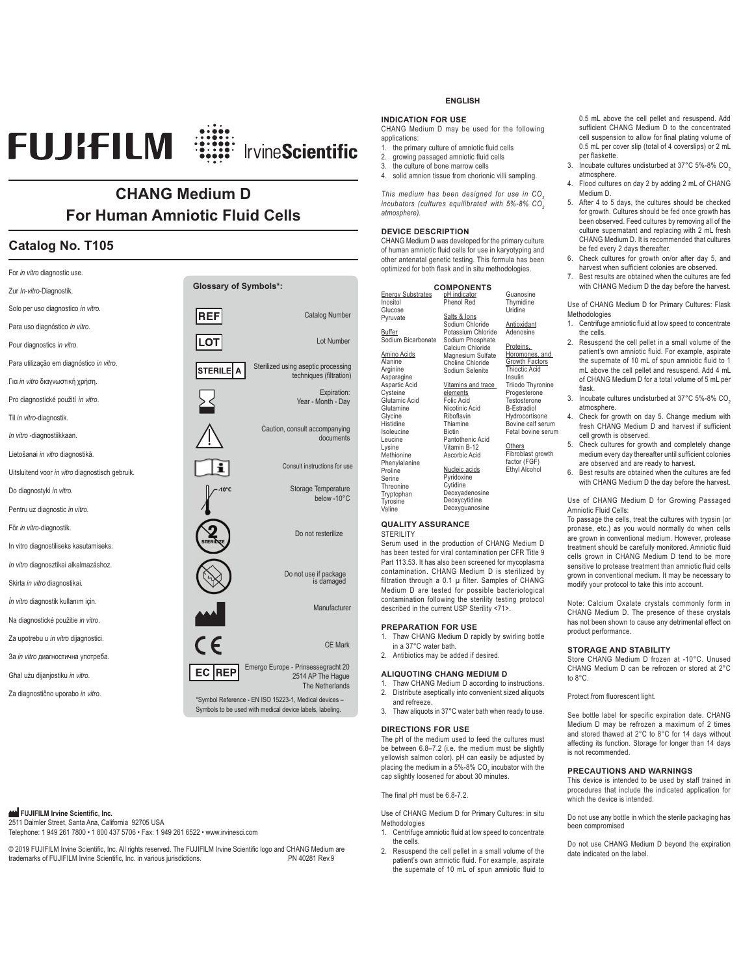# **FUJIFILM** : ::::::::::::::::::::::::::::::::

# **CHANG Medium D For Human Amniotic Fluid Cells**

# **Catalog No. T105**

| For in vitro diagnostic use.                    |                              |                                                                                                                                      |
|-------------------------------------------------|------------------------------|--------------------------------------------------------------------------------------------------------------------------------------|
| Zur In-vitro-Diagnostik.                        | <b>Glossary of Symbols*:</b> |                                                                                                                                      |
| Solo per uso diagnostico in vitro.              | <b>REF</b>                   | <b>Catalog Number</b>                                                                                                                |
| Para uso diagnóstico in vitro.                  |                              |                                                                                                                                      |
| Pour diagnostics in vitro.                      |                              | Lot Number                                                                                                                           |
| Para utilização em diagnóstico in vitro.        | <b>STERILE</b><br>А          | Sterilized using aseptic processing                                                                                                  |
| Για <i>in vitro</i> διαγνωστική χρήση.          |                              | techniques (filtration)                                                                                                              |
| Pro diagnostické použití in vitro.              |                              | Expiration:<br>Year - Month - Day                                                                                                    |
| Til in vitro-diagnostik.                        |                              |                                                                                                                                      |
| In vitro -diagnostiikkaan.                      |                              | Caution, consult accompanying<br>documents                                                                                           |
| Lietošanai in vitro diagnostikā.                |                              |                                                                                                                                      |
| Uitsluitend voor in vitro diagnostisch gebruik. |                              | Consult instructions for use                                                                                                         |
| Do diagnostyki in vitro.                        |                              | Storage Temperature<br>below -10°C                                                                                                   |
| Pentru uz diagnostic in vitro.                  |                              |                                                                                                                                      |
| För in vitro-diagnostik.                        |                              | Do not resterilize                                                                                                                   |
| In vitro diagnostiliseks kasutamiseks.          |                              |                                                                                                                                      |
| In vitro diagnosztikai alkalmazáshoz.           |                              | Do not use if package                                                                                                                |
| Skirta in vitro diagnostikai.                   |                              | is damaged                                                                                                                           |
| İn vitro diagnostik kullanım için.              |                              | Manufacturer                                                                                                                         |
| Na diagnostické použitie in vitro.              |                              |                                                                                                                                      |
| Za upotrebu u in vitro dijagnostici.            | $\epsilon$                   | <b>CE Mark</b>                                                                                                                       |
| За <i>in vitro диагностична употреба</i> .      |                              |                                                                                                                                      |
| Ghal użu dijanjostiku in vitro.                 | EC<br><b>REP</b>             | Emergo Europe - Prinsessegracht 20<br>2514 AP The Haque                                                                              |
| Za diagnostično uporabo in vitro.               |                              | The Netherlands<br>*Symbol Reference - EN ISO 15223-1, Medical devices -<br>Symbols to be used with medical device labels, labeling. |

# **PUJIFILM Irvine Scientific, Inc.**

2511 Daimler Street, Santa Ana, California 92705 USA Telephone: 1 949 261 7800 • 1 800 437 5706 • Fax: 1 949 261 6522 • www.irvinesci.com

© 2019 FUJIFILM Irvine Scientific, Inc. All rights reserved. The FUJIFILM Irvine Scientific logo and CHANG Medium are<br>trademarks of FUJIFILM Irvine Scientific. Inc. in various jurisdictions trademarks of FUJIFILM Irvine Scientific, Inc. in various jurisdictions.

# **ENGLISH**

# **INDICATION FOR USE**

CHANG Medium D may be used for the following applications:

- 1. the primary culture of amniotic fluid cells
- 2. growing passaged amniotic fluid cells<br>3. the culture of bone marrow cells

3. the culture of bone marrow cells<br>4 solid amnion tissue from chorion solid amnion tissue from chorionic villi sampling.

*This medium has been designed for use in CO2 incubators (cultures equilibrated with 5%-8% CO2 atmosphere).* 

# **DEVICE DESCRIPTION**

In<br>G

Buffer

CHANG Medium D was developed for the primary culture of human amniotic fluid cells for use in karyotyping and other antenatal genetic testing. This formula has been optimized for both flask and in situ methodologies.

| <b>COMPONENTS</b>        |                    |                      |  |
|--------------------------|--------------------|----------------------|--|
| <b>Energy Substrates</b> | pH indicator       | Guanosine            |  |
| Inositol                 | Phenol Red         | Thymidine            |  |
| Glucose                  |                    | Uridine              |  |
| Pyruvate                 | Salts & lons       |                      |  |
|                          | Sodium Chloride    | Antioxidant          |  |
| Buffer                   | Potassium Chloride | Adenosine            |  |
| Sodium Bicarbonate       | Sodium Phosphate   |                      |  |
|                          | Calcium Chloride   | Proteins,            |  |
| Amino Acids              | Magnesium Sulfate  | Horomones, and       |  |
| Alanine                  | Choline Chloride   | Growth Factors       |  |
| Arginine                 | Sodium Selenite    | <b>Thioctic Acid</b> |  |
| Asparagine               |                    | Insulin              |  |
| Aspartic Acid            | Vitamins and trace | Triiodo Thyronine    |  |
| Cysteine                 | elements           | Progesterone         |  |
| Glutamic Acid            | Folic Acid         | Testosterone         |  |
| Glutamine                | Nicotinic Acid     | <b>B-Estradiol</b>   |  |
| Glycine                  | Riboflavin         | Hydrocortisone       |  |
| Histidine                | Thiamine           | Bovine calf serum    |  |
| Isoleucine               | <b>Biotin</b>      | Fetal bovine serum   |  |
| Leucine                  | Pantothenic Acid   |                      |  |
| Lysine                   | Vitamin B-12       | Others               |  |
| Methionine               | Ascorbic Acid      | Fibroblast growth    |  |
| Phenylalanine            |                    | factor (FGF)         |  |
| Proline                  | Nucleic acids      | Ethyl Alcohol        |  |
| Serine                   | Pyridoxine         |                      |  |
| Threonine                | Cytidine           |                      |  |
| Tryptophan               | Deoxyadenosine     |                      |  |
| Tyrosine                 | Deoxycytidine      |                      |  |
| Valine                   | Deoxyguanosine     |                      |  |
|                          |                    |                      |  |

# **QUALITY ASSURANCE**

STERILITY

Serum used in the production of CHANG Medium D has been tested for viral contamination per CFR Title 9 Part 113.53. It has also been screened for mycoplasma contamination. CHANG Medium D is sterilized by filtration through a 0.1 μ filter. Samples of CHANG Medium D are tested for possible bacteriological contamination following the sterility testing protocol described in the current USP Sterility <71>.

#### **PREPARATION FOR USE**

1. Thaw CHANG Medium D rapidly by swirling bottle in a 37°C water bath. 2. Antibiotics may be added if desired.

- **ALIQUOTING CHANG MEDIUM D**  Thaw CHANG Medium D according to instructions. 2. Distribute aseptically into convenient sized aliquots
- and refreeze.
- 3. Thaw aliquots in 37°C water bath when ready to use.

# **DIRECTIONS FOR USE**

The pH of the medium used to feed the cultures must be between 6.8–7.2 (i.e. the medium must be slightly yellowish salmon color). pH can easily be adjusted by placing the medium in a 5%-8%  $CO_{2}$  incubator with the cap slightly loosened for about 30 minutes.

The final pH must be 6.8-7.2.

Use of CHANG Medium D for Primary Cultures: in situ Methodologies

1. Centrifuge amniotic fluid at low speed to concentrate the cells.

2. Resuspend the cell pellet in a small volume of the patient's own amniotic fluid. For example, aspirate the supernate of 10 mL of spun amniotic fluid to 0.5 mL above the cell pellet and resuspend. Add sufficient CHANG Medium D to the concentrated cell suspension to allow for final plating volume of 0.5 mL per cover slip (total of 4 coverslips) or 2 mL per flaskette.

- 3. Incubate cultures undisturbed at 37°C 5%-8% CO<sub>2</sub> atmosphere.
- 4. Flood cultures on day 2 by adding 2 mL of CHANG Medium D.
- 5. After 4 to 5 days, the cultures should be checked for growth. Cultures should be fed once growth has been observed. Feed cultures by removing all of the culture supernatant and replacing with 2 mL fresh CHANG Medium D. It is recommended that cultures be fed every 2 days thereafter.
- 6. Check cultures for growth on/or after day 5, and harvest when sufficient colonies are observed.
- 7. Best results are obtained when the cultures are fed with CHANG Medium D the day before the harvest.

Use of CHANG Medium D for Primary Cultures: Flask Methodologies

- 1. Centrifuge amniotic fluid at low speed to concentrate the cells.
- 2. Resuspend the cell pellet in a small volume of the patient's own amniotic fluid. For example, aspirate the supernate of 10 mL of spun amniotic fluid to 1 mL above the cell pellet and resuspend. Add 4 mL of CHANG Medium D for a total volume of 5 mL per flask.
- 3. Incubate cultures undisturbed at 37°C 5%-8% CO2 atmosphere.
- 4. Check for growth on day 5. Change medium with fresh CHANG Medium D and harvest if sufficient cell growth is observed.
- 5. Check cultures for growth and completely change medium every day thereafter until sufficient colonies are observed and are ready to harvest.
- 6. Best results are obtained when the cultures are fed with CHANG Medium D the day before the harvest.

Use of CHANG Medium D for Growing Passaged Amniotic Fluid Cells:

To passage the cells, treat the cultures with trypsin (or pronase, etc.) as you would normally do when cells are grown in conventional medium. However, protease treatment should be carefully monitored. Amniotic fluid cells grown in CHANG Medium D tend to be more sensitive to protease treatment than amniotic fluid cells grown in conventional medium. It may be necessary to modify your protocol to take this into account.

Note: Calcium Oxalate crystals commonly form in CHANG Medium D. The presence of these crystals has not been shown to cause any detrimental effect on product performance.

# **STORAGE AND STABILITY**

Store CHANG Medium D frozen at -10°C. Unused CHANG Medium D can be refrozen or stored at 2°C to 8°C.

Protect from fluorescent light.

See bottle label for specific expiration date. CHANG Medium D may be refrozen a maximum of 2 times and stored thawed at 2°C to 8°C for 14 days without affecting its function. Storage for longer than 14 days is not recommended.

# **PRECAUTIONS AND WARNINGS**

This device is intended to be used by staff trained in procedures that include the indicated application for which the device is intended.

Do not use any bottle in which the sterile packaging has been compromised

Do not use CHANG Medium D beyond the expiration date indicated on the label.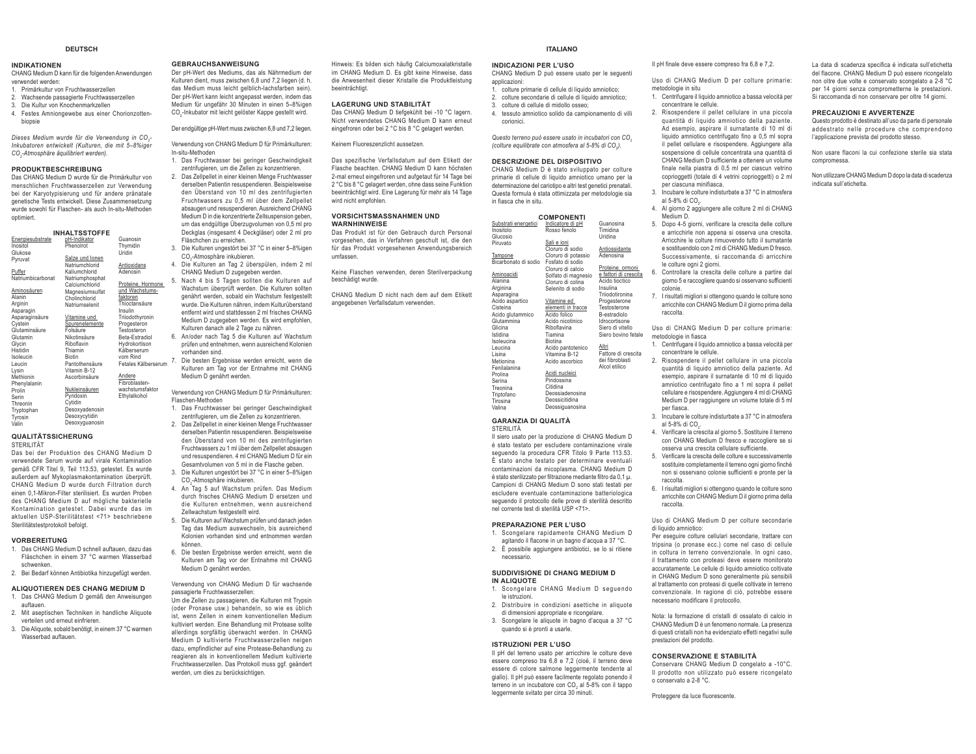#### **DEUTSCH**

#### **INDIKATIONEN**

 CHANG Medium D kann für die folgenden Anwendungen verwendet werden:

- 1. Primärkultur von Fruchtwasserzellen
- 2. Wachsende passagierte Fruchtwasserzellen 3. Die Kultur von Knochenmarkzellen
- 4. Festes Amniongewebe aus einer Chorionzotten-

biopsie

*Dieses Medium wurde für die Verwendung in CO2- Inkubatoren entwickelt (Kulturen, die mit 5–8%iger CO2-Atmosphäre äquilibriert werden).* 

## **PRODUKTBESCHREIBUNG**

 Das CHANG Medium D wurde für die Primärkultur von menschlichen Fruchtwasserzellen zur Verwendung bei der Karyotypisierung und für andere pränatale genetische Tests entwickelt. Diese Zusammensetzung wurde sowohl für Flaschen- als auch In-situ-Methoden optimiert.

Hormone

|                   | <b>INHALTSSTOFFE</b> |                  |
|-------------------|----------------------|------------------|
| Energiesubstrate  | pH-Indikator         | Guanosin         |
| Inositol          | PhenoIrot            | Thymidin         |
| Glukose           |                      | Uridin           |
| Pyruvat           | Salze und Ionen      |                  |
|                   | Natriumchlorid       | Antioxidans      |
| Puffer            | Kaliumchlorid        | Adenosin         |
| Natriumbicarbonat | Natriumphosphat      |                  |
|                   | Calciumchlorid       | Proteine, Hormo  |
| Aminosäuren       | Magnesiumsulfat      | und Wachstums-   |
| Alanin            | Cholinchlorid        | faktoren         |
| Arginin           | Natriumselenit       | Thioctansäure    |
| Asparagin         |                      | Insulin          |
| Asparaginsäure    | Vitamine und         | Triiodothyronin  |
| Cystein           | Spurenelemente       | Progesteron      |
| Glutaminsäure     | Folsäure             | Testosteron      |
| Glutamin          | Nikotinsäure         | Beta-Estradiol   |
| Glycin            | Riboflavin           | Hydrokortison    |
| Histidin          | Thiamin              | Kälberserum      |
| Isoleucin         | <b>Biotin</b>        | vom Rind         |
| Leucin            | Pantothensäure       | Fetales Kälberse |
| Lysin             | Vitamin B-12         |                  |
| Methionin         | Ascorbinsäure        | Andere           |
| Phenylalanin      |                      | Fibroblasten-    |
| Prolin            | Nukleinsäuren        | wachstumsfaktor  |
| Serin             | Pyridoxin            | Ethylalkohol     |
| Threonin          | Cytidin              |                  |
| Tryptophan        | Desoxyadenosin       |                  |
| Tyrosin           | Desoxycytidin        |                  |
| Valin             | Desoxyguanosin       |                  |

#### **QUALITÄTSSICHERUNG**STERILITÄT

 Das bei der Produktion des CHANG Medium D verwendete Serum wurde auf virale Kontamination gemäß CFR Titel 9, Teil 113.53, getestet. Es wurde außerdem auf Mykoplasmakontamination überprüft. CHANG Medium D wurde durch Filtration durch einen 0,1-Mikron-Filter sterilisiert. Es wurden Proben des CHANG Medium D auf mögliche bakterielle Kontamination getestet. Dabei wurde das im aktuellen USP-Sterilitätstest <71> beschriebene Sterilitätstestprotokoll befolgt.

## **VORBEREITUNG**

- 1. Das CHANG Medium D schnell auftauen, dazu das Fläschchen in einem 37 °C warmen Wasserbad schwenken.
- 2. Bei Bedarf können Antibiotika hinzugefügt werden.

# **ALIQUOTIEREN DES CHANG MEDIUM D**

- 1. Das CHANG Medium D gemäß den Anweisungen auftauen. 2. Mit aseptischen Techniken in handliche Aliquote
- verteilen und erneut einfrieren. 3. Die Aliquote, sobald benötigt, in einem 37 °C warmen
- Wasserhad auftauen.

#### **GEBRAUCHSANWEISUNG**

 Der pH-Wert des Mediums, das als Nährmedium der Kulturen dient, muss zwischen 6,8 und 7,2 liegen (d. h. das Medium muss leicht gelblich-lachsfarben sein). Der pH-Wert kann leicht angepasst werden, indem das Medium für ungefähr 30 Minuten in einen 5–8%igen CO<sub>-</sub>Inkubator mit leicht gelöster Kappe gestellt wird.

Der endgültige pH-Wert muss zwischen 6,8 und 7,2 liegen.

Verwendung von CHANG Medium D für Primärkulturen: In-situ-Methoden

- 1. Das Fruchtwasser bei geringer Geschwindigkeit zentrifugieren, um die Zellen zu konzentrieren.
- 2. Das Zellpellet in einer kleinen Menge Fruchtwasser derselben Patientin resuspendieren. Beispielsweise den Überstand von 10 ml des zentrifugierten Fruchtwassers zu 0,5 ml über dem Zellpellet absaugen und resuspendieren. Ausreichend CHANG Medium D in die konzentrierte Zellsuspension geben, um das endgültige Überzugvolumen von 0,5 ml pro Deckglas (insgesamt 4 Deckgläser) oder 2 ml pro Fläschchen zu erreichen.
- 3. Die Kulturen ungestört bei 37 °C in einer 5–8%igen CO2-Atmosphäre inkubieren. 4. Die Kulturen an Tag 2 überspülen, indem 2 ml
- CHANG Medium D zugegeben werden. 5. Nach 4 bis 5 Tagen sollten die Kulturen auf

Wachstum überprüft werden. Die Kulturen sollten genährt werden, sobald ein Wachstum festgestellt wurde. Die Kulturen nähren, indem Kulturüberstand entfernt wird und stattdessen 2 ml frisches CHANG Medium D zugegeben werden. Es wird empfohlen, Kulturen danach alle 2 Tage zu nähren. 6. An/oder nach Tag 5 die Kulturen auf Wachstum

- prüfen und entnehmen, wenn ausreichend Kolonien vorhanden sind.
- Fetales Kälberserum 7. Die besten Ergebnisse werden erreicht, wenn die Kulturen am Tag vor der Entnahme mit CHANG Medium D genährt werden.

Verwendung von CHANG Medium D für Primärkulturen: Flaschen-Methoden

- 1. Das Fruchtwasser bei geringer Geschwindigkeit zentrifugieren, um die Zellen zu konzentrieren.
- 2. Das Zellpellet in einer kleinen Menge Fruchtwasser derselben Patientin resuspendieren. Beispielsweise den Überstand von 10 ml des zentrifugierten Fruchtwassers zu 1 ml über dem Zellpellet absaugen und resuspendieren. 4 ml CHANG Medium D für ein Gesamtvolumen von 5 ml in die Flasche geben.
- 3. Die Kulturen ungestört bei 37 °C in einer 5–8%igen CO2-Atmosphäre inkubieren.
- 4. An Tag 5 auf Wachstum prüfen. Das Medium durch frisches CHANG Medium D ersetzen und die Kulturen entnehmen, wenn ausreichend Zellwachstum festgestellt wird.
- 5. Die Kulturen auf Wachstum prüfen und danach jeden Tag das Medium auswechseln, bis ausreichend Kolonien vorhanden sind und entnommen werden können.
- 6. Die besten Ergebnisse werden erreicht, wenn die Kulturen am Tag vor der Entnahme mit CHANG Medium D genährt werden.

Verwendung von CHANG Medium D für wachsende passagierte Fruchtwasserzellen:

Um die Zellen zu passagieren, die Kulturen mit Trypsin (oder Pronase usw.) behandeln, so wie es üblich ist, wenn Zellen in einem konventionellen Medium kultiviert werden. Eine Behandlung mit Protease sollte allerdings sorgfältig überwacht werden. In CHANG Medium D kultivierte Fruchtwasserzellen neigen dazu, empfindlicher auf eine Protease-Behandlung zu reagieren als in konventionellem Medium kultivierte Fruchtwasserzellen. Das Protokoll muss ggf. geändert werden, um dies zu berücksichtigen.

Hinweis: Es bilden sich häufig Calciumoxalatkristalle im CHANG Medium D. Es gibt keine Hinweise, dass die Anwesenheit dieser Kristalle die Produktleistung beeinträchtigt.

#### **LAGERUNG UND STABILITÄT**

 Das CHANG Medium D tiefgekühlt bei -10 °C lagern. Nicht verwendetes CHANG Medium D kann erneut eingefroren oder bei 2 °C bis 8 °C gelagert werden.

Keinem Fluoreszenzlicht aussetzen.

Das spezifische Verfallsdatum auf dem Etikett der Flasche beachten. CHANG Medium D kann höchsten 2-mal erneut eingefroren und aufgetaut für 14 Tage bei 2 °C bis 8 °C gelagert werden, ohne dass seine Funktion beeinträchtigt wird. Eine Lagerung für mehr als 14 Tage wird nicht empfohlen.

#### **VORSICHTSMASSNAHMEN UND WARNHINWEISE**

 Das Produkt ist für den Gebrauch durch Personal vorgesehen, das in Verfahren geschult ist, die den für das Produkt vorgesehenen Anwendungsbereich umfassen.

Keine Flaschen verwenden, deren Sterilverpackung beschädigt wurde.

CHANG Medium D nicht nach dem auf dem Etikett angegebenen Verfallsdatum verwenden.

# **ITALIANO**

#### **INDICAZIONI PER L'USO**

- CHANG Medium D può essere usato per le seguenti applicazioni:
- colture primarie di cellule di liquido amniotico; 2. colture secondarie di cellule di liquido amniotico;
- colture di cellule di midollo osseo;
- 4. tessuto amniotico solido da campionamento di villi corionici.

*Questo terreno può essere usato in incubatori con CO2(colture equilibrate con atmosfera al 5-8% di CO<sub>2</sub>).* 

primarie di cellule di liquido amniotico umano per la determinazione del cariotipo e altri test genetici prenatali. Questa formula è stata ottimizzata per metodologie sia

#### **DESCRIZIONE DEL DISPOSITIVO** CHANG Medium D è stato sviluppato per colture

InositoloGlucosio

#### in fiasca che in situ. **COMPONENTI**Substrati energetici Indicatore di pH Rosso fenoloSali e ioniGuanosinaTimidina Uridina

| Piruvato             | Sali e ioni         |                       |
|----------------------|---------------------|-----------------------|
|                      | Cloruro di sodio    | Antiossidante         |
| Tampone              | Cloruro di potassio | Adenosina             |
| Bicarbonato di sodio | Fosfato di sodio    |                       |
|                      | Cloruro di calcio   | Proteine, ormoni      |
| Aminoacidi           | Solfato di magnesio | e fattori di crescita |
| Alanina              | Cloruro di colina   | Acido tioctico        |
| Arginina             | Selenito di sodio   | Insulina              |
| Asparagina           |                     | Triiodotironina       |
| Acido aspartico      | Vitamine ed         | Progesterone          |
| Cisteina             | elementi in tracce  | Testosterone          |
| Acido glutammico     | Acido folico        | B-estradiolo          |
| Glutammina           | Acido nicotinico    | Idrocortisone         |
| Glicina              | Riboflavina         | Siero di vitello      |
| Istidina             | Tiamina             | Siero bovino fetale   |
| Isoleucina           | <b>Biotina</b>      |                       |
| Leucina              | Acido pantotenico   | Altri                 |
| Lisina               | Vitamina B-12       | Fattore di crescita   |
| Metionina            | Acido ascorbico     | dei fibroblasti       |
| Fenilalanina         |                     | Alcol etilico         |
| Prolina              | Acidi nucleici      |                       |
| Serina               | Piridossina         |                       |
| Treonina             | Citidina            |                       |
| Triptofano           | Deossiadenosina     |                       |
| Tirosina             | Deossicitidina      |                       |
| Valina               | Deossiguanosina     |                       |
|                      |                     |                       |

#### **GARANZIA DI QUALITÀ**STERILITÀ

 Il siero usato per la produzione di CHANG Medium D è stato testato per escludere contaminazione virale seguendo la procedura CFR Titolo 9 Parte 113.53. È stato anche testato per determinare eventuali contaminazioni da micoplasma. CHANG Medium D è stato sterilizzato per filtrazione mediante filtro da 0,1 μ. Campioni di CHANG Medium D sono stati testati per escludere eventuale contaminazione batteriologica seguendo il protocollo delle prove di sterilità descritto nel corrente test di sterilità USP <71>.

#### **PREPARAZIONE PER L'USO**

- 1. Scongelare rapidamente CHANG Medium D agitando il flacone in un bagno d'acqua a 37 °C.
- 2. È possibile aggiungere antibiotici, se lo si ritiene necessario.

#### **SUDDIVISIONE DI CHANG MEDIUM D IN ALIQUOTE**

- 1. Scongelare CHANG Medium D seguendo le istruzioni.
- 2. Distribuire in condizioni asettiche in aliquote di dimensioni appropriate e ricongelare.
- 3. Scongelare le aliquote in bagno d'acqua a 37 °C quando si è pronti a usarle.

#### **ISTRUZIONI PER L'USO**

 Il pH del terreno usato per arricchire le colture deve essere compreso tra 6,8 e 7,2 (cioè, il terreno deve essere di colore salmone leggermente tendente al giallo). Il pH può essere facilmente regolato ponendo il terreno in un incubatore con CO<sub>2</sub> al 5-8% con il tappo leggermente svitato per circa 30 minuti.

Il pH finale deve essere compreso fra 6,8 e 7,2.

Uso di CHANG Medium D per colture primarie: metodologie in situ

- 1. Centrifugare il liquido amniotico a bassa velocità per concentrare le cellule.
- 2. Risospendere il pellet cellulare in una piccola quantità di liquido amniotico della paziente. Ad esempio, aspirare il surnatante di 10 ml di liquido amniotico centrifugato fino a 0,5 ml sopra il pellet cellulare e risospendere. Aggiungere alla sospensione di cellule concentrata una quantità di CHANG Medium D sufficiente a ottenere un volume finale nella piastra di 0,5 ml per ciascun vetrino coprioggetti (totale di 4 vetrini coprioggetti) o 2 ml per ciascuna minifiasca.
- 3. Incubare le colture indisturbate a 37 °C in atmosfera al 5-8% di CO<sub>2</sub>.
- 4. Al giorno 2 aggiungere alle colture 2 ml di CHANG Medium D.
- 5. Dopo 4-5 giorni, verificare la crescita delle colture e arricchirle non appena si osserva una crescita. Arricchire le colture rimuovendo tutto il surnatante e sostituendolo con 2 ml di CHANG Medium D fresco. Successivamente, si raccomanda di arricchire le colture ogni 2 giorni.
- 6. Controllare la crescita delle colture a partire dal giorno 5 e raccogliere quando si osservano sufficienti colonie.
- 7. I risultati migliori si ottengono quando le colture sono arricchite con CHANG Medium D il giorno prima della raccolta.

Uso di CHANG Medium D per colture primarie: metodologie in fiasca

- 1. Centrifugare il liquido amniotico a bassa velocità per concentrare le cellule.
- 2. Risospendere il pellet cellulare in una piccola quantità di liquido amniotico della paziente. Ad esempio, aspirare il surnatante di 10 ml di liquido amniotico centrifugato fino a 1 ml sopra il pellet cellulare e risospendere. Aggiungere 4 ml di CHANG Medium D per raggiungere un volume totale di 5 ml per fiasca.
- 3. Incubare le colture indisturbate a 37 °C in atmosfera al 5-8% di CO<sub>2</sub>.
- 4. Verificare la crescita al giorno 5. Sostituire il terreno con CHANG Medium D fresco e raccogliere se si osserva una crescita cellulare sufficiente.
- 5. Verificare la crescita delle colture e successivamente sostituire completamente il terreno ogni giorno finché non si osservano colonie sufficienti e pronte per la raccolta.
- 6. I risultati migliori si ottengono quando le colture sono arricchite con CHANG Medium D il giorno prima della raccolta.

Uso di CHANG Medium D per colture secondarie di liquido amniotico:

Per eseguire colture cellulari secondarie, trattare con tripsina (o pronase ecc.) come nel caso di cellule in coltura in terreno convenzionale. In ogni caso, il trattamento con proteasi deve essere monitorato accuratamente. Le cellule di liquido amniotico coltivate in CHANG Medium D sono generalmente più sensibili al trattamento con proteasi di quelle coltivate in terreno convenzionale. In ragione di ciò, potrebbe essere necessario modificare il protocollo.

Nota: la formazione di cristalli di ossalato di calcio in CHANG Medium D è un fenomeno normale. La presenza di questi cristalli non ha evidenziato effetti negativi sulle prestazioni del prodotto.

#### **CONSERVAZIONE E STABILITÀ**

 Conservare CHANG Medium D congelato a -10°C. Il prodotto non utilizzato può essere ricongelato o conservato a 2-8 °C.

Proteggere da luce fluorescente.

La data di scadenza specifica è indicata sull'etichetta del flacone. CHANG Medium D può essere ricongelato non oltre due volte e conservato scongelato a 2-8 °C per 14 giorni senza comprometterne le prestazioni. Si raccomanda di non conservare per oltre 14 giorni.

#### **PRECAUZIONI E AVVERTENZE**

 Questo prodotto è destinato all'uso da parte di personale addestrato nelle procedure che comprendono l'applicazione prevista del prodotto stesso.

Non usare flaconi la cui confezione sterile sia stata compromessa.

Non utilizzare CHANG Medium D dopo la data di scadenza indicata sull'etichetta.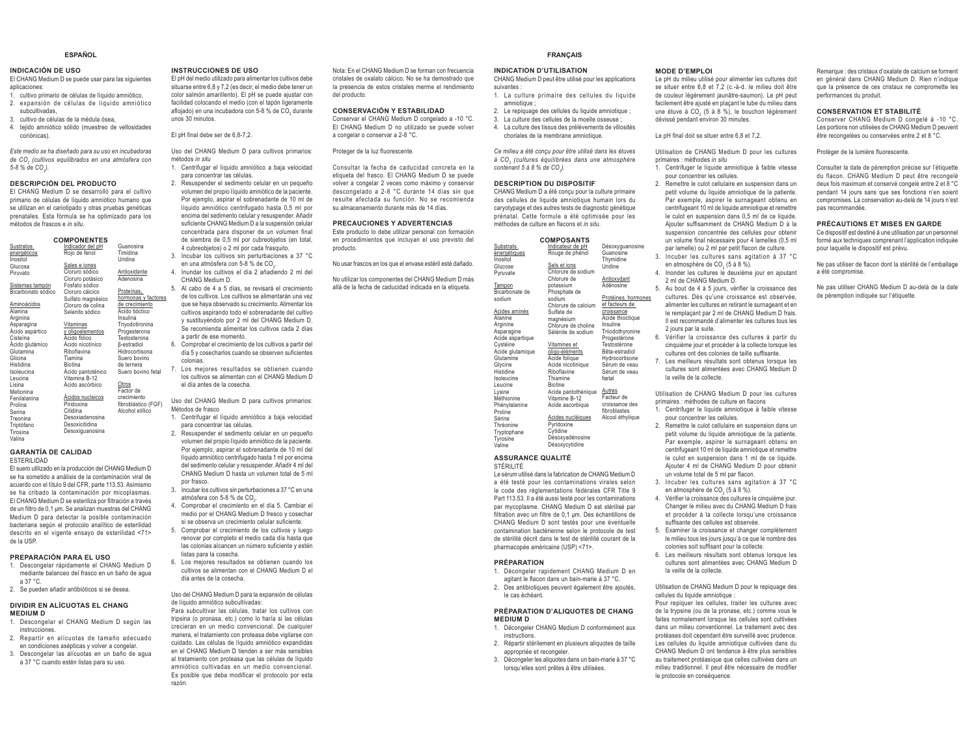#### **ESPAÑOL**

# **INDICACIÓN DE USO**

 El CHANG Medium D se puede usar para las siguientes aplicaciones:

- cultivo primario de células de líquido amniótico, 2. expansión de células de líquido amniótico subcultivadas,
- 3. cultivo de células de la médula ósea,
- 4. tejido amniótico sólido (muestreo de vellosidades coriónicas).

*Este medio se ha diseñado para su uso en incubadoras de CO2 (cultivos equilibrados en una atmósfera con 5-8 % de CO2).* 

#### **DESCRIPCIÓN DEL PRODUCTO**

 El CHANG Medium D se desarrolló para el cultivo primario de células de líquido amniótico humano que se utilizan en el cariotipado y otras pruebas genéticas prenatales. Esta fórmula se ha optimizado para los métodos de frascos e *in situ*.

|                        | <b>COMPONENTES</b>              |                                       |  |
|------------------------|---------------------------------|---------------------------------------|--|
| Sustratos              | Indicador del pH                | Guanosina                             |  |
| energéticos            | Rojo de fenol                   | Timidina                              |  |
| Inositol               |                                 | Uridina                               |  |
| Glucosa                | Sales e iones<br>Cloruro sódico |                                       |  |
| Piruvato               |                                 | Antioxidante                          |  |
|                        | Cloruro potásico                | Adenosina                             |  |
| Sistemas tampón        | Fosfato sódico                  | Proteínas,                            |  |
| Bicarbonato sódico     | Cloruro cálcico                 |                                       |  |
|                        | Sulfato magnésico               | hormonas y factores<br>de crecimiento |  |
| Aminoácidos<br>Alanina | Cloruro de colina               | Ácido tióctico                        |  |
|                        | Selenito sódico                 | Insulina                              |  |
| Arginina               |                                 |                                       |  |
| Asparagina             | Vitaminas                       | Triyodotironina                       |  |
| Ácido aspártico        | y oligoelementos                | Progesterona                          |  |
| Cisteína               | Ácido fólico                    | Testosterona                          |  |
| Acido glutámico        | Acido nicotínico                | <b>B-estradiol</b>                    |  |
| Glutamina              | Riboflavina                     | Hidrocortisona                        |  |
| Glicina                | Tiamina                         | Suero bovino                          |  |
| Histidina              | <b>Biotina</b>                  | de ternera                            |  |
| Isoleucina             | Acido pantoténico               | Suero bovino fetal                    |  |
| Leucina                | Vitamina B-12                   |                                       |  |
| Lisina                 | Ácido ascórbico                 | Otros                                 |  |
| Metionina              |                                 | Factor de                             |  |
| Fenilalanina           | Acidos nucleicos                | crecimiento                           |  |
| Prolina                | Piridoxina                      | fibroblástico (FGF)                   |  |
| Serina                 | Citidina                        | Alcohol etílico                       |  |
| Treonina               | Desoxiadenosina                 |                                       |  |
| Triptófano             | Desoxicitidina                  |                                       |  |
| Tirosina               | Desoxiquanosina                 |                                       |  |
| Valina                 |                                 |                                       |  |

# **GARANTÍA DE CALIDAD**

ESTERILIDAD

 El suero utilizado en la producción del CHANG Medium D se ha sometido a análisis de la contaminación viral de acuerdo con el título 9 del CFR, parte 113.53. Asimismo se ha cribado la contaminación por micoplasmas. El CHANG Medium D se esteriliza por filtración a través de un filtro de 0.1 um. Se analizan muestras del CHANG Medium D para detectar la posible contaminación bacteriana según el protocolo analítico de esterilidad descrito en el vigente ensayo de esterilidad <71> de la USP.

# **PREPARACIÓN PARA EL USO**

- 1. Descongelar rápidamente el CHANG Medium D mediante balanceo del frasco en un baño de agua a 37 °C.
- 2. Se pueden añadir antibióticos si se desea.

#### **DIVIDIR EN ALÍCUOTAS EL CHANG MEDIUM D**

- 1. Descongelar el CHANG Medium D según las instrucciones. 2. Repartir en alícuotas de tamaño adecuado
- en condiciones asépticas y volver a congelar. 3. Descongelar las alícuotas en un baño de agua
	- a 37 °C cuando estén listas para su uso.

#### **INSTRUCCIONES DE USO**

 El pH del medio utilizado para alimentar los cultivos debe situarse entre 6,8 y 7,2 (es decir, el medio debe tener un color salmón amarillento). El pH se puede ajustar con facilidad colocando el medio (con el tapón ligeramente aflojado) en una incubadora con 5-8 % de CO<sub>2</sub> durante unos 30 minutos.

El pH final debe ser de 6,8-7,2.

Uso del CHANG Medium D para cultivos primarios: métodos *in situ*

1. Centrifugar el líquido amniótico a baja velocidad para concentrar las células.

2. Resuspender el sedimento celular en un pequeño volumen del propio líquido amniótico de la paciente. Por ejemplo, aspirar el sobrenadante de 10 ml de líquido amniótico centrifugado hasta 0.5 ml nor encima del sedimento celular y resuspender. Añadir suficiente CHANG Medium D a la suspensión celular concentrada para disponer de un volumen final de siembra de 0,5 ml por cubreobjetos (en total, 4 cubreobjetos) o 2 ml por cada frasquito.

- 3. Incubar los cultivos sin perturbaciones a 37 °C en una atmósfera con 5-8 % de CO<sub>2</sub>.
- 4. Inundar los cultivos el día 2 añadiendo 2 ml del CHANG Medium D.
- 5. Al cabo de 4 a 5 días, se revisará el crecimiento de los cultivos. Los cultivos se alimentarán una vez que se haya observado su crecimiento. Alimentar los cultivos aspirando todo el sobrenadante del cultivo y sustituyéndolo por 2 ml del CHANG Medium D. Se recomienda alimentar los cultivos cada 2 días a partir de ese momento.
- 6. Comprobar el crecimiento de los cultivos a partir del día 5 v cosecharlos cuando se observen suficientes colonias.
- 7. Los mejores resultados se obtienen cuando los cultivos se alimentan con el CHANG Medium D el día antes de la cosecha.

Uso del CHANG Medium D para cultivos primarios: Métodos de frasco

- 1. Centrifugar el líquido amniótico a baja velocidad para concentrar las células.
- 2. Resuspender el sedimento celular en un pequeño volumen del propio líquido amniótico de la paciente. Por ejemplo, aspirar el sobrenadante de 10 ml del líquido amniótico centrifugado hasta 1 ml por encima del sedimento celular y resuspender. Añadir 4 ml del CHANG Medium D hasta un volumen total de 5 ml por frasco.
- 3. Incubar los cultivos sin perturbaciones a 37 °C en una atmósfera con 5-8 % de CO<sub>2</sub>.
- 4. Comprobar el crecimiento en el día 5. Cambiar el medio por el CHANG Medium D fresco y cosechar si se observa un crecimiento celular suficiente.
- 5. Comprobar el crecimiento de los cultivos y luego renovar por completo el medio cada día hasta que las colonias alcancen un número suficiente y estén listas para la cosecha.
- 6. Los mejores resultados se obtienen cuando los cultivos se alimentan con el CHANG Medium D el día antes de la cosecha

Uso del CHANG Medium D para la expansión de células de líquido amniótico subcultivadas:

Para subcultivar las células, tratar los cultivos con tripsina (o pronasa, etc.) como lo haría si las células crecieran en un medio convencional. De cualquier manera, el tratamiento con proteasa debe vigilarse con cuidado. Las células de líquido amniótico expandidas en el CHANG Medium D tienden a ser más sensibles al tratamiento con proteasa que las células de líquido amniótico cultivadas en un medio convencional. Es posible que deba modificar el protocolo por esta razón.

Nota: En el CHANG Medium D se forman con frecuencia cristales de oxalato cálcico. No se ha demostrado que la presencia de estos cristales merme el rendimiento del producto.

# **CONSERVACIÓN Y ESTABILIDAD**

 Conservar el CHANG Medium D congelado a -10 °C. El CHANG Medium D no utilizado se puede volver a congelar o conservar a 2-8 °C.

Proteger de la luz fluorescente.

Consultar la fecha de caducidad concreta en la etiqueta del frasco. El CHANG Medium D se puede volver a congelar 2 veces como máximo y conservar descongelado a 2-8 °C durante 14 días sin que resulte afectada su función. No se recomienda su almacenamiento durante más de 14 días

producto.

No usar frascos en los que el envase estéril esté dañado.

No utilizar los componentes del CHANG Medium D más allá de la fecha de caducidad indicada en la etiqueta.

#### **FRANÇAIS**

#### **INDICATION D'UTILISATION**

CHANG Medium D peut être utilisé pour les applications

suivantes :

- 1. La culture primaire des cellules du liquide amniotique ;
- 2. Le repiquage des cellules du liquide amniotique :
- 3. La culture des cellules de la moelle osseuse ; 4. La culture des tissus des prélèvements de villosités
- choriales de la membrane amniotique. *Ce milieu a été conçu pour être utilisé dans les étuves*

 $content 5 à 8 % de CO.$ **DESCRIPTION DU DISPOSITIF**  CHANG Medium D a été conçu pour la culture primaire des cellules de liquide amniotique humain lors du caryotypage et des autres tests de diagnostic génétique prénatal. Cette formule a été optimisée pour les méthodes de culture en flacons et *in situ*.

*à CO2 (cultures équilibrées dans une atmosphère* 

#### **PRECAUCIONES Y ADVERTENCIAS**

 Este producto lo debe utilizar personal con formación en procedimientos que incluyan el uso previsto del

| Substrats                | <b>COMPOSANTS</b>                                      |                              |
|--------------------------|--------------------------------------------------------|------------------------------|
|                          | Indicateur de pH                                       | Désoxyguanosine<br>Guanosine |
| énergétiques<br>Inositol | Rouge de phénol                                        | Thymidine                    |
| Glucose                  | Sels et ions                                           | Uridine                      |
|                          | Chlorure de sodium                                     |                              |
| Pyruvate                 | Chlorure de                                            | Antioxydant                  |
| Tampon                   | potassium                                              | Adénosine                    |
| Bicarbonate de           | Phosphate de                                           |                              |
| sodium                   | sodium                                                 | Protéines, hormor            |
|                          | Chlorure de calcium                                    | et facteurs de               |
| Acides aminés            | Sulfate de                                             | croissance                   |
| Alanine                  | magnésium                                              | Acide thioctique             |
| Arginine                 | Chlorure de choline                                    | Insuline                     |
| Asparagine               | Sélénite de sodium                                     | Triiodothyronine             |
| Acide aspartique         |                                                        | Progestérone                 |
| Cystéine                 | Vitamines et                                           | Testostérone                 |
| Acide glutamique         | oligo-éléments                                         | Bêta-estradiol               |
| Glutamine                | Acide folique                                          | Hydrocortisone               |
| Glycine                  | Acide nicotinique                                      | Sérum de veau                |
| Histidine                | Riboflavine                                            | Sérum de veau                |
| Isoleucine               | Thiamine                                               | fœtal                        |
| Leucine                  | <b>Biotine</b>                                         |                              |
| Lysine                   | Acide pantothénique                                    | Autres                       |
| Méthionine               | Vitamine B-12                                          | Facteur de                   |
| Phénylalanine            | Acide ascorbique                                       | croissance des               |
| Proline                  |                                                        | fibroblastes                 |
| Sérine                   | Acides nucléiques                                      | Alcool éthylique             |
| Thréonine                | Pyridoxine                                             |                              |
| Tryptophane              | Cytidine                                               |                              |
| Tyrosine                 | Désoxyadénosine                                        |                              |
| Valine                   | Désoxycytidine                                         |                              |
| ASSURANCE QUALITÉ        |                                                        |                              |
| STÉRILITÉ                |                                                        |                              |
|                          | Le sérum utilisé dans la fabrication de CHANG Medium D |                              |
|                          | a été testé pour les contaminations virales selon      |                              |
|                          | le code des réglementations fédérales CER Title 9      |                              |
|                          |                                                        |                              |

a été testé pour les contaminations virales selon le code des réglementations fédérales CFR Title 9 Part 113.53. Il a été aussi testé pour les contaminations par mycoplasme. CHANG Medium D est stérilisé par filtration avec un filtre de 0,1 µm. Des échantillons de CHANG Medium D sont testés pour une éventuelle contamination bactérienne selon le protocole de test de stérilité décrit dans le test de stérilité courant de la pharmacopée américaine (USP) <71>.

#### **PRÉPARATION**

- 1. Décongeler rapidement CHANG Medium D en agitant le flacon dans un bain-marie à 37 °C.
- 2. Des antibiotiques peuvent également être ajoutés, le cas échéant.

#### **PRÉPARATION D'ALIQUOTES DE CHANG MEDIUM D**

- 1. Décongeler CHANG Medium D conformément aux instructions.
- 2. Répartir stérilement en plusieurs aliquotes de taille appropriée et recongeler.
- 3. Décongeler les aliquotes dans un bain-marie à 37 °C lorsqu'elles sont prêtes à être utilisées.

#### **MODE D'EMPLOI**

 Le pH du milieu utilisé pour alimenter les cultures doit se situer entre 6,8 et 7,2 (c.-à-d. le milieu doit être de couleur légèrement jaunâtre-saumon). Le pH peut facilement être ajusté en plaçant le tube du milieu dans une étuve à  $CO<sub>2</sub>$  (5 à 8 %), le bouchon légèrement dévissé pendant environ 30 minutes.

Le pH final doit se situer entre 6,8 et 7,2.

Utilisation de CHANG Medium D pour les cultures primaires : méthodes *in situ*

- 1. Centrifuger le liquide amniotique à faible vitesse pour concentrer les cellules.
- 2. Remettre le culot cellulaire en suspension dans un petit volume du liquide amniotique de la patiente. Par exemple, aspirer le surnageant obtenu en centrifugeant 10 ml de liquide amniotique et remettre le culot en suspension dans 0,5 ml de ce liquide. Ajouter suffisamment de CHANG Medium D à la suspension concentrée des cellules pour obtenir un volume final nécessaire pour 4 lamelles (0,5 ml
- par lamelle) ou 2 ml par petit flacon de culture. 3. Incuber les cultures sans agitation à 37 °C en atmosphère de CO<sub>2</sub> (5 à 8 %).
- 4. Inonder les cultures le deuxième jour en ajoutant 2 ml de CHANG Medium D.
- Protéines, hormones cultures. Dès qu'une croissance est observée, 5. Au bout de 4 à 5 jours, vérifier la croissance des alimenter les cultures en retirant le surnageant et en le remplaçant par 2 ml de CHANG Medium D frais. Il est recommandé d'alimenter les cultures tous les 2 jours par la suite.
	- 6. Vérifier la croissance des cultures à partir du cinquième jour et procéder à la collecte lorsque les cultures ont des colonies de taille suffisante.
	- 7. Les meilleurs résultats sont obtenus lorsque les cultures sont alimentées avec CHANG Medium D la veille de la collecte.

Utilisation de CHANG Medium D pour les cultures primaires : méthodes de culture en flacons

- 1. Centrifuger le liquide amniotique à faible vitesse pour concentrer les cellules.
- 2. Remettre le culot cellulaire en suspension dans un petit volume du liquide amniotique de la patiente. Par exemple, aspirer le surnageant obtenu en centrifugeant 10 ml de liquide amniotique et remettre le culot en suspension dans 1 ml de ce liquide. Ajouter 4 ml de CHANG Medium D pour obtenir un volume total de 5 ml par flacon.
- 3. Incuber les cultures sans agitation à 37 °C en atmosphère de CO<sub>2</sub> (5 à 8 %).
- 4. Vérifier la croissance des cultures le cinquième jour. Changer le milieu avec du CHANG Medium D frais et procéder à la collecte lorsqu'une croissance suffisante des cellules est observée.
- 5. Examiner la croissance et changer complètement le milieu tous les jours jusqu'à ce que le nombre des colonies soit suffisant pour la collecte.
- 6. Les meilleurs résultats sont obtenus lorsque les cultures sont alimentées avec CHANG Medium D la veille de la collecte.

#### Utilisation de CHANG Medium D pour le repiquage des cellules du liquide amniotique :

Pour repiquer les cellules, traiter les cultures avec de la trypsine (ou de la pronase, etc.) comme vous le faites normalement lorsque les cellules sont cultivées dans un milieu conventionnel. Le traitement avec des protéases doit cependant être surveillé avec prudence. Les cellules du liquide amniotique cultivées dans du CHANG Medium D ont tendance à être plus sensibles au traitement protéasique que celles cultivées dans un milieu traditionnel. Il peut être nécessaire de modifier le protocole en conséquence.

Remarque : des cristaux d'oxalate de calcium se forment en général dans CHANG Medium D. Rien n'indique que la présence de ces cristaux ne compromette les performances du produit.

#### **CONSERVATION ET STABILITÉ**

 Conserver CHANG Medium D congelé à -10 °C. Les portions non utilisées de CHANG Medium D peuvent être recongelées ou conservées entre 2 et 8 °C.

Protéger de la lumière fluorescente.

Consulter la date de péremption précise sur l'étiquette du flacon. CHANG Medium D peut être recongelé deux fois maximum et conservé congelé entre 2 et 8 °C pendant 14 jours sans que ses fonctions n'en soient compromises. La conservation au-delà de 14 jours n'est pas recommandée.

# **PRÉCAUTIONS ET MISES EN GARDE**

 Ce dispositif est destiné à une utilisation par un personnel formé aux techniques comprenant l'application indiquée pour laquelle le dispositif est prévu.

Ne pas utiliser de flacon dont la stérilité de l'emballage a été compromise.

Ne pas utiliser CHANG Medium D au-delà de la date de péremption indiquée sur l'étiquette.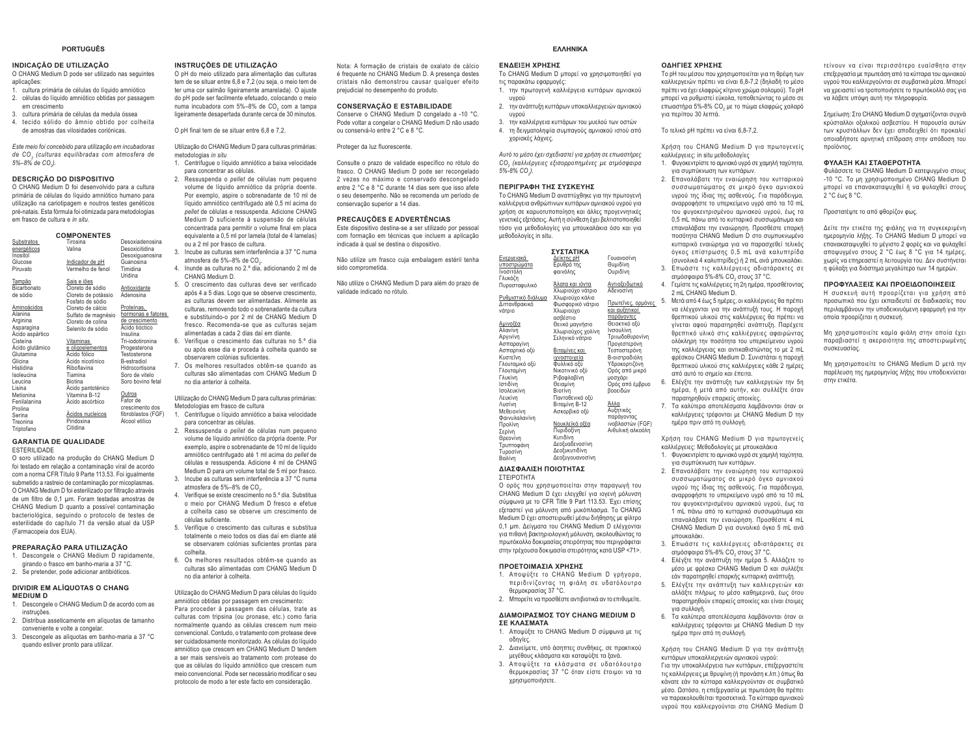#### **PORTUGUÊS**

#### **INDICAÇÃO DE UTILIZAÇÃO**

O CHANG Medium D pode ser utilizado nas seguintes aplicações:

- 1. cultura primária de células do líquido amniótico 2. células do líquido amniótico obtidas por passagem em crescimento
- 3. cultura primária de células da medula óssea 4. tecido sólido do âmnio obtido por colheita
- de amostras das vilosidades coriónicas.

*Este meio foi concebido para utilização em incubadoras de CO2 (culturas equilibradas com atmosfera de 5%–8% de CO2).* 

#### **DESCRIÇÃO DO DISPOSITIVO**

O CHANG Medium D foi desenvolvido para a cultura primária de células do líquido ampiótico bumano para utilização na cariotipagem e noutros testes genéticos pré-natais. Esta fórmula foi otimizada para metodologias em frasco de cultura e *in situ*.

|                 | <b>COMPONENTES</b>  |                    |
|-----------------|---------------------|--------------------|
| Substratos      | Tirosina            | Desoxiadenosina    |
| energéticos     | Valina              | Desoxicitidina     |
| Inositol        |                     | Desoxiquanosina    |
| Glucose         | Indicador de pH     | Guanosina          |
| Piruvato        | Vermelho de fenol   | Timidina           |
|                 |                     | Uridina            |
| Tampão          | Sais e iões         |                    |
| Bicarbonato     | Cloreto de sódio    | Antioxidante       |
| de sódio        | Cloreto de potássio | Adenosina          |
|                 | Fosfato de sódio    |                    |
| Aminoácidos     | Cloreto de cálcio   | Proteínas,         |
| Alanina         | Sulfato de magnésio | hormonas e fatores |
| Arginina        | Cloreto de colina   | de crescimento     |
| Asparagina      | Selenito de sódio   | Acido tióctico     |
| Ácido aspártico |                     | Insulina           |
| Cisteína        | Vitaminas           | Tri-iodotironina   |
| Acido glutâmico | e oligoelementos    | Progesterona       |
| Glutamina       | Ácido fólico        | Testosterona       |
| Glicina         | Acido nicotínico    | B-estradiol        |
| Histidina       | Riboflavina         | Hidrocortisona     |
| Isoleucina      | Tiamina             | Soro de vitelo     |
| Leucina         | <b>Biotina</b>      | Soro bovino fetal  |
| Lisina          | Ácido pantoténico   |                    |
| Metionina       | Vitamina B-12       | Outros             |
| Fenilalanina    | Ácido ascórbico     | Fator de           |
| Prolina         |                     | crescimento dos    |
| Serina          | Acidos nucleicos    | fibroblastos (FGF) |
| Treonina        | Piridoxina          | Álcool etílico     |
| Triptofano      | Citidina            |                    |

#### **GARANTIA DE QUALIDADE**ESTERILIDADE

 O soro utilizado na produção do CHANG Medium D foi testado em relação a contaminação viral de acordo com a norma CFR Título 9 Parte 113.53. Foi igualmente submetido a rastreio de contaminação por micoplasmas. O CHANG Medium D foi esterilizado por filtração através de um filtro de 0,1 μm. Foram testadas amostras de CHANG Medium D quanto a possível contaminação bacteriológica, seguindo o protocolo de testes de esterilidade do capítulo 71 da versão atual da USP (Farmacopeia dos EUA).

#### **PREPARAÇÃO PARA UTILIZAÇÃO**

- 1. Descongele o CHANG Medium D rapidamente, girando o frasco em banho-maria a 37 °C.
- 2. Se pretender, pode adicionar antibióticos.

#### **DIVIDIR EM ALÍQUOTAS O CHANG MEDIUM D**

- 1. Descongele o CHANG Medium D de acordo com as instruções. 2. Distribua asseticamente em alíquotas de tamanho
- conveniente e volte a congelar. 3. Descongele as aliguotas em banho-maria a 37 °C. quando estiver pronto para utilizar.

#### **INSTRUÇÕES DE UTILIZAÇÃO**

O pH do meio utilizado para alimentação das culturas tem de se situar entre 6,8 e 7,2 (ou seja, o meio tem de ter uma cor salmão ligeiramente amarelada). O ajuste do pH pode ser facilmente efetuado, colocando o meio numa incubadora com 5%–8% de CO<sub>2</sub> com a tampa ligeiramente desapertada durante cerca de 30 minutos.

O pH final tem de se situar entre 6,8 e 7,2.

Utilização do CHANG Medium D para culturas primárias: metodologias *in situ*

- 1. Centrifugue o líquido amniótico a baixa velocidade para concentrar as células.
- 2. Ressuspenda o *pellet* de células num pequeno volume de líquido amniótico da própria doente. Por exemplo, aspire o sobrenadante de 10 ml de líquido amniótico centrifugado até 0,5 ml acima do *pellet* de células e ressuspenda. Adicione CHANG Medium D suficiente à suspensão de células concentrada para permitir o volume final em placa equivalente a 0,5 ml por lamela (total de 4 lamelas) ou a 2 ml por frasco de cultura.
- 3. Incube as culturas sem interferência a 37 °C numa atmosfera de 5%–8% de CO.
- 4. Inunde as culturas no 2.º dia, adicionando 2 ml de CHANG Medium D.
- 5. O crescimento das culturas deve ser verificado após 4 a 5 dias. Logo que se observe crescimento, as culturas devem ser alimentadas. Alimente as culturas, removendo todo o sobrenadante da cultura e substituindo-o por 2 ml de CHANG Medium D fresco. Recomenda-se que as culturas sejam alimentadas a cada 2 dias daí em diante. 6. Verifique o crescimento das culturas no 5.º dia
- ou após esse dia e proceda à colheita quando se observarem colónias suficientes.
- 7. Os melhores resultados obtêm-se quando as culturas são alimentadas com CHANG Medium D no dia anterior à colheita.

Utilização do CHANG Medium D para culturas primárias: Metodologias em frasco de cultura

- 1. Centrifuque o líquido amniótico a baixa velocidade para concentrar as células.
- 2. Ressuspenda o *pellet* de células num pequeno volume de líquido amniótico da própria doente. Por exemplo, aspire o sobrenadante de 10 ml de líquido amniótico centrifugado até 1 ml acima do *pellet* de células e ressuspenda. Adicione 4 ml de CHANG Medium D para um volume total de 5 ml por frasco.
- 3. Incube as culturas sem interferência a 37 °C numa atmosfera de 5%-8% de CO.
- 4. Verifique se existe crescimento no 5.º dia. Substitua o meio por CHANG Medium D fresco e efetue a colheita caso se observe um crescimento de células suficiente.
- 5. Verifique o crescimento das culturas e substitua We consider the contract of the contract of the contract of the total ments of mediante at the total mediante at the contract of the contract of the contract of the contract of the contract of the contract of the contract se observarem colónias suficientes prontas para colheita.
- 6. Os melhores resultados obtêm-se quando as culturas são alimentadas com CHANG Medium D no dia anterior à colheita.
- Utilização do CHANG Medium D para células do líquido amniótico obtidas por passagem em crescimento: Para proceder à passagem das células, trate as
- culturas com tripsina (ou pronase, etc.) como faria normalmente quando as células crescem num meio convencional. Contudo, o tratamento com protease deve ser cuidadosamente monitorizado. As células do líquido amniótico que crescem em CHANG Medium D tendem a ser mais sensíveis ao tratamento com protease do que as células do líquido amniótico que crescem num meio convencional. Pode ser necessário modificar o seu protocolo de modo a ter este facto em consideração.

Nota: A formação de cristais de oxalato de cálcio é frequente no CHANG Medium D. A presença destes cristais não demonstrou causar qualquer efeito prejudicial no desempenho do produto.

#### **CONSERVAÇÃO E ESTABILIDADE**

Conserve o CHANG Medium D congelado a -10 °C. Pode voltar a congelar o CHANG Medium D não usado ou conservá-lo entre 2 °C e 8 °C.

# Proteger da luz fluorescente.

Consulte o prazo de validade específico no rótulo do frasco. O CHANG Medium D pode ser recongelado 2 vezes no máximo e conservado descongelado entre 2 °C e 8 °C durante 14 dias sem que isso afete o seu desempenho. Não se recomenda um período de conservação superior a 14 dias.

## **PRECAUÇÕES E ADVERTÊNCIAS**

Este dispositivo destina-se a ser utilizado por pessoal com formação em técnicas que incluem a aplicação indicada à qual se destina o dispositivo.

Não utilize um frasco cuja embalagem estéril tenha sido comprometida.

Não utilize o CHANG Medium D para além do prazo de validade indicado no rótulo.

#### **FAAHNIKA**

#### **ΕΝΔΕΙΞΗ ΧΡΗΣΗΣ**

υνοού

*5%-8% CO2).* 

Το CHANG Medium D μπορεί να χρησιμοποιηθεί για **ΤΙ** ΠΑΣΟ ΤΙΣ ΠΑΣΟ ΤΙΣ ΤΙΣ ΣΥΛΑΙΑ ΣΤΙΣ 1. την πρωτογενή καλλιέργεια κυττάρων αμνιακού

- 2. την ανάπτυξη κυττάρων υποκαλλιεργειών αμνιακού υνοού 3. την καλλιέρνεια κυττάρων του μυελού των οστών
- 4. τη δειγματοληψία συμπαγούς αμνιακού ιστού από χοριακές λάχνες.

CO<sub>2</sub><sup>*(καλλιέργειες εξισορροπημένες με ατμόσφαιρα*</sup>

Aυτό το μέσο έχει σχεδιαστεί για χρήση σε επωαστήρες

# **ΠΕΡΙΓΡΑΦΗ ΤΗΣ ΣΥΣΚΕΥΗΣ**

Το CHANG Medium D αναπτύχθηκε για την πρωτογενή καλλιέργεια ανθρώπινων κυττάρων αμνιακού υγρού για γρήση σε καρυοτυποποίηση και άλλες προγεννητικές γενετικές εξετάσεις. Αυτή η σύνθεση έχει βελτιστοποιηθεί τόσο για μεθοδολογίες για μπουκαλάκια όσο και για μεθοδολογίες in situ.

|                    | <b>ΣΥΣΤΑΤΙΚΑ</b>  |                   |
|--------------------|-------------------|-------------------|
| <u>Ενεργειακά</u>  | Δείκτης pH        | Γουανοσίνη        |
| υποστρώματα        | Ερυθρό της        | Θυμιδίνη          |
| Ινοσιτόλη          | φαινόλης          | Ουριδίνη          |
| Γλυκόζη            |                   |                   |
| Πυροσταφυλικό      | Άλατα και ιόντα   | Αντιοξειδωτικό    |
|                    | Χλωριούχο νάτριο  | Αδενοσίνη         |
| Ρυθμιστικό διάλυμα | Χλωριούχο κάλιο   |                   |
| Διττανθρακικό      | Φωσφορικό νάτριο  | Πρωτεΐνες, ορμόνε |
| νάτοιο             | Χλωριούνο         | και αυξητικοί     |
|                    | ασβέστιο          | παράγοντες        |
| Αμινοξέα           | Θειικό μαγνήσιο   | Θειοκτικό οξύ     |
| Αλανίνη            | Χλωριούχος χολίνη | Ινσουλίνη         |
| Αργινίνη           | Σεληνικό νάτριο   | Τριιωδοθυρονίνη   |
| Ασπαραγίνη         |                   | Προγεστερόνη      |
| Ασπαρτικό οξύ      | Βιταμίνες και     | Τεστοστερόνη      |
| Κυστεΐνη           | ιχνοστοιχεία      | Β-οιστραδιόλη     |
| Γλουταμικό οξύ     | Φυλλικό οξύ       | Υδροκορτιζόνη     |
| Γλουταμίνη         | Νικοτινικό οξύ    | Ορός από μικρό    |
| Γλυκίνη            | Ριβοφλαβίνη       | μοσχάρι           |
| Ιστιδίνη           | Θειαμίνη          | Ορός από έμβρυο   |
| Ισολευκίνη         | Βιοτίνη           | βοοειδών          |
| Λευκίνη            | Παντοθενικό οξύ   |                   |
| Λυσίνη             | Bitauivn B-12     | Άλλα              |
| Μεθειονίνη         | Ασκορβικό οξύ     | Αυξητικός         |
| Φαινυλαλανίνη      |                   | παράγοντας        |
| Προλίνη            | Νουκλεϊκά οξέα    | ινοβλαστών (FGF)  |
| Σερίνη             | Πυριδοξίνη        | Αιθυλική αλκοόλη  |
| Θρεονίνη           | Κυτιδίνη          |                   |
| Τρυπτοφάνη         | Δεοξυαδενοσίνη    |                   |
| Τυροσίνη           | Δεοξυκυτιδίνη     |                   |
| Bαλίνη             | Δεοξυγουανοσίνη   |                   |
|                    |                   |                   |

#### ΔΙΑΣΦΑΛΙΣΗ ΠΟΙΟΤΗΤΑΣ

ΣΤΕΙΡΟΤΗΤΑ .<br>Ο ορός που χρησιμοποιείται στην παραγωγή του CHANG Medium D ένει ελεννθεί νια ιονενή μόλυνση σύμφωνα με το CFR Title 9 Part 113.53. Έχει επίσης εξεταστεί για μόλυνση από μυκόπλασμα. Το CHANG Medium D έχει αποστειρωθεί μέσω διήθησης με φίλτρο 0.1 um. Δείνυστα του CHANG Medium D ελέγγονται για πιθανή βακτηριολογική μόλυνση, ακολουθώντας το .<br>πρωτόκολλο δοκιμασίας στειρότητας που περιγράφεται στην τρέχουσα δοκιμασία στειρότητας κατά USP <71>.

#### ΠΡΟΕΤΟΙΜΑΣΙΑ ΧΡΗΣΗΣ

- 1. Αποψύξτε το CHANG Medium D γρήγορα, περιδινίζοντας τη φιάλη σε υδατόλουτρο θερμοκρασίας 37 °C.
- ȂʌȠȡİȓIJİȞĮʌȡȠıșȑıIJİĮȞIJȚȕȚȠIJȚțȐĮȞIJȠİʌȚșȣȝİȓIJİ

#### ΔΙΑΜΟΙΡΑΣΜΟΣ ΤΟΥ CHANG ΜΕDIUM D **ΣΕ ΚΛΑΣΜΑΤΑ**

- 1. Αποψύξτε το CHANG Medium D σύμφωνα με τις nδηγίες.
- 2. Διανείμετε, υπό άσηπτες συνθήκες, σε πρακτικού μενέθους κλάσματα και καταψύξτε τα ξανά.
- 3. Αποψύξτε τα κλάσματα σε υδατόλουτρο θερμοκρασίας 37 °C όταν είστε έτοιμοι να τα χρησιμοποιήσετε.

#### **ΩΛΗΓΙΕΣ ΧΡΗΣΗΣ**

.<br>Το pH του μέσου που χρησιμοποιείται για τη θρέψη των καλλιεργειών πρέπει να είναι 6,8-7,2 (δηλαδή το μέσο πρέπει να έχει ελαφρώς κίτρινο χρώμα σολομού). Το pH μπορεί να ρυθμιστεί εύκολα, τοποθετώντας το μέσο σε επωαστήρα 5%-8% CO<sub>2</sub> με το πώμα ελαφρώς χαλαρό νια περίπριι 30 λεπτά

#### Το τελικό pH πρέπει να είναι 6.8-7.2.

Χρήση του CHANG Medium D για πρωτογενείς καλλιέρνειες: in situ μεθοδολονίες

- 1. Φυγοκεντρίστε το αμνιακό υγρό σε χαμηλή ταχύτητα, για συμπύκνωση των κυττάρων.
- 2. Επαναλάβατε την εναιώρηση του κυτταρικού συσσωματώματος σε μικρό όγκο αμνιακού υγρού της ίδιας της ασθενούς. Για παράδειγμα, αναρροφήστε το υπερκείμενο υγρό από τα 10 mL IOU ΦΗΝΟΚΕΝΤΟΙΟΠΈΝΟΗ ΟΠΝΙΟΚΟΎ ΗΝΟΛΉ έως τα 0,5 mL πάνω από το κυτταρικό συσσωμάτωμα και επαναλάβατε την εναιώρηση. Προσθέστε επαρκή ποσότητα CHANG Medium D στο συμπυκνωμένο κυτταρικό εναιώρημα νια να παρασχεθεί τελικός όγκος επίστρωσης 0,5 mL ανά καλυπτρίδα (συνολικά 4 καλυπτρίδες) ή 2 mL ανά μπουκαλάκι. 3. Επωάστε τις καλλιέργειες αδιατάρακτες σε
- ατμόσφαιρα 5%-8% CO, στους 37 °C. 4. Γεμίστε τις καλλιέργειες τη 2η ημέρα, προσθέτοντας 2 mL CHANG Medium D.
- ιτεΐνες, ορμόνες 5. Μετά από 4 έως 5 ημέρες, οι καλλιέργειες θα πρέπει να ελέγχονται για την ανάπτυξή τους. Η παροχή θρεπτικού υλικού στις καλλιέρνειες θα πρέπει να γίνεται αφού παρατηρηθεί ανάπτυξη. Παρέχετε θρεπτικό υλικό στις καλλιέργειες αφαιρώντας ολόκληρη την ποσότητα του υπερκείμενου υγρού της καλλιέργειας και αντικαθιστώντας το με 2 mL inośακου CHANG Medium D. Συνιστάται η παρονή θρεπτικού υλικού στις καλλιέργειες κάθε 2 ημέρες από αυτό το σημείο και έπειτα
	- 6. Ελέγξτε την ανάπτυξη των καλλιεργειών την 5η ημέρα, ή μετά από αυτήν, και συλλέξτε όταν παρατηρηθούν επαρκείς αποικίες.
	- 7. Τα καλύτερα αποτελέσματα λαμβάνονται όταν οι καλλιέργειες τρέφονται με CHANG Medium D την ημέρα πριν από τη συλλογή.

Χρήση του CHANG Medium D για πρωτογενείς καλλιέργειες: Μεθοδολογίες με μπουκαλάκια

- 1. Φυνοκεντρίστε το αμνιακό υγρό σε χαμηλή ταχύτητα, viα συμπύκνωση των κυττάρων
- 2. Επαναλάβατε την εναιώρηση του κυτταρικού συσσωματώματος σε μικρό όγκο αμνιακού υγρού της ίδιας της ασθενούς. Για παράδειγμα,  $\alpha$ ναρροφήστε το υπερκείμενο υνρό από τα 10 mL **ΤΟ** Φυνοκεντρισμένου αμνιακού υνρού, έως τα 1 mL πάνω από το κυτταρικό συσσωμάτωμα και επαναλάβατε την εναιώρηση. Προσθέστε 4 mL CHANG Medium D για συνολικό όγκο 5 mL ανά ιιποιικαλάκι
- 3. Επωάστε τις καλλιέργειες αδιατάρακτες σε ατμόσφαιρα 5%-8% CO<sub>2</sub> στους 37 °C.
- 4. Ελέγξτε την ανάπτυξη την ημέρα 5. Αλλάζετε το μέσο με φρέσκο CHANG Medium D και συλλέξτε εάν παρατηρηθεί επαρκής κυτταρική ανάπτυξη.
- 5. Ελέγξτε την ανάπτυξη των καλλιεργειών και αλλάξτε πλήρως το μέσο καθημερινά, έως ότου παρατηρηθούν επαρκείς αποικίες και είναι έτοιμες νια συλλονή
- 6. Τα καλύτερα αποτελέσματα λαμβάνονται όταν οι καλλιέργειες τρέφονται με CHANG Medium D την nuέρα πριν από τη συλλονή

#### Χρήση του CHANG Medium D για την ανάπτυξη κυττάρων υποκαλλιεργειών αμνιακού υγρού:

Για την υποκαλλιέργεια των κυττάρων, επεξεργαστείτε τις καλλιέργειες με θρυψίνη (ή προνάση κ.λπ.) όπως θα țȐȞĮIJİ İȐȞ IJĮ țȪIJIJĮȡĮ țĮȜȜȚİȡȖȠȪȞIJĮȞ ıİ ıȣȝȕĮIJȚțȩ μέσο. Ωστόσο, η επεξεργασία με πρωτεάση θα πρέπει να παρακολουθείται προσεκτικά. Τα κύτταρα αμνιακού υγρού που καλλιεργούνται στο CHANG Medium D

#### *Τ*είνουν να είναι περισσότερο ευαίσθητα στην <u>επεξεονασία με ποωτεάση από τα κύτταρα του αυνιακού</u> υνρού που καλλιεονούνται σε συμβατικά μέσα. Μπορεί να χρειαστεί να τροποποιήσετε το πρωτόκολλό σας για να λάβετε υπόψη αυτή την πληροφορία.

Σημείωση: Στο CHANG Medium D σχηματίζονται συχνά κούσταλλοι οξαλικού ασβεστίου. Η παρουσία αυτών **Των κουστάλλων δεν έχει αποδειχθεί ότι προκαλεί** οποιαδήποτε αρνητική επίδραση στην απόδοση του προϊόντος.

#### **ΦΥΛΑΞΗ ΚΑΙ ΣΤΑΘΕΡΟΤΗΤΑ**

Φυλάσσετε το CHANG Medium D κατεψυγμένο στους -10 °C. Το μη χρησιμοποιημένο CHANG Medium D μπορεί να επανακαταψυχθεί ή να φυλαχθεί στους 2 °C fuic 8 °C

Προστατέψιτε το από φθορίζον φως

Δείτε την ετικέτα της φιάλης για τη συγκεκριμένη ημερομηνία λήξης. Το CHANG Medium D μπορεί να επανακαταψυχθεί το μένιστο 2 φορές και να φυλαχθεί αποψυγμένο στους 2 °C έως 8 °C για 14 ημέρες, χωρίς να επηρεαστεί η λειτουργία του. Δεν συστήνεται ς<br>Τι φύλαξη για διάστημα μεγαλύτερο των 14 ημερών.

#### **ΠΡΟΦΥΛΑΞΕΙΣ ΚΑΙ ΠΡΟΕΙΔΟΠΟΙΗΣΕΙΣ**

Η συσκευή αυτή προορίζεται για χρήση από προσωπικό που έγει εκπαιδευτεί σε διαδικασίες που περιλαμβάνουν την υποδεικνυόμενη εφαρμογή για την oποία προορίζεται η συσκευή.

Mn χρησιμοποιείτε καμία φιάλη στην οποία έχει παραβιαστεί η ακεραιότητα της αποστειρωμένης συσκευασίας.

Μη χρησιμοποιείτε το CHANG Medium D μετά την παρέλευση της ημερομηνίας λήξης που υποδεικνύεται στην ετικέτα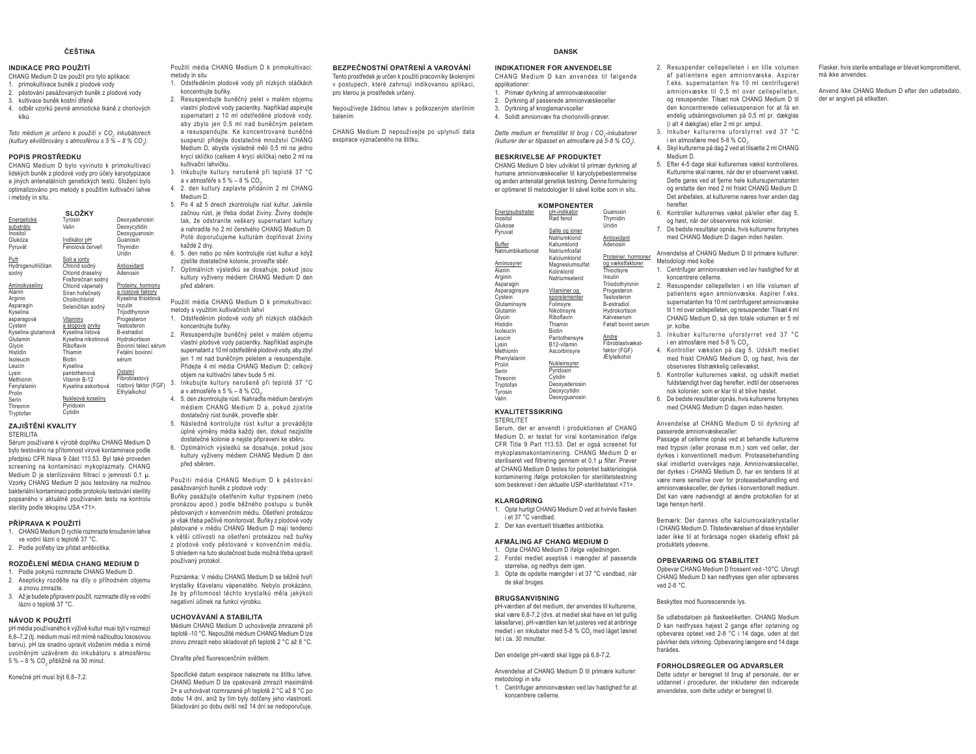#### ČEŠTINA

#### INDIKACE PRO POUŽITÍ

- CHANG Medium D lze použít pro tyto aplikace: 1 primokultivace buněk z plodové vody
- 2. pěstování pasážovaných buněk z plodové vody
- 3. kultivace buněk kostní dřeně
- 4. odběr vzorků pevné amniotické tkáně z choriových **VIVA**

Toto médium je určeno k použití v CO<sub>2</sub> inkubátorech (kultury ekvilibrovány s atmosférou s 5 % – 8 % CO.).

# POPIS PROSTŘEDKU

CHANG Medium D bylo vyvinuto k primokultivaci lidských buněk z plodové vody pro účely karyotypizace a jiných antenatálních genetických testů. Složení bylo optimalizováno pro metody s použitím kultivační lahye i metody in situ.

|                       | SLOŽKY              |                      |
|-----------------------|---------------------|----------------------|
| Energetické           | Tyrosin             | Deoxyadenosin        |
| substráty             | Valin               | Deoxycytidin         |
| Inositol              |                     | Deoxyguanosin        |
| Glukóza               | Indikátor pH        | Guanosin             |
| Pvruvát               | Fenolová červeň     | Thymidin             |
|                       |                     | Uridin               |
| Pufr                  | Soli a ionty        |                      |
| Hydrogenuhličitan     | Chlorid sodný       | Antioxidant          |
| sodný                 | Chlorid draselný    | Adenosin             |
|                       | Fosforečnan sodný   |                      |
| Aminokyseliny         | Chlorid vápenatý    | Proteiny, hormony    |
| Alanin                | Síran hořečnatý     | a růstové faktory    |
| Arginin               | Cholinchlorid       | Kyselina thioktová   |
| Asparagin             | Seleničitan sodný   | Inzulin              |
| Kyselina              |                     | Trijodthyronin       |
| asparagová            | Vitaminy            | Progesteron          |
| Cystein               | a stopové prvky     | Testosteron          |
| Kyselina glutamová    | Kyselina listová    | B-estradiol          |
| Glutamin              | Kyselina nikotinová | Hydrokortison        |
| Glycin                | Riboflavin          | Bovinní telecí sérum |
| Histidin              | Thiamin             | Fetální bovinní      |
| Isoleucin             | <b>Biotin</b>       | sérum                |
| Leucin                | Kyselina            |                      |
| Lvsin                 | pantothenová        | Ostatní              |
| Methionin             | Vitamin B-12        | Fibroblastový        |
|                       |                     | růstový faktor (FGF) |
| Fenylalanin<br>Prolin | Kyselina askorbová  | Ethylalkohol         |
|                       | Nukleové kyseliny   |                      |
| Serin                 | Pyridoxin           |                      |
| Threonin<br>Truntofon | Cytidin             |                      |
|                       |                     |                      |

# **ZA JIŠTĚNÍ KVAL ITY**

STERILITA

Sérum používané k výrobě doplňku CHANG Medium D bylo testováno na přítomnost virové kontaminace podle předpisů CFR hlava 9 část 113.53. Byl také proveden screening na kontaminaci mykoplazmaty. CHANG Medium D je sterilizováno filtrací o jemnosti 0,1 µ. Vzorky CHANG Medium D isou testovány na možnou bakteriální kontaminaci podle protokolu testování sterility popsaného v aktuálně používaném testu na kontrolu sterility podle lékopisu USA <71>.

#### PŘÍPRAVA K POUŽITÍ

- 1. CHANG Medium D rychle rozmrazte kroužením lahve ve vodní lázni o teplotě 37 °C.
- 2. Podle potřeby lze přidat antibiotika.

## ROZDĚLENÍ MÉDIA CHANG MEDIUM D

- 1. Podle pokynů rozmrazte CHANG Medium D.
- 2. Asepticky rozdělte na díly o příhodném objemu
- a znovu zmrazte 3. Až je budete připravení použít, rozmrazte díly ve vodní
- lázni o teplotě 37 °C.

# NÁVOD K POUŽITÍ

pH média používaného k výživě kultur musí být v rozmezí 6.8-7.2 (ti médium musí mít mírně nažloutlou lososovou barvu), pH lze snadno upravit vložením média s mírně uvolněným uzávěrem do inkubátoru s atmosférou 5 % - 8 % CO, přibližně na 30 minut.

Konečné pH musí být 6.8-7.2.

Použití média CHANG Medium D k primokultivaci: metody in situ

- 1. Odstředěním plodové vody při nízkých otáčkách koncentrujte buňky.
- 2. Resuspenduite buněčný pelet v malém objemu vlastní plodové vody pacientky. Například aspirujte supernatant z 10 ml odstředěné plodové vody, aby zbylo jen 0.5 ml nad buněčným peletem a resuspendujte. Ke koncentrované buněčné susnenzi nřidejte dostatečné množství CHANG Medium D. abyste výsledně měli 0.5 ml na jedno krycí sklíčko (celkem 4 krycí sklíčka) nebo 2 ml na kultivační lahvičku.
- 3. Inkubujte kultury nerušeně při teplotě 37 °C
- a v atmosféře s  $5\% 8\%$  CO<sub>2</sub> 4. 2. den kultury zaplavte přidáním 2 ml CHANG Medium D.
- 5. Po 4 až 5 dnech zkontroluite růst kultur. Jakmile začnou růst, je třeba dodat živiny. Živiny dodejte tak, že odstraníte veškerý supernatant kultury a nahradíte ho 2 ml čerstvého CHANG Medium D. Poté doporučujeme kulturám doplňovat živiny každé 2 dny
- 6. 5. den nebo po něm kontrolujte růst kultur a když
- ziistíte dostatečné kolonie, provedte sběr. Optimálních výsledků se dosahuje, pokud jsou kultury vyživeny médiem CHANG Medium D den nřed shěrem

Použití média CHANG Medium D k primokultivaci: metody s využitím kultivačních lahyí

- 1. Odstředěním plodové vody při nízkých otáčkách koncentrujte buňky.
- 2. Resuspendujte buněčný pelet v malém objemu vlastní plodové vody pacientky. Například aspirujte supernatant z 10 ml odstředěné plodové vody, aby zbyl jen 1 ml nad buněčným peletem a resuspendujte. Přideite 4 ml média CHANG Medium D: celkový
- objem na kultivační lahev bude 5 ml. .<br><sub>(FGF)</sub> 3. Inkubujte kultury nerušeně při teplotě 37 °C
	- a v atmosféře s 5 % 8 % CO, 4. 5. den zkontroluite růst. Nahradte médium čerstvým médiem CHANG Medium D a, pokud zjistíte
	- dostatečný růst buněk, provedte sběr. 5. Následně kontroluite růst kultur a prováděite
	- úplné výměny média každý den, dokud nezjistíte dostatečné kolonie a nejste připraveni ke sběru. 6. Optimálních výsledků se dosahuje, pokud jsou kultury vyživeny médiem CHANG Medium D den
	- nřed shěrem

Použití média CHANG Medium D k pěstování pasážovaných buněk z plodové vody: Buňky nasážujte ošetřením kultur trynsinem (neho pronázou apod.) podle běžného postupu u buněk pěstovaných v konvenčním médiu. Ošetření proteázou je však třeba pečlivě monitorovat. Buňky z plodové vody pěstované v médiu CHANG Medium D maií tendenci k větší citlivosti na ošetření proteázou než buňky z plodové vody pěstované v konvenčním médiu. S ohledem na tuto skutečnost bude možná třeba upravit noužívaný protokol

Poznámka: V médiu CHANG Medium D se běžně tvoří krystalky šťavelanu vápenatého. Nebylo prokázáno, že by přítomnost těchto krystalků měla jakýkoli negativní účinek na funkci výrobku.

#### UCHOVÁVÁNÍ A STABILITA

Médium CHANG Medium D uchovávejte zmrazené při teplotě -10 °C. Nepoužité médium CHANG Medium D Ize znovu zmrazit nebo skladovat při teplotě 2 °C až 8 °C.

Chraňte před fluorescenčním světlem.

Specifické datum exspirace naleznete na štítku lahve. CHANG Medium D lze opakovaně zmrazit maximálně 2× a uchovávat rozmrazené při teplotě 2 °C až 8 °C po dobu 14 dní, aniž by tím byly dotčeny jeho vlastnosti. Skladování po dobu delší než 14 dní se nedoporučuje.

#### BEZPEČNOSTNÍ OPATŘENÍ A VAROVÁNÍ Tento prostředek je určen k použití pracovníky školenými

v postupech, které zahrnují indikovanou aplikáci. pro kterou je prostředek určený.

Nepoužívejte žádnou lahev s poškozeným sterilním

CHANG Medium D nepoužívejte po uplynutí data exspirace vyznačeného na štítku.

# **DANSK**

#### INDIKATIONER FOR ANVENDELSE

CHANG Medium D kan anvendes til følgende annlikationer 1. Primær dyrkning af amnionvæskeceller 2. Dyrkning af passerede amnionvæskeceller

Guanosin

- 3. Dyrkning af knoglemarvsceller
- 4. Solidt amnionyæy fra chorionyilli-prøver.

Dette medium er fremstillet til brug i CO<sub>2</sub>-inkubatorer (kulturer der er tilpasset en atmosfære på 5-8 % CO.).

#### **BESKRIVELSE AF PRODUKTET**

CHANG Medium D blev udviklet til primær dyrkning af humane amnionvæskeceller til karyotypebestemmelse og anden antenatal genetisk testning. Denne formulering er optimeret til metodologier til såvel kolbe som in situ.

|                  | <b>NUMPUNENIER</b> |
|------------------|--------------------|
| Energisubstrater | pH-indikator       |
| Inositol         | Rød fenol          |

| Inositol          | Rød fenol       | Thymidin            |
|-------------------|-----------------|---------------------|
| Glukose           |                 | Uridin              |
| Pyruvat           | Salte og ioner  |                     |
|                   | Natriumklorid   | Antioxidant         |
| Buffer            | Kaliumklorid    | Adenosin            |
| Natriumbikarbonat | Natriumfosfat   |                     |
|                   | Kalciumklorid   | Proteiner, hormoner |
| <b>Aminosyrer</b> | Magnesiumsulfat | og vækstfaktorer    |
| Alanin            | Kolinklorid     | Thioctsyre          |
| Arginin           | Natriumselenit  | Insulin             |
| Asparagin         |                 | Triiodothyronin     |
| Asparaginsyre     | Vitaminer og    | Progesteron         |
| Cystein           | sporelementer   | Testosteron         |
| Glutaminsyre      | Folinsyre       | B-østradiol         |
| Glutamin          | Nikotinsyre     | Hydrokortison       |
| Glycin            | Riboflavin      | Kalveserum          |
| Histidin          | Thiamin         | Føtalt bovint serum |
| Isoleucin         | <b>Biotin</b>   |                     |
| Leucin            | Pantothensyre   | Andre               |
| Lysin             | B12-vitamin     | Fibroblastvækst-    |
| Methionin         | Ascorbinsyre    | faktor (FGF)        |
| Phenylalanin      |                 | Ætylalkohol         |
| Prolin            | Nukleinsyrer    |                     |
| Serin             | Pyridoxin       |                     |
| Threonin          | Cytidin         |                     |
| Tryptofan         | Deoxyadenosin   |                     |
| Tyrosin           | Deoxycytidin    |                     |
| Valin             | Deoxyguanosin   |                     |

#### **KVALITETSSIKRING STERILITET**

Serum, der er anvendt i produktionen af CHANG Medium D er testet for viral kontamination ifalge CFR Title 9 Part 113.53. Det er også screenet for mykoplasmakontaminering, CHANG Medium D er steriliseret ved filtrering gennem et 0,1 µ filter. Prøver

af CHANG Medium D testes for potentiel hakteriologisk

kontaminering ifølge protokollen for sterilitetstestning

som beskrevet i den aktuelle USP-sterilitetstest <71>.

**KI ARGØRING** 

- 1. Optø hurtigt CHANG Medium D ved at hvirvle flasken
- i et 37 °C vandbad.
- 2. Der kan eventuelt tilsættes antibiotika.

#### AFMÅLING AF CHANG MEDILIM D

- 1. Optø CHANG Medium D ifølge vejledningen.
- 2. Fordel mediet aseptisk i mængder af passende
- størrelse, og nedfrys dem igen.
- 3. Optø de opdelte mængder i et 37 °C vandbad, når de skal bruges.

#### **BRUGSANVISNING**

pH-værdien af det medium, der anvendes til kulturerne. skal være 6,8-7,2 (dvs. at mediet skal have en let gullig laksefarve), pH-værdien kan let justeres ved at anbringe mediet i en inkubator med 5-8 % CO, med låget løsnet let i ca. 30 minutter.

Den endelige pH-værdi skal ligge på 6,8-7,2.

- Anvendelse af CHANG Medium D til primære kulturer: metodologi in situ.
- 1. Centrifuger amnionvæsken ved lav hastighed for at
- koncentrere cellerne.
- 2. Resuspender cellepelleten i en lille volumen af patientens egen amnionvæske. Aspirer f.eks. supernatanten fra 10 ml centrifugeret amnionvæske til 0.5 ml over cellenelleten. on resuspender. Tilsæt nok CHANG Medium D til den koncentrerede cellesuspension for at få en endelig udsåningsvolumen på 0,5 ml pr. dækglas
- (i alt 4 dækolas) eller 2 ml pr. ampul. 3. Inkuber kulturerne uforstyrret ved 37 °C
- i en atmosfære med 5-8 % CO. 4. Skyl kulturerne på dag 2 ved at tilsætte 2 ml CHANG Medium D
- 5. Efter 4-5 dage skal kulturernes vækst kontrolleres. Kulturerne skal næres, når der er observeret vækst. Dette gøres ved at fjerne hele kultursupernatanten og erstatte den med 2 ml friskt CHANG Medium D. Det anbefales, at kulturerne næres hver anden dag herefter
- 6. Kontroller kulturernes vækst på/eller efter dag 5, og høst, når der observeres nok kolonier.
- 7. De bedste resultater opnås, hvis kulturerne forsynes med CHANG Medium D dagen inden høsten.

Anvendelse af CHANG Medium D til primære kulturer: Metodologi med kolbe

- 1. Centrifuger amnionvæsken ved lav hastighed for at koncentrere cellerne
- 2. Resuspender cellepelleten i en lille volumen af patientens egen amnionvæske. Aspirer f.eks. supernatanten fra 10 ml centrifugeret amnionvæske til 1 ml over cellenelleten, og resuspender. Tilsæt 4 ml CHANG Medium D. så den totale volumen er 5 ml nr kolhe
- 3. Inkuber kulturerne uforstyrret ved 37 °C i en atmosfære med 5-8 % CO.
- 4. Kontroller væksten på dag<sup>5</sup>, Udskift mediet med friskt CHANG Medium D, og høst, hvis der observeres tilstrækkelig cellevækst.
- 5. Kontroller kulturernes vækst, og udskift mediet fuldstændigt hver dag herefter indtil der observeres nok kolonier, som er klar til at blive høstet
- 6. De bedste resultater opnås, hvis kulturerne forsynes med CHANG Medium D dagen inden høsten.

Anvendelse af CHANG Medium D til dyrkning af nasserede amnionvæskeceller:

Passage af cellerne opnås ved at behandle kulturerne med trypsin (eller pronase m.m.) som ved celler, der dyrkes i konventionelt medium. Proteasebehandling skal imidlertid overvåges nøie. Amnionvæskeceller. der dyrkes i CHANG Medium D. har en tendens til at være mere sensitive over for proteasebehandling end amnionvæskeceller, der dyrkes i konventionelt medium. Det kan være nødvendigt at ændre protokollen for at tage hensyn hertil.

Bemærk: Der dannes ofte kalciumoxalatkrystaller i CHANG Medium D. Tilstedeværelsen af disse krystaller lader ikke til at forårsage nogen skadelig effekt på produktets ydeevne.

#### **OPBEVARING OG STABILITET**

Onbevar CHANG Medium D frossent ved -10°C. Ubrugt CHANG Medium D kan nedfryses igen eller opbevares ved 2-8 °C.

#### Beskyttes mod fluorescerende lys.

Se udløbsdatoen på flaskeetiketten. CHANG Medium D kan nedfryses højest 2 gange efter optøning og opbevares optøet ved 2-8 °C i 14 dage, uden at det påvirker dets virkning. Opbevaring længere end 14 dage frarådes.

## **FORHOLDSREGLER OG ADVARSLER**

Dette udstyr er beregnet til brug af personale, der er uddannet i procedurer, der inkluderer den indicerede anvendelse, som dette udstyr er beregnet til.

Flasker, hvis sterile emballage er blevet kompromitteret, må ikke anvendes. Anvend ikke CHANG Medium D efter den udløbsdato,

der er angivet på etiketten.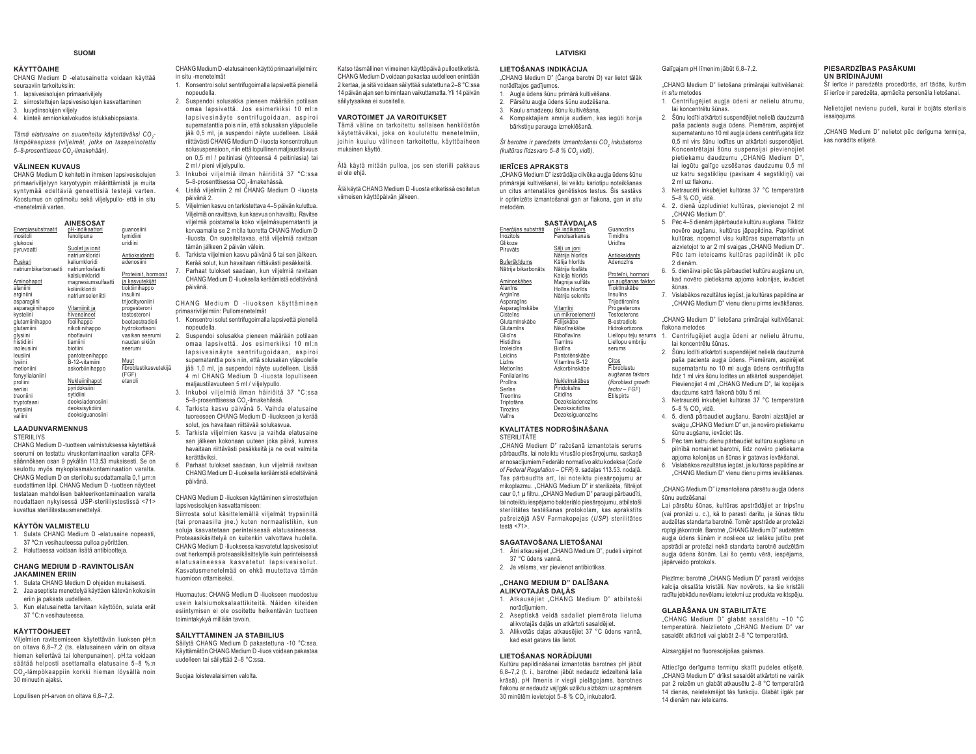#### **SUOMI**

## **KÄYTTÖAIHE**

 CHANG Medium D -elatusainetta voidaan käyttää seuraaviin tarkoituksiin: 1. lapsivesisolujen primaariviljely

- 2. siirrostettujen lapsivesisolujen kasvattaminen
- 3. luuydinsolujen viljely
- 4. kiinteä amnionkalvokudos istukkabiopsiasta.

*Tämä elatusaine on suunniteltu käytettäväksi CO2- lämpökaapissa (viljelmät, jotka on tasapainotettu*   $5-8$ -prosenttiseen CO<sub>2</sub>-ilmakehään).

#### **VÄLINEEN KUVAUS**

 CHANG Medium D kehitettiin ihmisen lapsivesisolujen primaariviljelyyn karyotyypin määrittämistä ja muita syntymää edeltäviä geneettisiä testejä varten. Koostumus on optimoitu sekä viljelypullo- että in situ -menetelmiä varten.

|                      | AINESOSAT          |                        |
|----------------------|--------------------|------------------------|
| Energiasubstraatit   | pH-indikaattori    | guanosiini             |
| inositoli            | fenolipuna         | tvmidiini              |
| glukoosi             |                    | uridiini               |
| pyruvaatti           | Suolat ja ionit    |                        |
|                      | natriumkloridi     | Antioksidantti         |
| Puskuri              | kaliumkloridi      | adenosiini             |
| natriumbikarbonaatti | natriumfosfaatti   |                        |
|                      | kalsiumkloridi     | Proteiinit, hormonit   |
| <b>Aminohapot</b>    | magnesiumsulfaatti | ja kasvutekijät        |
| alaniini             | koliinikloridi     | tioktiinihappo         |
| arginiini            | natriumseleniitti  | insuliini              |
| asparagiini          |                    | trijodityroniini       |
| asparagiinihappo     | Vitamiinit ja      | progesteroni           |
| kysteiini            | hivenaineet        | testosteroni           |
| glutamiinihappo      | foolihappo         | beetaestradioli        |
| glutamiini           | nikotiinihappo     | hydrokortisoni         |
| glysiini             | riboflaviini       | vasikan seerumi        |
| histidiini           | tiamiini           | naudan sikiön          |
| isoleusiini          | biotiini           | seerumi                |
| leusiini             | pantoteenihappo    |                        |
| lysiini              | B-12-vitamiini     | Muut                   |
| metioniini           | askorbiinihappo    | fibroblastikasvutekijä |
| fenyylialaniini      |                    | (FGF)                  |
| proliini             | Nukleiinihapot     | etanoli                |
| seriini              | pyridoksiini       |                        |
| treoniini            | sytidiini          |                        |
| tryptofaani          | deoksiadenosiini   |                        |
| tyrosiini            | deoksisytidiini    |                        |
| valiini              | deoksiguanosiini   |                        |

#### **LAADUNVARMENNUS**STERIILIYS

 CHANG Medium D -tuotteen valmistuksessa käytettävä seerumi on testattu viruskontaminaation varalta CFRsäännöksen osan 9 pykälän 113.53 mukaisesti. Se on seulottu myös mykoplasmakontaminaation varalta. CHANG Medium D on steriloitu suodattamalla 0,1 μm:n suodattimen läpi. CHANG Medium D -tuotteen näytteet testataan mahdollisen bakteerikontaminaation varalta noudattaen nykyisessä USP-steriiliystestissä <71> kuvattua steriilitestausmenettelyä.

# **KÄYTÖN VALMISTELU**

 1. Sulata CHANG Medium D -elatusaine nopeasti, 37 ºC:n vesihauteessa pulloa pyörittäen.

2. Haluttaessa voidaan lisätä antibiootteja.

#### **CHANG MEDIUM D -RAVINTOLISÄN JAKAMINEN ERIIN**

- 1. Sulata CHANG Medium D ohjeiden mukaisesti. 2. Jaa aseptista menettelyä käyttäen kätevän kokoisiin eriin ja pakasta uudelleen.
- 3. Kun elatusainetta tarvitaan käyttöön, sulata erät 37 °C:n vesihauteessa.

#### **KÄYTTÖOHJEET**

 Viljelmien ravitsemiseen käytettävän liuoksen pH:n on oltava 6,8–7,2 (ts. elatusaineen värin on oltava hieman kellertävä tai lohenpunainen). pH:ta voidaan säätää helposti asettamalla elatusaine 5–8 %:n CO2-lämpökaappiin korkki hieman löysällä noin 30 minuutin ajaksi.

CHANG Medium D -elatusaineen käyttö primaariviljelmiin: in situ -menetelmät 1. Konsentroi solut sentrifugoimalla lapsivettä pienellä

nopeudella.

- 2. Suspendoi solusakka pieneen määrään potilaan omaa lapsivettä. Jos esimerkiksi 10 ml:n lapsivesinäyte sentrifugoidaan, aspiroi supernatanttia pois niin, että solusakan yläpuolelle jää 0,5 ml, ja suspendoi näyte uudelleen. Lisää riittävästi CHANG Medium D -liuosta konsentroituun solususpensioon, niin että lopullinen maljaustilavuus on 0,5 ml / peitinlasi (yhteensä 4 peitinlasia) tai
- 2 ml / pieni viljelypullo. 3. Inkuboi viljelmiä ilman häiriöitä 37 °C:ssa 5–8-prosenttisessa CO<sub>2</sub>-ilmakehässä.
- 4. Lisää viljelmiin 2 ml CHANG Medium D -liuosta päivänä 2.
- 5. Viljelmien kasvu on tarkistettava 4–5 päivän kuluttua. Viljelmiä on ravittava, kun kasvua on havaittu. Ravitse viljelmiä poistamalla koko viljelmäsupernatantti ja korvaamalla se 2 ml:lla tuoretta CHANG Medium D -liuosta. On suositeltavaa, että viljelmiä ravitaan tämän jälkeen 2 päivän välein.
- 6. Tarkista viljelmien kasvu päivänä 5 tai sen jälkeen. Kerää solut, kun havaitaan riittävästi pesäkkeitä. 7. Parhaat tulokset saadaan, kun viljelmiä ravitaan
- CHANG Medium D -liuoksella keräämistä edeltävänä päivänä.

CHANG Medium D - liuoksen käyttäminen primaariviljelmiin: Pullomenetelmät

- 1. Konsentroi solut sentrifugoimalla lapsivettä pienellä nopeudella.
- 2. Suspendoi solusakka pieneen määrään potilaan omaa lapsivettä. Jos esimerkiksi 10 ml:n lapsivesinävte sentrifugoidaan, aspiroi supernatanttia pois niin, että solusakan yläpuolelle jää 1,0 ml, ja suspendoi näyte uudelleen. Lisää 4 ml CHANG Medium D -liuosta lopulliseen maljaustilavuuteen 5 ml / viljelypullo.
- 3. Inkuboi viljelmiä ilman häiriöitä 37 °C:ssa 5–8-prosenttisessa CO-ilmakehässä.
- 4. Tarkista kasvu päivänä 5. Vaihda elatusaine tuoreeseen CHANG Medium D -liuokseen ja kerää solut, jos havaitaan riittävää solukasvua.
- 5. Tarkista viljelmien kasvu ja vaihda elatusaine sen jälkeen kokonaan uuteen joka päivä, kunnes havaitaan riittävästi pesäkkeitä ja ne ovat valmiita kerättäviksi.
- 6. Parhaat tulokset saadaan, kun viljelmiä ravitaan CHANG Medium D -liuoksella keräämistä edeltävänä päivänä.

CHANG Medium D -liuoksen käyttäminen siirrostettujen lapsivesisolujen kasvattamiseen:

Siirrosta solut käsittelemällä viljelmät trypsiinillä (tai pronaasilla jne.) kuten normaalistikin, kun soluja kasvatetaan perinteisessä elatusaineessa. Proteaasikäsittelyä on kuitenkin valvottava huolella. CHANG Medium D -liuoksessa kasvatetut lapsivesisolut ovat herkempiä proteaasikäsittelylle kuin perinteisessä elatusaineessa kasvatetut lapsivesisolut. Kasvatusmenetelmää on ehkä muutettava tämän huomioon ottamiseksi.

Huomautus: CHANG Medium D -liuokseen muodostuu usein kalsiumoksalaattikiteitä. Näiden kiteiden esiintymisen ei ole osoitettu heikentävän tuotteen toimintakykyä millään tavoin.

#### **SÄILYTTÄMINEN JA STABIILIUS**

Säilytä CHANG Medium D pakastettuna -10 °C:ssa. Käyttämätön CHANG Medium D -liuos voidaan pakastaa uudelleen tai säilyttää 2–8 °C:ssa.

Suojaa loistevalaisimen valolta.

Katso täsmällinen viimeinen käyttöpäivä pulloetiketistä. CHANG Medium D voidaan pakastaa uudelleen enintään 2 kertaa, ja sitä voidaan säilyttää sulatettuna 2–8 °C:ssa 14 päivän ajan sen toimintaan vaikuttamatta. Yli 14 päivän säilytysaikaa ei suositella.

#### **VAROTOIMET JA VAROITUKSET**

 Tämä väline on tarkoitettu sellaisen henkilöstön käytettäväksi, joka on koulutettu menetelmiin, joihin kuuluu välineen tarkoitettu, käyttöaiheen mukainen käyttö.

Älä käytä mitään pulloa, jos sen steriili pakkaus ei ole ehjä.

Älä käytä CHANG Medium D -liuosta etiketissä osoitetun viimeisen käyttöpäivän jälkeen.

| ir optimizēts izmantošanai gan ar flakor<br>metodēm. |                    |
|------------------------------------------------------|--------------------|
|                                                      | <b>SASTĀVDAĻAS</b> |
| Enerģijas substrāti                                  | pH indikators      |
| Inozitols                                            | Fenolsarkanais     |
| Glikoze                                              |                    |
| Piruvāts                                             | Sāli un joni       |
|                                                      | Nātrija hlorīds    |
| Buferškīdums                                         | Kālija hlorīds     |
| Nātrija bikarbonāts                                  | Nātrija fosfāts    |
|                                                      | Kalcija hlorīds    |
| Aminoskābes                                          | Magnija sulfāts    |
| Alanīns                                              | Holīna hlorīds     |
| Arginīns                                             | Nātrija selenīts   |
| Asparagīns                                           |                    |
| Asparagīnskābe                                       | Vitamīni           |
| Cisteīns                                             | un mikroelementi   |
| Glutamīnskābe                                        | Folijskābe         |
| Glutamīns                                            | Nikotīnskābe       |
| Glicīns                                              | Riboflavīns        |
| Histidins                                            | Tiamīns            |
| Izoleicīns                                           | <b>Biotins</b>     |
| Leicīns                                              | Pantotēnskābe      |
| Lizīns                                               | Vitamīns B-12      |
| Metionīns                                            | Askorbīnskābe      |
| Fenilalanīns                                         |                    |
| Prolīns                                              | Nukleīnskābes      |
| Serīns                                               | Piridoksīns        |
| Treonīns                                             | Citidins           |
| Triptofāns                                           | Dezoksiadenozīns   |
| Tirozīns                                             | Dezoksicitidīns    |
| Valīns                                               | Dezoksiguanozīns   |
|                                                      |                    |

#### **KVALITĀTES NODROŠINĀŠANA** STERILITÄTE

"CHANG Medium D" ražošanā izmantotais serums nārhaudīts, lai noteiktu virusālo niesārnojumu, saskanā ar nosacījumiem Federālo normatīvo aktu kodeksa (Code  $of Federal Regulation - CFR$ ) 9. sadalas 113.53. nodaļā. Tas pārbaudīts arī. Iai noteiktu piesārnojumu ar mikoplazmu. "CHANG Medium D" ir sterilizēta, filtrējot caur 0,1 µ filtru. "CHANG Medium D" paraugi pārbaudīti, lai noteiktu iespējamo bakteriālo piesārņojumu, atbilstoši sterilitātes testēšanas protokolam, kas aprakstīts pašreizējā ASV Farmakopejas (USP) sterilitātes  $frac8666$   $271$ 

#### $SAGATAVOŠANA LIETOŠANAI$

- 1. Ātri atkausējiet "CHANG Medium D", pudeli virpinot 37 °C ūdens vannā
- 2. Ja vēlams, var pievienot antibiotikas.

#### **"CHANG MEDIUM D" DALĪŠANA** ALIKVOTAJĀS DALĀS

- 1. Atkausējiet "CHANG Medium D" atbilstoši norādījumiem.
- 2. Aseptiskā veidā sadaliet piemērota lieluma alikvotajās daļās un atkārtoti sasaldējiet.
- 3. Alikvotās daļas atkausējiet 37 °C ūdens vannā. kad esat gatavs tās lietot.

#### LIETOŠANAS NORĀDĪJUMI

Kultūru papildināšanai izmantotās barotnes pH jābūt 6,8-7,2 (t. i., barotnei jābūt nedaudz iedzeltenā laša krāsā). pH līmenis ir viegli pielāgojams, barotnes flakonu ar nedaudz valīgāk uzliktu aizbāzni uz apmēram 30 minūtēm ievietojot 5-8 % CO, inkubatorā.

Galīgaiam pH līmenim iābūt 6.8-7.2.

- "CHANG Medium D" lietošana primārajai kultivēšanai: *in situ* metodes
- 1. Centrifugējiet augļa ūdeni ar nelielu ātrumu, lai koncentrētu šūnas
- 2. Šūnu lodīti atkārtoti suspendējiet nelielā daudzumā paša pacienta augla ūdens. Piemēram, aspirējiet supernatantu no 10 ml augla ūdens centrifugāta līdz 0.5 ml virs šūnu lodītes un atkārtoti suspendējiet. Koncentrētajai šūnu suspensijai pievienojiet pietiekamu daudzumu "CHANG Medium D" lai iegūtu galīgo uzsēšanas daudzumu 0.5 ml uz katru segstiklinu (pavisam 4 segstiklini) vai
- 2 ml uz flakonu.3. Netraucēti inkubējiet kultūras 37 °C temperatūrā 5-8 % CO<sub>2</sub> vide.
- 4. 2. dienā uzpludiniet kultūras, pievienojot 2 ml "CHANG Medium D".
- 5. Pēc 4-5 dienām jāpārbauda kultūru augšana. Tiklīdz novēro augšanu, kultūras iāpapildina. Papildiniet kultūras, nonemot visu kultūras supernatantu un aizvietojot to ar 2 ml svaigas "CHANG Medium D". Pēc tam ieteicams kultūras papildināt ik pēc 2 dienām
- 6. 5. dienā/vai pēc tās pārbaudiet kultūru augšanu un, kad novēro pietiekama apjoma kolonijas, ievāciet šūnas.
- 7. Vislabākos rezultātus iegūst, ja kultūras papildina ar "CHANG Medium D" vienu dienu pirms ievākšanas.

"CHANG Medium D" lietošana primārajai kultivēšanai: flakona metodes

- .................<br>Liellopu teļu serums 1. Centrifugējiet augļa ūdeni ar nelielu ātrumu, lai koncentrētu šūnas.
	- 2. Šūnu lodīti atkārtoti suspendējiet nelielā daudzumā paša pacienta augļa ūdens. Piemēram, aspirējiet supernatantu no 10 ml augla ūdens centrifugāta līdz 1 ml virs šūnu lodītes un atkārtoti suspendējiet. Pievienoiiet 4 ml "CHANG Medium D", lai kopējais daudzums katrā flakonā būtu 5 ml.
	- 3. Netraucēti inkubējiet kultūras 37 °C temperatūrā 5–8 % CO vidā
	- 4. 5. dienā pārbaudiet augšanu. Barotni aizstājiet ar svaigu "CHANG Medium D" un, ja novēro pietiekamu šūnų augšanų, ievāciet tās.
	- 5. Pēc tam katru dienu pārbaudiet kultūru augšanu un pilnībā nomainiet barotni, līdz novēro pietiekama apioma kolonijas un šūnas ir gatavas ievākšanai.
	- 6. Vislabākos rezultātus iegūst, ja kultūras papildina ar A HELLANG Medium D" vienu dienu pirms ievākšanas.

#### "CHANG Medium D" izmantošana pārsētu augla ūdens šūnu audzēšanai

.<br>Lai pārsētu šūnas, kultūras apstrādājiet ar tripsīnu (vai pronāzi u. c.), kā to parasti darītu, ja šūnas tiktu audzētas standarta barotnē. Tomēr anstrāde ar proteāzi rūpīgi jākontrolē. Barotnē "CHANG Medium D" audzētām augla ūdens šūnām ir nosliece uz lielāku jutību pret nega erema erman minerare er nema jener pres augļa ūdens šūnām. Lai šo ņemtu vērā, iespējams, iāpārveido protokols.

Piezīme: barotnē "CHANG Medium D" parasti veidojas kalcija oksalāta kristāli. Nav novērots, ka šie kristāli radītu jebkādu nevēlamu ietekmi uz produkta veiktspēju.

#### **GLABĀŠANA UN STABILITĀTE**

"CHANG Medium D" glabāt sasaldētu -10 °C temperatūrā. Neizlietoto "CHANG Medium D" var sasaldēt atkārtoti vai glabāt 2-8 °C temperatūrā.

Aizsargājiet no fluorescējošas gaismas.

Attiecīgo derīguma termiņu skatīt pudeles etiķetē. "CHANG Medium D" drīkst sasaldēt atkārtoti ne vairāk nar 2 reizēm un glabāt atkausētu 2-8 °C temperatūrā 14 dienas, neietekmējot tās funkciju. Glabāt ilgāk par 14 dienām nav ieteicams

#### **PIESARDZĪBAS PASĀKUMI UN BRĪDINĀJUMI**

.<br>Šī ierīce ir paredzēta procedūrās, arī tādās, kurām šī ierīce ir paredzēta, apmācīta personāla lietošanai.

Nelietojiet nevienu pudeli, kurai ir bojāts sterilais iesainojums.

"CHANG Medium D" nelietot pēc derīguma termina. kas norādīts etiketē

# **LATVISKI**

#### $|I|$ **ETOŠANAS INDIKĀCIJA**

- "CHANG Medium D" (Čanga barotni D) var lietot tālāk norādītajos gadījumos.
- 1. Augla ūdens šūnu primārā kultivēšana.
- 2. Pārsētu augla ūdens šūnu audzēšana. 3. Kaulu smadzeņu šūnu kultivēšana.
- 4. Kompaktajiem amnija audiem, kas iegūti horija bārkstinu parauga izmeklēšanā.

 $\delta$ *ī barotne ir paredzēta izmantošanai CO<sub>2</sub> inkubatoros (kultūras līdzsvaro 5-8 % CO<sub>2</sub> vidē).* 

#### *IERICES APRAKSTS*

"CHANG Medium D" izstrādāja cilvēka augļa ūdens šūnu primāraiai kultivēšanai. Iai veiktu kariotipu noteikšanas un citus antenatālos ģenētiskos testus. Šis sastāvs na, gan *in situ* 

Guanozīns

un augustus.<br>ugšanas faktori

| ıozitols           | Fenolsarkanais                  | Timidīns            |
|--------------------|---------------------------------|---------------------|
| ilikoze            |                                 | Uridīns             |
| iruvāts            | Sāli un joni<br>Nātrija hlorīds | Antioksidants       |
| uferškīdums        | Kālija hlorīds                  | Adenozīns           |
| ātrija bikarbonāts | Nātrija fosfāts                 |                     |
|                    |                                 | Proteïni, hormoni   |
| minoskābes         | Kalcija hlorīds                 |                     |
|                    | Magnija sulfāts                 | un augšanas fakto   |
| lanīns             | Holīna hlorīds                  | Tioktīnskābe        |
| rginīns            | Nātrija selenīts                | Insulīns            |
| sparagīns          |                                 | Trijodtironīns      |
| sparagīnskābe      | Vitamīni                        | Progesterons        |
| isteīns            | un mikroelementi                | Testosterons        |
| ilutamīnskābe      | Foliiskābe                      | B-estradiols        |
| lutamīns           | Nikotīnskābe                    | Hidrokortizons      |
| licīns             | Riboflavīns                     | Liellopu telu serur |
| istidīns           | Tiamīns                         | Liellopu embriju    |
| oleicīns           | <b>Biotins</b>                  | serums              |
| eicīns             | Pantotēnskābe                   |                     |
| izīns              | Vitamīns B-12                   | Citas               |
| letionīns          | Askorbīnskābe                   | Fibroblastu         |
| enilalanīns        |                                 | augšanas faktors    |
| rolīns             | Nukleīnskābes                   | (fibroblast growth  |
| erīns              | Piridoksīns                     | factor - FGF)       |
| reonīns            | Citidīns                        | Etilspirts          |
| riptofāns          | Dezoksiadenozīns                |                     |
| irozīns            | Dezoksicitidīns                 |                     |
| alīns              | Dezoksiguanozīns                |                     |
|                    |                                 |                     |

# Lopullisen pH-arvon on oltava 6,8–7,2.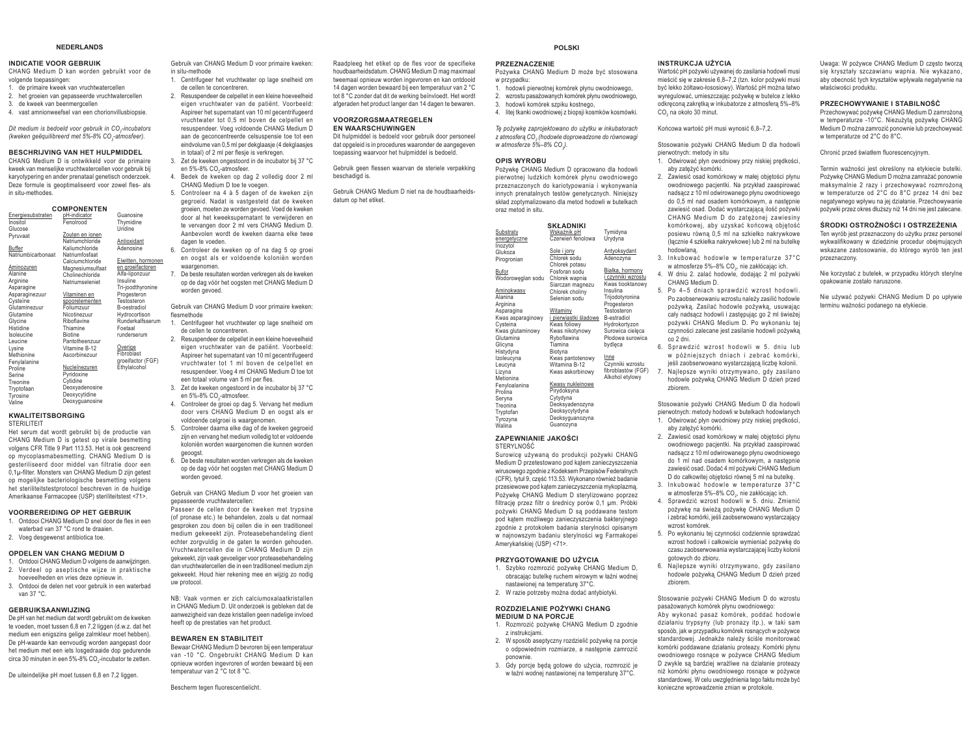#### **NEDERLANDS**

#### **INDICATIE VOOR GEBRUIK**

 CHANG Medium D kan worden gebruikt voor de volgende toepassingen:

- 1. de primaire kweek van vruchtwatercellen
- 2. het groeien van gepasseerde vruchtwatercellen
- 3. de kweek van beenmergcellen
- 4. vast amnionweefsel van een chorionvillusbiopsie.

Dit medium is bedoeld voor gebruik in CO<sub>2</sub>-incubators *(kweken geëquilibreerd met 5%-8% CO2-atmosfeer).* 

#### **BESCHRIJVING VAN HET HULPMIDDEL**

 CHANG Medium D is ontwikkeld voor de primaire kweek van menselijke vruchtwatercellen voor gebruik bij karyotypering en ander prenataal genetisch onderzoek. Deze formule is geoptimaliseerd voor zowel fles- als in situ-methodes.

| <b>COMPONENTEN</b> |                  |                    |  |  |
|--------------------|------------------|--------------------|--|--|
| Energiesubstraten  | pH-indicator     | Guanosine          |  |  |
| Inositol           | FenoIrood        | Thymidine          |  |  |
| Glucose            |                  | Uridine            |  |  |
| Pvruvaat           | Zouten en ionen  |                    |  |  |
|                    | Natriumchloride  | Antioxidant        |  |  |
| Buffer             | Kaliumchloride   | Adenosine          |  |  |
| Natriumbicarbonaat | Natriumfosfaat   |                    |  |  |
|                    | Calciumchloride  | Eiwitten, hormoner |  |  |
| Aminozuren         | Magnesiumsulfaat | en groeifactoren   |  |  |
| Alanine            | Cholinechloride  | Alfa-liponzuur     |  |  |
| Arginine           | Natriumseleniet  | Insuline           |  |  |
| Asparagine         |                  | Tri-joodthyronine  |  |  |
| Asparaginezuur     | Vitaminen en     | Progesteron        |  |  |
| Cysteïne           | spoorelementen   | Testosteron        |  |  |
| Glutaminezuur      | Foliumzuur       | B-oestradiol       |  |  |
| Glutamine          | Nicotinezuur     | Hydrocortison      |  |  |
| Glycine            | Riboflavine      | Runderkalfsserum   |  |  |
| Histidine          | Thiamine         | Foetaal            |  |  |
| Isoleucine         | <b>Biotine</b>   | runderserum        |  |  |
| Leucine            | Pantotheenzuur   |                    |  |  |
| Lysine             | Vitamine B-12    | Overige            |  |  |
| Methionine         | Ascorbinezuur    | Fibroblast         |  |  |
| Fenylalanine       |                  | groeifactor (FGF)  |  |  |
| Proline            | Nucleïnezuren    | Ethylalcohol       |  |  |
| Serine             | Pyridoxine       |                    |  |  |
| Treonine           | Cytidine         |                    |  |  |
| Tryptofaan         | Deoxyadenosine   |                    |  |  |
| Tyrosine           | Deoxycytidine    |                    |  |  |
| Valine             | Deoxyguanosine   |                    |  |  |
|                    |                  |                    |  |  |

#### **KWALITEITSBORGINGSTERILITEIT**

 Het serum dat wordt gebruikt bij de productie van CHANG Medium D is getest op virale besmetting volgens CFR Title 9 Part 113.53. Het is ook gescreend

op mycoplasmabesmetting. CHANG Medium D is gesteriliseerd door middel van filtratie door een 0,1μ-filter. Monsters van CHANG Medium D zijn getest op mogelijke bacteriologische besmetting volgens het steriliteitstestprotocol beschreven in de huidige Amerikaanse Farmacopee (USP) steriliteitstest <71>.

#### **VOORBEREIDING OP HET GEBRUIK**

- 1. Ontdooi CHANG Medium D snel door de fles in een waterbad van 37 °C rond te draaien.
- 2. Voeg desgewenst antibiotica toe.

#### **OPDELEN VAN CHANG MEDIUM D**

- 1. Ontdooi CHANG Medium D volgens de aanwijzingen. 2. Verdeel op aseptische wijze in praktische hoeveelheden en vries deze opnieuw in.
- 3. Ontdooi de delen net voor gebruik in een waterbad van 37 °C.

#### **GEBRUIKSAANWIJZING**

 De pH van het medium dat wordt gebruikt om de kweken te voeden, moet tussen 6,8 en 7,2 liggen (d.w.z. dat het medium een enigszins gelige zalmkleur moet hebben). De pH-waarde kan eenvoudig worden aangepast door het medium met een iets losgedraaide dop gedurende circa 30 minuten in een 5%-8% CO<sub>-</sub>-incubator te zetten.

De uiteindelijke pH moet tussen 6,8 en 7,2 liggen.

Gebruik van CHANG Medium D voor primaire kweken: in situ-methode

- 1. Centrifugeer het vruchtwater op lage snelheid om de cellen te concentreren.
- 2. Resuspendeer de celpellet in een kleine hoeveelheid eigen vruchtwater van de patiënt. Voorbeeld: Aspireer het supernatant van 10 ml gecentrifugeerd vruchtwater tot 0,5 ml boven de celpellet en resuspendeer. Voeg voldoende CHANG Medium D aan de geconcentreerde celsuspensie toe tot een eindvolume van 0,5 ml per dekglaasje (4 dekglaasjes in totaal) of 2 ml per flesje is verkregen.
- 3. Zet de kweken ongestoord in de incubator bij 37 °C en 5%-8% CO<sub>2</sub>-atmosfeer.
- 4. Bedek de kweken op dag 2 volledig door 2 ml CHANG Medium D toe te voegen.
- 5. Controleer na 4 à 5 dagen of de kweken zijn gegroeid. Nadat is vastgesteld dat de kweken groeien, moeten ze worden gevoed. Voed de kweken door al het kweeksupernatant te verwijderen en te vervangen door 2 ml vers CHANG Medium D. Aanbevolen wordt de kweken daarna elke twee dagen te voeden.
- 6. Controleer de kweken op of na dag 5 op groei en oogst als er voldoende koloniën worden waargenomen
- 7. De beste resultaten worden verkregen als de kweken op de dag vóór het oogsten met CHANG Medium D worden gevoed.

Gebruik van CHANG Medium D voor primaire kweken: flesmethode

- 1. Centrifugeer het vruchtwater op lage snelheid om de cellen te concentreren.
- 2. Resuspendeer de celpellet in een kleine hoeveelheid eigen vruchtwater van de patiënt. Voorbeeld: Aspireer het supernatant van 10 ml gecentrifugeerd vruchtwater tot 1 ml boven de celpellet en resuspendeer. Voeg 4 ml CHANG Medium D toe tot een totaal volume van 5 ml per fles. 3. Zet de kweken ongestoord in de incubator bij 37 °C
- en 5%-8% CO<sub>-</sub>atmosfeer. 4. Controleer de groei op dag 5. Vervang het medium
- door vers CHANG Medium D en oogst als er voldoende celgroei is waargenomen.
- 5. Controleer daarna elke dag of de kweken gegroeid zijn en vervang het medium volledig tot er voldoende koloniën worden waargenomen die kunnen worden geoogst.
- 6. De beste resultaten worden verkregen als de kweken op de dag vóór het oogsten met CHANG Medium D worden gevoed.

Gebruik van CHANG Medium D voor het groeien van gepasseerde vruchtwatercellen:

Passeer de cellen door de kweken met trypsine (of pronase etc.) te behandelen, zoals u dat normaal gesproken zou doen bij cellen die in een traditioneel medium gekweekt zijn. Proteasebehandeling dient echter zorgvuldig in de gaten te worden gehouden. Vruchtwatercellen die in CHANG Medium D zijn gekweekt, zijn vaak gevoeliger voor proteasebehandeling dan vruchtwatercellen die in een traditioneel medium zijn gekweekt. Houd hier rekening mee en wijzig zo nodig uw protocol.

NB: Vaak vormen er zich calciumoxalaatkristallen in CHANG Medium D. Uit onderzoek is gebleken dat de aanwezigheid van deze kristallen geen nadelige invloed heeft op de prestaties van het product.

#### **BEWAREN EN STABILITEIT**

 Bewaar CHANG Medium D bevroren bij een temperatuur van -10 °C. Ongebruikt CHANG Medium D kan opnieuw worden ingevroren of worden bewaard bij een temperatuur van 2 °C tot 8 °C.

Bescherm tegen fluorescentielicht.

Raadpleeg het etiket op de fles voor de specifieke houdbaarheidsdatum. CHANG Medium D mag maximaal tweemaal opnieuw worden ingevroren en kan ontdooid 14 dagen worden bewaard bij een temperatuur van 2 °C tot 8 °C zonder dat dit de werking beïnvloedt. Het wordt afgeraden het product langer dan 14 dagen te bewaren.

#### **VOORZORGSMAATREGELEN EN WAARSCHUWINGEN**

 Dit hulpmiddel is bedoeld voor gebruik door personeel dat opgeleid is in procedures waaronder de aangegeven toepassing waarvoor het hulpmiddel is bedoeld.

Gebruik geen flessen waarvan de steriele verpakking beschadigd is.

Gebruik CHANG Medium D niet na de houdbaarheidsdatum op het etiket.

| skład zoptymalizowano dla metod hodowli w butelkach<br>oraz metod in situ.                                                                                                                                                                                                                 |                                                                                                                                                                                                                                                                                                                                                                        |                                                                                                                                                                                                                                                                                                                                           |  |
|--------------------------------------------------------------------------------------------------------------------------------------------------------------------------------------------------------------------------------------------------------------------------------------------|------------------------------------------------------------------------------------------------------------------------------------------------------------------------------------------------------------------------------------------------------------------------------------------------------------------------------------------------------------------------|-------------------------------------------------------------------------------------------------------------------------------------------------------------------------------------------------------------------------------------------------------------------------------------------------------------------------------------------|--|
| Substraty<br>energetyczne<br>Inozytol<br>Glukoza<br>Pirogronian<br>Bufor<br>Wodoroweglan sodu<br>Aminokwasy<br>Alanina<br>Arginina<br>Asparagina<br>Kwas asparaginowy<br>Cysteina<br>Kwas glutaminowy<br>Glutamina<br>Glicyna<br>Histydyna<br>Izoleucyna<br>Leucyna<br>Lizyna<br>Metionina | <b>SKŁADNIKI</b><br>Wskaźnik pH<br>Czerwień fenolowa<br>Sole i jony<br>Chlorek sodu<br>Chlorek potasu<br>Fosforan sodu<br>Chlorek wapnia<br>Siarczan magnezu<br>Chlorek choliny<br>Selenian sodu<br>Witaminy<br>i pierwiastki śladowe<br>Kwas foliowy<br>Kwas nikotynowy<br>Ryboflawina<br>Tiamina<br>Biotyna<br>Kwas pantotenowy<br>Witamina B-12<br>Kwas askorbinowy | Tymidyna<br>Urvdvna<br>Antyoksydant<br>Adenozvna<br>Białka, hormony<br>i czynniki wzrostu<br>Kwas tiooktanowy<br>Insulina<br>Trijodotyronina<br>Progesteron<br>Testosteron<br><b>B-estradiol</b><br>Hydrokortyzon<br>Surowica cieleca<br>Płodowa surowica<br>bydleca<br>Inne<br>Czynniki wzrostu<br>fibroblastów (FGF)<br>Alkohol etylowy |  |
| Fenyloalanina<br>Prolina<br>Seryna<br>Treonina<br>Tryptofan<br>Tyrozyna<br>Walina                                                                                                                                                                                                          | Kwasy nukleinowe<br>Pirydoksyna<br>Cytydyna<br>Deoksyadenozyna<br>Deoksycytydyna<br>Deoksyguanozyna<br>Guanozyna                                                                                                                                                                                                                                                       |                                                                                                                                                                                                                                                                                                                                           |  |

**POLSKI**

Pożywka CHANG Medium D może być stosowana

Pożywkę CHANG Medium D opracowano dla hodowli pierwotnej ludzkich komórek płynu owodniowego przeznaczonych do kariotypowania i wykonywania innych prenatalnych testów genetycznych. Niniejszy

1. hodowli pierwotnej komórek płynu owodniowego, wzrostu pasażowanych komórek płynu owodniowego.

3. hodowli komórek szpiku kostnego, 4. litej tkanki owodniowej z biopsji kosmków kosmówki. Te pożywke zaprojektowano do użytku w inkubatorach *]DWPRVIHUą&22 (hodowle doprowadzone do równowagi* 

**PRZEZNACZENIE**

*w atmosferze 5%–8% CO<sub>1</sub>* **OPIS WYROBU** 

w przypadku:

#### **ZAPEWNIANIE JAKOŚCI** STERVI NOĆĆ

.<br>Surowicę używaną do produkcji pożywki CHANG Medium D przetestowano pod katem zanieczyszczenia wirusowego zgodnie z Kodeksem Przepisów Federalnych (CER) tytuł 9 cześć 113.53 Wykonano również badanie przesiewowe pod kątem zanieczyszczenia mykoplazmą. Pożywke CHANG Medium D stervlizowano poprzez filtracje przez filtr o średnicy porów 0,1 µm. Próbki pożywki CHANG Medium D sa poddawane testom pod kątem możliwego zanieczyszczenia bakteryjnego zgodnie z protokołem badania sterylności opisanym w nainowszym badaniu sterylności wg Farmakopei Amerykańskiej (USP) <71>.

#### **PRZYGOTOWANIE DO UŻYCIA**

- 1. Szybko rozmrozić pożywkę CHANG Medium D, obracaiac butelke ruchem wirowym w łaźni wodnej nastawionei na temperature 37°C.
- 2. W razie potrzeby można dodać antybiotyki

#### **ROZDZIELANIE POŻYWKI CHANG MEDIUM D NA PORCJE**

- 1. Rozmrozić pożywkę CHANG Medium D zgodnie z instrukciami.
- 2. W sposób aseptyczny rozdzielić pożywke na porcie o odpowiednim rozmiarze, a następnie zamrozić ponownie.
- 3. Gdy porcje będą gotowe do użycia, rozmrozić je w łaźni wodnej nastawionej na temperaturę 37°C.

#### **INSTRUKCJA UŻYCIA**

Wartość pH pożywki używanej do zasilania hodowli musi mieścić się w zakresię 6.8–7.2 (tzn. kolor pożywki musi być lekko żółtawo-łososiowy). Wartość pH można łatwo wyregulować, umieszczając pożywkę w butelce z lekko odkrecona zakretka w inkubatorze z atmosfera 5%-8% CO<sub>2</sub> na około 30 minut.

Końcowa wartość pH musi wynosić 6,8-7,2.

Stosowanie pożywki CHANG Medium D dla hodowli pierwotnych: metody in situ

- 1. Odwirować płyn owodniowy przy niskiej prędkości, aby zateżyć komórki.
- 2. Zawiesić osad komórkowy w małej objetości płynu owodniowego pacientki. Na przykład zaaspirować nadsącz z 10 ml odwirowanego płynu owodniowego do 0.5 ml nad osadem komórkowym, a nastepnie zawiesić osad. Dodać wystarczająca ilość pożywki CHANG Medium D do zateżonei zawiesiny komórkowej, aby uzyskać końcową objętość posiewu równą 0,5 ml na szkiełko nakrywkowe (łącznie 4 szkiełka nakrywkowe) lub 2 ml na butelke hodowlana
- 3. Inkubować hodowle w temperaturze 37°C
- w atmosferze 5%–8% CO., nie zakłócając ich. W dniu 2. zalać hodowle, dodając 2 ml pożywki CHANG Medium D.
- 5. Po 4-5 dniach sprawdzić wzrost hodowli. Po zaobserwowaniu wzrostu należy zasilić hodowle pożywka. Zasilać hodowle pożywka, usuwając cały nadsącz hodowli i zastępując go 2 ml świeżej pożywki CHANG Medium D. Po wykonaniu tej czynności zalecane jest zasilanie hodowli pożywką co 2 dni.
- 6. Sprawdzić wzrost hodowli w 5. dniu lub w późniejszych dniach i zebrać komórki. ieśli zaobserwowano wystarczająca liczbe kolonii. 7. Najlepsze wyniki otrzymywano, gdy zasilano hodowle pożywka CHANG Medium D dzień przed zbiorem.

Stosowanie pożywki CHANG Medium D dla hodowli pierwotnych: metody hodowli w butelkach hodowlanych 1. Odwirować płyn owodniowy przy niskiej prędkości, aby zateżyć komórki

- 2. Zawiesić osad komórkowy w małej objętości płynu owodniowego pacientki. Na przykład zaaspirować nadsacz z 10 ml odwirowanego płynu owodniowego do 1 ml nad osadem komórkowym, a nastepnie zawiesić osad, Dodać 4 ml nożywki CHANG Medium D do całkowitej objętości równej 5 ml na butelkę.
- 3. Inkubować hodowle w temperaturze 37°C w atmosferze 5%–8% CO<sub>2</sub>, nie zakłócając ich.
- Sprawdzić wzrost hodowli w 5 dniu Zmienić nożywke na świeża pożywke CHANG Medium D i zebrać komórki, jeśli zaobserwowano wystarczający wzrost komórek.
- 5. Po wykonaniu tej czynności codziennie sprawdzać wzrost hodowli i całkowicie wymieniać pożywke do czasu zaobserwowania wystarczającej liczby kolonii gotowych do zbioru.
- 6. Najlepsze wyniki otrzymywano, gdy zasilano hodowle pożywką CHANG Medium D dzień przed zbiorem. Stosowanie pożywki CHANG Medium D do wzrostu

pasażowanych komórek płynu owodniowego Aby wykonać pasaż komórek, poddać hodowle działaniu trypsyny (lub pronazy itp.), w taki sam sposób, jak w przypadku komórek rosnacych w pożywce standardowei. Jednakże należy ściśle monitorować komórki poddawane działaniu proteazy. Komórki płynu owodniowego rosnace w pożywce CHANG Medium D zwykle są bardziej wrażliwe na działanie proteazy niż komórki nłynu owodniowego rosnace w pożywce standardowej. W celu uwzględnienia tego faktu może być konieczne wprowadzenie zmian w protokole.

- 
- 
- 

Uwaga: W pożywce CHANG Medium D czesto tworzą valge in project when the measure we can have a significant significant significant significant significant significant significant significant significant significant significant significant significant significant signif aby obecność tych kryształów wpływała negatywnie na właściwości produktu.

#### **PRZECHOWYWANIE I STABILNOŚĆ**

Przechowywać pożywkę CHANG Medium D zamrożoną w temperaturze -10°C. Niezużyta pożywke CHANG Medium D można zamrozić ponownie lub przechowywać w temperaturze od 2°C do 8°C.

Chronić przed światłem fluorescencyjnym.

Termin ważności jest określony na etykiecie butelki. Pożywke CHANG Medium D można zamrażać ponownie maksymalnie 2 razy i przechowywać rozmrożona w temperaturze od 2°C do 8°C przez 14 dni bez negatywnego wpływu na jej działanie. Przechowywanie požywki przez okręs dłuższy niż 14 dni nie jest zalecane.

#### **ŚRODKI OSTROŻNOŚCI I OSTRZEŻENIA**

7en wyrób jest przeznaczony do użytku przez personel wykwalifikowany w dziedzinie procedur obejmujących wskazane zastosowanie, do którego wyrób ten jest przeznaczony.

Nie korzystać z butelek, w przypadku których sterylne opakowanie zostało naruszone

Nie używać pożywki CHANG Medium D po upływie terminu ważności nodanego na etykiecie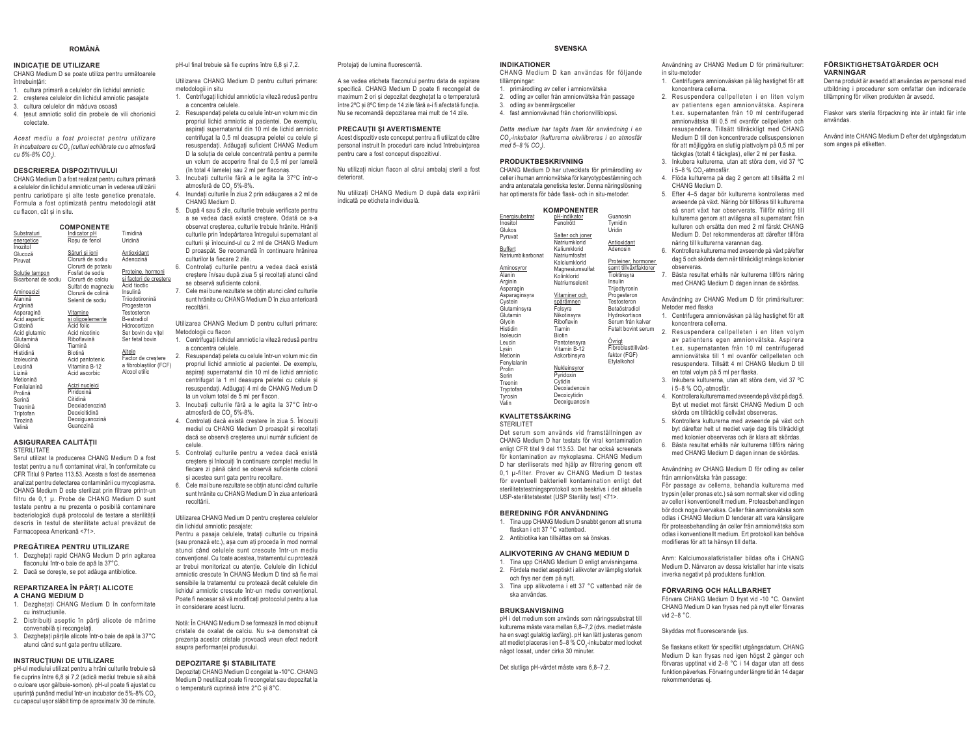#### ROMÂNĂ

#### **INDICATIE DE UTILIZARE**

CHANG Medium D se poate utiliza pentru următoarele întrehuintări:

- 1 cultura primară a celulelor din lichidul amniotic
- 2. creșterea celulelor din lichidul amniotic pasajate 3. cultura celulelor din măduva osoasă
- 4. tesut amniotic solid din probele de vili chorionici coloctato

Acest mediu a fost proiectat pentru utilizare în incubatoare cu CO<sub>2</sub> (culturi echilibrate cu o atmosferă  $0.5\%8\%$  CO 1

#### **DESCRIEREA DISPOZITIVULUI**

CHANG Medium D a fost realizat pentru cultura primară a celulelor din lichidul amniotic uman în vederea utilizării pentru cariotipare si alte teste genetice prenatale. Formula a fost optimizată pentru metodologii atât cu flacon, cât si in situ.

| <b>COMPONENTE</b>                     |                                         |                        |  |  |
|---------------------------------------|-----------------------------------------|------------------------|--|--|
| Substraturi                           | Indicator pH                            | Timidină               |  |  |
| energetice                            | Roșu de fenol                           | Uridină                |  |  |
| Inozitol                              |                                         |                        |  |  |
| Glucoză                               | Săruri si ioni                          | Antioxidant            |  |  |
| Piruvat                               | Clorură de sodiu                        | Adenozină              |  |  |
|                                       | Clorură de potasiu<br>Fosfat de sodiu   | Proteine, hormoni      |  |  |
| Solutie tampon<br>Bicarbonat de sodiu |                                         | si factori de crestere |  |  |
|                                       | Clorură de calciu                       | Acid tioctic           |  |  |
| Aminoacizi                            | Sulfat de magneziu<br>Clorură de colină | Insulină               |  |  |
| Alanină                               | Selenit de sodiu                        | Triiodotironină        |  |  |
| Arginină                              |                                         | Progesteron            |  |  |
| Asparagină                            | Vitamine                                | Testosteron            |  |  |
| Acid aspartic                         | si oligoelemente                        | B-estradiol            |  |  |
| Cisteină                              | Acid folic                              | Hidrocortizon          |  |  |
| Acid glutamic                         | Acid nicotinic                          | Ser bovin de vitel     |  |  |
| Glutamină                             | Riboflavină                             | Ser fetal hovin        |  |  |
| Glicină                               | Tiamină                                 |                        |  |  |
| Histidină                             | Biotină                                 | Altele                 |  |  |
| Izoleucină                            | Acid pantotenic                         | Factor de crestere     |  |  |
| Leucină                               | Vitamina B-12                           | a fibroblastilor (FCF) |  |  |
| Lizină                                | Acid ascorbic                           | Alcool etilic          |  |  |
| Metionină                             |                                         |                        |  |  |
| Fenilalanină                          | Acizi nucleici<br>Piridoxină            |                        |  |  |
| Prolină                               | Citidină                                |                        |  |  |
| Serină                                | Deoxiadenozină                          |                        |  |  |
| Treonină                              | Deoxicitidină                           |                        |  |  |
| Triptofan<br>Tirozină                 | Deoxiguanozină                          |                        |  |  |
| Valină                                | Guanozină                               |                        |  |  |
|                                       |                                         |                        |  |  |

#### ASIGURAREA CALITĂTII STERILITATE

Serul utilizat la producerea CHANG Medium D a fost testat nentru a nu fi contaminat viral în conformitate cu CFR Titlul 9 Partea 113.53. Acesta a fost de asemenea analizat nentru detectarea contaminării cu myconlasma CHANG Medium D este sterilizat prin filtrare printr-un filtru de 0,1 µ. Probe de CHANG Medium D sunt testate pentru a nu prezenta o posibilă contaminare bacteriologică după protocolul de testare a sterilității descris în testul de sterilitate actual prevăzut de Farmaconeea Americană <71>

#### PREGĂTIREA PENTRU UTILIZARE

- 1. Dezghetati rapid CHANG Medium D prin agitarea flaconului într-o baie de ană la 37°C
- 2. Dacă se dorește, se pot adăuga antibiotice.

#### REPARTIZAREA ÎN PĂRTI ALICOTE A CHANG MEDIUM D

- 1. Dezahetati CHANG Medium D în conformitate cu instrucțiunile.
- 2. Distribuiti aseptic în părti alicote de mărime convenabilă și recongelați.
- 3. Dezghetati părțile alicote într-o baie de apă la 37°C atunci când sunt gata pentru utilizare.

#### **INSTRUCTIUNI DE UTILIZARE**

pH-ul mediului utilizat pentru a hrăni culturile trebuie să fie cuprins între 6.8 și 7.2 (adică mediul trebuie să aibă o culoare ușor gălbuie-somon). pH-ul poate fi ajustat cu usurintă punând mediul într-un incubator de 5%-8% CO. cu capacul usor slăbit timp de aproximativ 30 de minute. pH-ul final trebuie să fie cuprins între 6,8 și 7,2.

Utilizarea CHANG Medium D pentru culturi primare: metodologii in situ

- 1. Centrifugati lichidul amniotic la viteză redusă pentru a concentra celulale 2. Resuspendati peleta cu celule într-un volum mic din
- propriul lichid amniotic al pacientei. De exemplu. asnirati supernatantul din 10 ml de lichid amniotic centrifugat la 0,5 ml deasupra peletei cu celule și resuspendati. Adăugati suficient CHANG Medium D la soluția de celule concentrată pentru a permite un volum de aconerire final de 0.5 ml ner lamelă (în total 4 lamele) sau 2 ml per flaconas.
- 3. Incubati culturile fără a le agita la 37°C într-o atmosferă de CO, 5%-8%.
- 4. Inundati culturile în ziua 2 prin adăugarea a 2 ml de CHANG Medium D.
- 5 Dună 4 sau 5 zile culturile trebuie verificate nentru a se vedea dacă există creștere. Odată ce s-a observat cresterea, culturile trebuie hrănite. Hrăniti culturile prin îndepărtarea întregului supernatant al culturii si înlocuind-ul cu 2 ml de CHANG Medium D proaspăt. Se recomandă în continuare hrănirea culturilor la fiecare 2 zile 6. Controlati culturile pentru a vedea daçã existã
- crestere în/sau după ziua 5 si recoltati atunci când se observă suficiente colonii
- 7. Cele mai bune rezultate se obtin atunci când culturile sunt hrănite cu CHANG Medium D în ziua anterioară recoltării.

Utilizarea CHANG Medium D pentru culturi primare: Metodologii cu flacon

1. Centrifugati lichidul amniotic la viteză redusă pentru

- a concentra celulale 2. Resuspendati peleta cu celule într-un volum mic din propriul lichid amniotic al pacientei. De exemplu. aspirati supernatantul din 10 ml de lichid amniotic centrifugat la 1 ml deasupra peletei cu celule și resuspendati. Adăugati 4 ml de CHANG Medium D la un volum total de 5 ml per flacon. 3. Incubati culturile fără a le agita la 37°C într-o
- atmosferă de CO, 5%-8%. 4 Controlati daçă există crestere în ziua 5 Înlocuiti
- mediul cu CHANG Medium D proasnăt și recoltati daçã se observă cresterea unui număr suficient de celule.
- 5. Controlati culturile pentru a vedea daçă există crestere si înlocuiti în continuare complet mediul în fiecare zi până când se observă suficiente colonii si acestea sunt gata pentru recoltare.
- 6. Cele mai bune rezultate se obtin atunci când culturile sunt hrănite cu CHANG Medium D în ziua anterioară rocoltării

#### Utilizarea CHANG Medium D pentru cresterea celulelor din lichidul amniotic nasajate

Pentru a pasaia celulele, tratati culturile cu tripsină (sau pronază etc.), asa cum ati proceda în mod normal atunci când celulele sunt crescute într-un mediu conventional. Cu toate acestea, tratamentul cu protează ar trebui monitorizat cu atenție. Celulele din lichidul amniotic crescute în CHANG Medium D find să fie mai sensibile la tratamentul cu protează decât celulele din lichidul amniotic crescute într-un mediu conventional. Poste fi necesar să vă modificati protocolul pentru a lua în considerare acest lucru

Notă: În CHANG Medium D se formează în mod obisnuit cristale de oxalat de calciu. Nu s-a demonstrat că prezenta acestor cristale provoaçă vreun efect nedorit asunra nerformantei produsului

#### **DEPOZITARE SI STABILITATE**

Depozitați CHANG Medium D congelat la -10°C. CHANG Medium D neutilizat poate fi recongelat sau depozitat la o temperatură cuprinsă între 2°C si 8°C.

Protejați de lumina fluorescentă.

A se vedea eticheta flaconului pentru data de expirare specifică. CHANG Medium D poate fi recongelat de maximum 2 ori și depozitat dezghețat la o temperatură între 2ºC și 8ºC timp de 14 zile fără a i fi afectată funcția Nu se recomandă depozitarea mai mult de 14 zile.

#### PRECAUTILSI AVERTISMENTE

Acest dispozitiv este conceput pentru a fi utilizat de către personal instruit în proceduri care includ întrebuintarea pentru care a fost conceput dispozitivul.

Nu utilizati niciun flacon al cărui ambalai steril a fost deteriorat

Nu utilizati CHANG Medium D după data expirării indicată pe eticheta individuală.

| <b>SVENSKA</b> |  |
|----------------|--|
|                |  |

#### **INDIKATIONER**

CHANG Medium D kan användas för följande tillämnningar

- 1. primärodling av celler i amnionvätska odling av celler från amnionvätska från passage
- 3. odling av benmärgsceller 4. fast amnionvävnad från chorionvillibiopsi.
- 

Detta medium har tagits fram för användning i en CO<sub>2</sub>-inkubator (kulturerna ekvilibreras i en atmosfär  $mod 5 - 8 \% CO$ 

#### **PRODUKTBESKRIVNING**

CHANG Medium D har utvecklats för primärodling av ing och

- 4. Flöda kulturerna på dag 2 genom att tillsätta 2 ml CHANG Medium D.
- 5. Efter 4-5 dagar bör kulturerna kontrolleras med avseende på växt. Näring bör tillföras till kulturerna cå enart växt har observerats. Tillför näring till kulturerna genom att avlägsna all supernatant från kulturen och ersätta den med 2 ml färskt CHANG Medium D. Det rekommenderas att därefter tillföra näring till kulturerna varannan dag.

Användning av CHANG Medium D för primärkulturer:

1. Centrifugera amnionväskan på låg hastighet för att

2. Resuspendera cellpelleten i en liten volym

av patientens egen amnionvätska. Aspirera

t.ex. supernatanten från 10 ml centrifugerad

amnionvätska till 0.5 ml ovanför cellpelleten och

resusnendera Tillsätt tillräckligt med CHANG

Medium D till den koncentrerade cellsuspensionen

för att möjliggöra en slutlig plattvolym på 0,5 ml per

täckglas (totalt 4 täckglas), eller 2 ml per flaska.

3 Inkubera kulturerna utan att störa dem vid 37 °C

in situ\_metoder

koncentrera cellerna

i 5-8 % CO<sub>-</sub>-atmosfär.

- 6. Kontrollera kulturerna med avseende på växt på/efter dag 5 och skörda dem när tillräckligt många kolonier ner, hormoner observeras illväxtfaktorer
	- 7. Bästa resultat erhålls när kulturerna tillförs näring med CHANG Medium D dagen innan de skördas.
	- Användning av CHANG Medium D för primärkulturer: Metoder med flaska
	- 1. Centrifugera amnionväskan på låg hastighet för att koncentrera cellerna
	- 2. Resuspendera cellpelleten i en liten volym av patientens egen amnionvätska. Aspirera t ex sunernatanten från 10 ml centrifunerad amnionvätska till 1 ml ovanför cellnelleten och resuspendera. Tillsätt 4 ml CHANG Medium D till en total volvm på 5 ml per flaska.
	- 3. Inkubera kulturerna, utan att störa dem, vid 37 °C i 5-8 % CO -atmosfär
	- 4. Kontrollera kulturerna med avseende på växt på dag 5. Byt ut mediet mot färskt CHANG Medium D och skörda om tillräcklig cellväxt observeras.
	- 5 Kontrollera kulturerna med avseende nå växt och byt därefter helt ut mediet varie dag tills tillräckligt med kolonier observeras och är klara att skördas.
	- 6. Bästa resultat erhålls när kulturerna tillförs näring med CHANG Medium D dagen innan de skördas.

Användning av CHANG Medium D för odling av celler från amnionvätska från passage:

För passage av cellerna, behandla kulturerna med trypsin (eller pronas etc.) så som normalt sker vid odling av celler i konventionellt medium. Proteasbehandlingen bör dock noga övervakas. Celler från amnionvätska som odlas i CHANG Medium D tenderar att vara känsligare för protessbehandling än celler från amnionvätska som odlas i konventionellt medium. Ert protokoll kan behöva modifieras för att ta hänsyn till detta.

Anm: Kalciumoxalatkristaller bildas ofta i CHANG Medium D. Närvaron av dessa kristaller har inte visats inverka negativt på produktens funktion.

#### FÖRVARING OCH HÅLLBARHET

Förvara CHANG Medium D fryst vid -10 °C. Oanvänt CHANG Medium D kan frysas ned på nytt eller förvaras vid 2-8 °C.

#### Skyddas mot fluorescerande lius.

Se flaskans etikett för specifikt utgångsdatum. CHANG Medium D kan frysas ned igen högst 2 gånger och förvaras upptinat vid 2-8 °C i 14 dagar utan att dess funktion påverkas. Förvaring under längre tid än 14 dagar rekommenderas ei.

#### FÖRSIKTIGHETSÅTGÄRDER OCH VARNINGAR

Denna produkt är avsedd att användas av personal med utbildning i procedurer som omfattar den indicerade tillämpning för vilken produkten är avsedd.

Flaskor vars sterila förpackning inte är intakt får inte användas

Använd inte CHANG Medium D efter det utgångsdatum som anges på etiketten

| celler i human amnionvätska för karyotypbestämning och<br>andra antenatala genetiska tester. Denna näringslösning |                                                     |                       |  |
|-------------------------------------------------------------------------------------------------------------------|-----------------------------------------------------|-----------------------|--|
|                                                                                                                   | har optimerats för både flask- och in situ-metoder. |                       |  |
|                                                                                                                   |                                                     |                       |  |
|                                                                                                                   | <b>KOMPONENTER</b>                                  |                       |  |
| Energisubstrat                                                                                                    | pH-indikator                                        | Guanosin              |  |
| Inositol                                                                                                          | FenoIrött                                           | Tvmidin               |  |
| Glukos                                                                                                            |                                                     | Uridin                |  |
| Pyruvat                                                                                                           | Salter och joner                                    |                       |  |
|                                                                                                                   | Natriumklorid                                       | Antioxidant           |  |
| Buffert                                                                                                           | Kaliumklorid                                        | Adenosin              |  |
| Natriumbikarbonat                                                                                                 | Natriumfosfat                                       |                       |  |
|                                                                                                                   | Kalciumklorid                                       | Proteiner, hormoner   |  |
| Aminosyror                                                                                                        | Magnesiumsulfat                                     | samt tillväxtfaktorer |  |
| Alanin                                                                                                            | Kolinklorid                                         | Tioktinsyra           |  |
| Arginin                                                                                                           | Natriumselenit                                      | Insulin               |  |
| Asparagin                                                                                                         |                                                     | Trijodtyronin         |  |
| Asparaginsyra                                                                                                     | Vitaminer och                                       | Progesteron           |  |
| Cystein                                                                                                           | spårämnen                                           | Testosteron           |  |
| Glutaminsyra                                                                                                      | Folsyra                                             | Betaöstradiol         |  |
| Glutamin                                                                                                          | Nikotinsyra                                         | Hydrokortison         |  |
| Glycin                                                                                                            | Riboflavin                                          | Serum från kalvar     |  |
| Histidin                                                                                                          | Tiamin                                              | Fetalt bovint serum   |  |
| Isoleucin                                                                                                         | <b>Biotin</b>                                       |                       |  |
| Leucin                                                                                                            | Pantotensyra                                        | Ovrigt                |  |
| Lysin                                                                                                             | Vitamin B-12                                        | Fibroblasttillväxt-   |  |
| Metionin                                                                                                          | Askorbinsvra                                        | faktor (FGF)          |  |
| Fenylalanin                                                                                                       |                                                     | Etylalkohol           |  |
| Prolin                                                                                                            | Nukleinsvror                                        |                       |  |
| Serin                                                                                                             | Pyridoxin                                           |                       |  |
| Treonin                                                                                                           | Cytidin                                             |                       |  |
| Tryptofan                                                                                                         | Deoxiadenosin                                       |                       |  |

STERILITET

Det serum som används vid framställningen av CHANG Medium D har testats för viral kontamination enligt CFR titel 9 del 113.53. Det har också screenats för kontamination av mykoplasma. CHANG Medium D har steriliserats med hjälp av filtrering genom ett 0.1 u-filter. Prover av CHANG Medium D testas för eventuell bakteriell kontamination enligt det sterilitetstestningsprotokoll som beskrivs i det aktuella USP-sterilitetstestet (USP Sterility test) <71>.

#### BEREDNING FÖR ANVÄNDNING

- 1. Tina upp CHANG Medium D snabbt genom att snurra
- flaskan i ett 37 °C vattenhad
- 2. Antibiotika kan tillsättas om så önskas.

#### ALIKVOTERING AV CHANG MEDIUM D

- 1. Tina upp CHANG Medium D enligt anvisningarna. 2. Fördela mediet aseptiskt i alikvoter av lämplig storlek och frvs ner dem på nvtt.
- 3. Tina upp alikvoterna i ett 37 °C vattenbad när de ska användas

#### **BRUKSANVISNING**

pH i det medium som används som näringssubstrat till kulturerna måste vara mellan 6.8–7.2 (dvs. mediet måste ha en svagt gulaktig laxfärg). pH kan lätt justeras genom att mediet placeras i en 5-8 % CO<sub>-inkubator</sub> med locket något lossat, under cirka 30 minuter.

Det slutliga pH-värdet måste vara 6,8-7,2.

Glukos Pyruva Buffert<br>Natriun Aminos Alanin Arginin Aspara Aspara Cysteir Glutan Glutan Glycin Histidir Isoleur

Leucin Lysin Motion Fenvla Prolin Serin Treonis Tryptot Deoxicytidin Tyrosin Deoxiguanosin Volin

# **KVALITETSSÄKRING**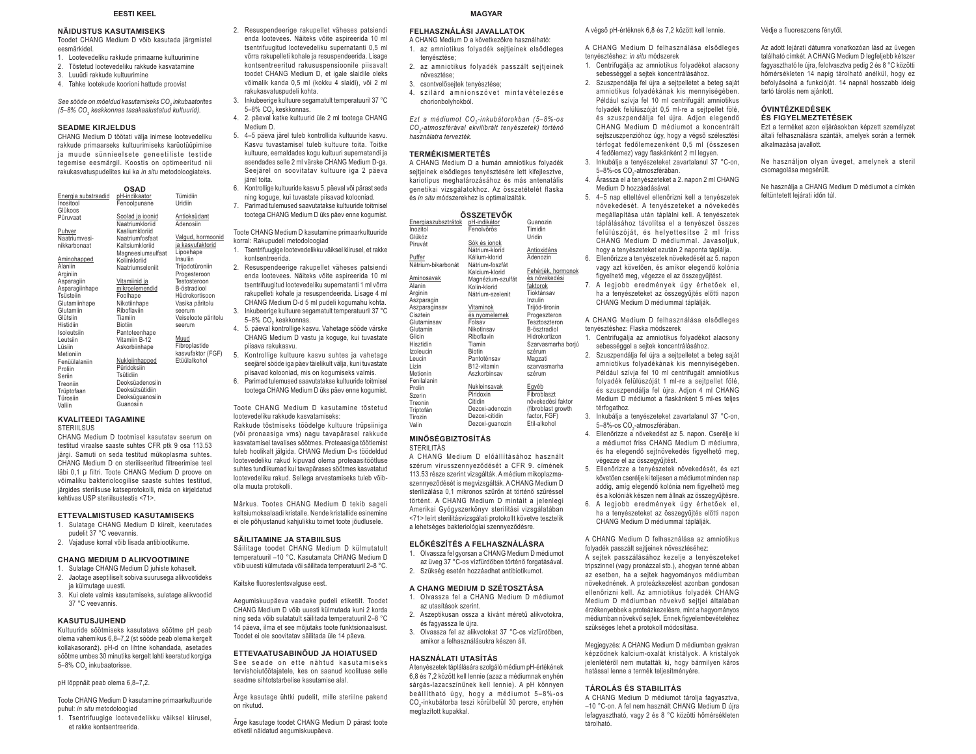#### **EESTI KEEL**

# **NÄIDUSTUS KASUTAMISEKS**

- Toodet CHANG Medium D võib kasutada järgmistel eesmärkidel.
- 1. Lootevedeliku rakkude primaarne kultuurimine
- 2. Tõstetud lootevedeliku rakkude kasvatamine
- 3. Luuüdi rakkude kultuurimine
- 4. Tahke lootekude koorioni hattude proovist

See sööde on mõeldud kasutamiseks CO<sub>2</sub> inkubaatorites *(5–8% CO2 keskkonnas tasakaalustatud kultuurid).* 

#### **SEADME KIRJELDUS**

 CHANG Medium D töötati välja inimese lootevedeliku rakkude primaarseks kultuurimiseks karüotüüpimise ja muude sünnieelsete geneetiliste testide tegemise eesmärgil. Koostis on optimeeritud nii rakukasvatuspudelites kui ka *in situ* metodoloogiateks.

|                         | OSAD                                |                           | 6. Kontrollige kultuuride kasvu 5. paeval või parast seda      |
|-------------------------|-------------------------------------|---------------------------|----------------------------------------------------------------|
| Energia substraadid     | pH-indikaator                       | Tümidiin                  | ning koguge, kui tuvastate piisavad kolooniad.                 |
| Inositool               | Fenoolpunane                        | Uridiin                   | Parimad tulemused saavutatakse kultuuride toitmisel<br>7.      |
| Glükoos                 |                                     |                           | tootega CHANG Medium D üks päev enne kogumist.                 |
| Püruvaat                | Soolad ja ioonid<br>Naatriumkloriid | Antioksüdant<br>Adenosiin |                                                                |
|                         |                                     |                           |                                                                |
| Puhver<br>Naatriumvesi- | Kaaliumkloriid                      | Valgud, hormoonid         | Toote CHANG Medium D kasutamine primaarkultuuride              |
|                         | Naatriumfosfaat                     | ja kasvufaktorid          | korral: Rakupudeli metodoloogiad                               |
| nikkarbonaat            | Kaltsiumkloriid                     | Lipoehape                 | Tsentrifuugige lootevedelikku väiksel kiirusel, et rakke<br>1. |
| Aminohapped             | Magneesiumsulfaat<br>Koliinkloriid  | Insuliin                  | kontsentreerida.                                               |
| Alaniin                 | Naatriumseleniit                    | Trijodotüroniin           | 2.                                                             |
| Arginiin                |                                     | Progesteroon              | Resuspendeerige rakupellet väheses patsiendi                   |
| Asparagiin              | Vitamiinid ja                       | Testosteroon              | enda lootevees. Näiteks võite aspireerida 10 ml                |
| Asparagiinhape          | mikroelemendid                      | B-östradiool              | tsentrifuugitud lootevedeliku supernatanti 1 ml võrra          |
| Tsüsteiin               | Foolhape                            | Hüdrokortisoon            | rakupelleti kohale ja resuspendeerida. Lisage 4 ml             |
| Glutamiinhape           | Nikotiinhape                        | Vasika päritolu           | CHANG Medium D-d 5 ml pudeli kogumahu kohta.                   |
| Glutamiin               | Riboflaviin                         | seerum                    | Inkubeerige kultuure segamatult temperatuuril 37 °C<br>3.      |
| Glütsiin                | Tiamiin                             | Veiseloote päritolu       | 5-8% CO <sub>2</sub> keskkonnas.                               |
| Histidiin               | <b>Biotiin</b>                      | seerum                    |                                                                |
| Isoleutsiin             | Pantoteenhape                       |                           | 5. päeval kontrollige kasvu. Vahetage sööde värske<br>4.       |
| Leutsiin                | Vitamiin B-12                       | Muud                      | CHANG Medium D vastu ja koguge, kui tuvastate                  |
| Lüsiin                  | Askorbiinhape                       | Fibroplastide             | piisava rakukasvu.                                             |
| Metioniin               |                                     | kasvufaktor (FGF)         | Kontrollige kultuure kasvu suhtes ja vahetage<br>5.            |
| Fenüülalaniin           | Nukleiinhapped                      | Etüülalkohol              | seejärel sööde iga päev täielikult välja, kuni tuvastate       |
| Proliin                 | Püridoksiin                         |                           | piisavad kolooniad, mis on kogumiseks valmis.                  |
| Seriin                  | Tsütidiin                           |                           |                                                                |
| Treoniin                | Deoksüadenosiin                     |                           | Parimad tulemused saavutatakse kultuuride toitmisel<br>6.      |
| Trüptofaan              | Deoksütsütidiin                     |                           | tootega CHANG Medium D üks päev enne kogumist.                 |
| Türosiin                | Deoksüguanosiin                     |                           |                                                                |
| Valiin                  | Guanosiin                           |                           | Toota CHANC Modium D kasutamina tõstatud                       |

# **KVALITEEDI TAGAMINE**

**STERIILSUS** 

 CHANG Medium D tootmisel kasutatav seerum on testitud viraalse saaste suhtes CFR ptk 9 osa 113.53 järgi. Samuti on seda testitud mükoplasma suhtes. CHANG Medium D on steriliseeritud filtreerimise teel läbi 0,1 μ filtri. Toote CHANG Medium D proove on võimaliku bakterioloogilise saaste suhtes testitud, järgides steriilsuse katseprotokolli, mida on kirjeldatud kehtivas USP steriilsustestis <71>.

#### **ETTEVALMISTUSED KASUTAMISEKS**

- 1. Sulatage CHANG Medium D kiirelt, keerutades pudelit 37 °C veevannis.
- 2. Vajaduse korral võib lisada antibiootikume.

#### **CHANG MEDIUM D ALIKVOOTIMINE**

- 1. Sulatage CHANG Medium D juhiste kohaselt.
- 2. Jaotage aseptiliselt sobiva suurusega alikvootideks ja külmutage uuesti.
- 3. Kui olete valmis kasutamiseks, sulatage alikvoodid 37 °C veevannis.

#### **KASUTUSJUHEND**

 Kultuuride söötmiseks kasutatava söötme pH peab olema vahemikus 6,8–7,2 (st sööde peab olema kergelt kollakasoranž). pH-d on lihtne kohandada, asetades söötme umbes 30 minutiks kergelt lahti keeratud korgiga 5-8% CO<sub>2</sub> inkubaatorisse.

#### pH lõppnäit peab olema 6,8–7,2.

Toote CHANG Medium D kasutamine primaarkultuuride puhul: *in situ* metodoloogiad

1. Tsentrifuugige lootevedelikku väiksel kiirusel, et rakke kontsentreerida.

#### **MAGYAR**

# **FELHASZNÁLÁSI JAVALLATOK**

- A CHANG Medium D a következőkre használható: 1. az amniotikus folyadék sejtjeinek elsődleges tenyésztése;
- 2. az amniotikus folyadék passzált sejtjeinek növesztése;
- 3. csontvelősejtek tenyésztése;

2. Resuspendeerige rakupellet väheses patsiendi enda lootevees. Näiteks võite aspireerida 10 ml tsentrifuugitud lootevedeliku supernatanti 0,5 ml võrra rakupelleti kohale ja resuspendeerida. Lisage kontsentreeritud rakususpensioonile piisavalt toodet CHANG Medium D, et igale slaidile oleks võimalik kanda 0,5 ml (kokku 4 slaidi), või 2 ml

3. Inkubeerige kultuure segamatult temperatuuril 37 °C

4. 2. päeval katke kultuurid üle 2 ml tootega CHANG

 5. 4–5 päeva järel tuleb kontrollida kultuuride kasvu. Kasvu tuvastamisel tuleb kultuure toita. Toitke kultuure, eemaldades kogu kultuuri supernatandi ja asendades selle 2 ml värske CHANG Medium D-ga. Seejärel on soovitatav kultuure iga 2 päeva

6. Kontrollige kultuuride kasvu 5. päeval või pärast seda ning koguge, kui tuvastate piisavad kolooniad. 7. Parimad tulemused saavutatakse kultuuride toitmisel tootega CHANG Medium D üks päev enne kogumist. Toote CHANG Medium D kasutamine primaarkultuuride

 Rakkude tõstmiseks töödelge kultuure trüpsiiniga (või pronaasiga vms) nagu tavapärasel rakkude kasvatamisel tavalises söötmes. Proteaasiga töötlemist tuleb hoolikalt jälgida. CHANG Medium D-s töödeldud lootevedeliku rakud kipuvad olema proteaasitöötluse suhtes tundlikumad kui tavapärases söötmes kasvatatud lootevedeliku rakud. Sellega arvestamiseks tuleb võib-

Märkus. Tootes CHANG Medium D tekib sageli kaltsiumoksalaadi kristalle. Nende kristallide esinemine ei ole põhjustanud kahjulikku toimet toote jõudlusele.

 Säilitage toodet CHANG Medium D külmutatult temperatuuril –10 °C. Kasutamata CHANG Medium D võib uuesti külmutada või säilitada temperatuuril 2–8 °C.

Aegumiskuupäeva vaadake pudeli etiketilt. Toodet CHANG Medium D võib uuesti külmutada kuni 2 korda ning seda võib sulatatult säilitada temperatuuril 2–8 °C 14 päeva, ilma et see mõjutaks toote funktsionaalsust. Toodet ei ole soovitatav säilitada üle 14 päeva. **ETTEVAATUSABINÕUD JA HOIATUSED** See seade on ette nähtud kasutamiseks tervishoiutöötajatele, kes on saanud koolituse selle seadme sihtotstarbelise kasutamise alal.

Ärge kasutage ühtki pudelit, mille steriilne pakend

Ärge kasutage toodet CHANG Medium D pärast toote

etiketil näidatud aegumiskuupäeva.

rakukasvatuspudeli kohta.

5–8% CO<sub>keskkonnas</sub>

lootevedeliku rakkude kasvatamiseks:

**SÄILITAMINE JA STABIILSUS** 

Kaitske fluorestentsvalguse eest.

on rikutud.

olla muuta protokolli.

Medium D.

järel toita.

4. szilárd amnionszövet mintavételezése chorionbolyhokból.

*Ezt a médiumot CO<sub>2</sub>-inkubátorokban (5-8%-os*  $CO<sub>2</sub>$ -atmoszférával ekvilibrált tenyészetek) történő *használatra tervezték.* 

#### **TERMÉKISMERTETÉS**

 A CHANG Medium D a humán amniotikus folyadék seitieinek elsődleges tenvésztésére lett kifeilesztve. kariotípus meghatározásához és más antenatális genetikai vizsgálatokhoz. Az összetételét flaska és *in situ* módszerekhez is optimalizálták.

| ÖSSZETEVŐK          |                   |                    |  |  |
|---------------------|-------------------|--------------------|--|--|
| Energiaszubsztrátok | pH-indikátor      | Guanozin           |  |  |
| Inozitol            | Fenolvörös        | Timidin            |  |  |
| Glükóz              |                   | Uridin             |  |  |
| Piruvát             | Sók és ionok      |                    |  |  |
|                     | Nátrium-klorid    | Antioxidáns        |  |  |
| Puffer              | Kálium-klorid     | Adenozin           |  |  |
| Nátrium-bikarbonát  | Nátrium-foszfát   |                    |  |  |
|                     | Kalcium-klorid    | Fehérjék, hormonok |  |  |
| Aminosavak          | Magnézium-szulfát | és növekedési      |  |  |
| Alanin              | Kolin-klorid      | faktorok           |  |  |
| Arginin             | Nátrium-szelenit  | Tioktánsav         |  |  |
| Aszparagin          |                   | Inzulin            |  |  |
| Aszparaginsav       | Vitaminok         | Trijód-tironin     |  |  |
| Cisztein            | és nyomelemek     | Progeszteron       |  |  |
| Glutaminsav         | Folsav            | Tesztoszteron      |  |  |
| Glutamin            | Nikotinsav        | B-ösztradiol       |  |  |
| Glicin              | Riboflavin        | Hidrokortizon      |  |  |
| Hisztidin           | Tiamin            | Szarvasmarha borjú |  |  |
| Izoleucin           | <b>Biotin</b>     | szérum             |  |  |
| Leucin              | Pantoténsav       | Magzati            |  |  |
| Lizin               | B12-vitamin       | szarvasmarha       |  |  |
| Metionin            | Aszkorbinsav      | szérum             |  |  |
| Fenilalanin         |                   |                    |  |  |
| Prolin              | Nukleinsavak      | Egyéb              |  |  |
| Szerin              | Piridoxin         | Fibroblaszt        |  |  |
| Treonin             | Citidin           | növekedési faktor  |  |  |
| Triptofán           | Dezoxi-adenozin   | (fibroblast growth |  |  |
| Tirozin             | Dezoxi-citidin    | factor, FGF)       |  |  |
| Valin               | Dezoxi-guanozin   | Etil-alkohol       |  |  |

# **MINŐSÉGBIZTOSÍTÁS**

STERILITÁS

**A CHANG Medium D előállításához használt** szérum vírusszennyeződését a CFR 9. címének 113.53 része szerint vizsgálták. A médium mikoplazmaszennyeződését is megvizsgálták. A CHANG Medium D sterilizálása 0.1 mikronos szűrőn át történő szűréssel történt. A CHANG Medium D mintáit a jelenlegi Amerikai Gyógyszerkönyv sterilitási vizsgálatában <71> leírt sterilitásvizsgálati protokollt követve tesztelik a lehetséges bakteriológiai szennyeződésre.

#### **ELŐKÉSZÍTÉS A FELHASZNÁLÁSRA**

- 1. Olvassza fel gyorsan a CHANG Medium D médiumot az üveg 37 °C-os vízfürdőben történő forgatásával.
- 2. Szükség esetén hozzáadhat antibiotikumot.

# **A CHANG MEDIUM D SZÉTOSZTÁSA**

- 1. Olvassza fel a CHANG Medium D médiumot az utasítások szerint
- 2. Aszeptikusan ossza a kívánt méretű alikvotokra, és fagyassza le újra.
- 3. Olvassza fel az alikvotokat 37 °C-os vízfürdőben, amikor a felhasználásukra készen áll.

#### **HASZNÁLATI UTASÍTÁS**

A tenyészetek táplálására szolgáló médium pH-értékének 6,8 és 7,2 között kell lennie (azaz a médiumnak enyhén sárgás-lazacszínűnek kell lennie). A pH könnyen beállítható úgy, hogy a médiumot 5-8%-os CO2-inkubátorba teszi körülbelül 30 percre, enyhén meglazított kupakkal.

A végső pH-értéknek 6,8 és 7,2 között kell lennie.

A CHANG Medium D felhasználása elsődleges tenyésztéshez: *in situ* módszerek

- 1. Centrifugálja az amniotikus folyadékot alacsony sebességgel a sejtek koncentrálásához.
- 2. Szuszpendálja fel újra a sejtpelletet a beteg saját amniotikus folyadékának kis mennyiségében. Például szívja fel 10 ml centrifugált amniotikus folyadék felülúszóját 0,5 ml-re a sejtpellet fölé, és szuszpendálja fel újra. Adjon elegendő CHANG Medium D médiumot a koncentrált sejtszuszpenzióhoz úgy, hogy a végső szélesztési térfogat fedőlemezenként 0,5 ml (összesen 4 fedőlemez) vagy flaskánként 2 ml legyen.
- 3. Inkubálja a tenyészeteket zavartalanul 37 °C-on,<br>5-8%-os CO<sub>3</sub>-atmoszférában. 4. Árassza el a tenyészeteket a 2. napon 2 ml CHANG
- Medium D hozzáadásával.
- 5. 4-5 nap elteltével ellenőrizni kell a tenyészetek növekedését. A tenyészeteket a növekedés megállapítása után táplálni kell. A tenvészetek táplálásához távolítsa el a tenyészet összes felülúszóját, és helvettesítse 2 ml friss CHANG Medium D médiummal. Javasoljuk, hogy a tenyészeteket ezután 2 naponta táplálja.
- 6. Ellenőrizze a tenyészetek növekedését az 5. napon vagy azt követően, és amikor elegendő kolónia figyelhető meg, végezze el az összegyűjtést.
- 7. A legiobb eredmények úgy érhetőek el, ha a tenyészeteket az összegyűjtés előtti napon CHANG Medium D médiummal táplálják.
- A CHANG Medium D felhasználása elsődleges tenyésztéshez: Flaska módszerek
- 1. Centrifugálja az amniotikus folyadékot alacsony sebességgel a sejtek koncentrálásához.
- 2. Szuszpendálja fel újra a sejtpelletet a beteg saját amniotikus folyadékának kis mennyiségében. Például szívia fel 10 ml centrifugált amniotikus folyadék felülúszóját 1 ml-re a sejtpellet fölé, és szuszpendálja fel újra. Adjon 4 ml CHANG Medium D médiumot a flaskánként 5 ml-es teljes térfogathoz.
- 3. Inkubálja a tenyészeteket zavartalanul 37 °C-on, 5–8%-os CO<sub>-r</sub>atmoszférában.
- 4. Ellenőrizze a növekedést az 5. napon. Cserélie ki a médiumot friss CHANG Medium D médiumra, és ha elegendő sejtnövekedés figyelhető meg, végezze el az összegyűjtést.
- 5. Ellenőrizze a tenyészetek növekedését, és ezt követően cserélje ki teljesen a médiumot minden nap addig, amíg elegendő kolónia nem figyelhető meg és a kolóniák készen nem állnak az összegyűjtésre.
- 6. A legjobb eredmények úgy érhetőek el, ha a tenvészeteket az összegyűjtés előtti napon CHANG Medium D médiummal táplálják.

A CHANG Medium D felhasználása az amniotikus folyadék passzált sejtjeinek növesztéséhez:

A sejtek passzálásához kezelje a tenyészeteket tripszinnel (vagy pronázzal stb.), ahogyan tenné abban az esetben, ha a sejtek hagyományos médiumban növekednének. A proteázkezelést azonban gondosan ellenőrizni kell. Az amniotikus folyadék CHANG Medium D médiumban növekvő sejtjei általában érzékenyebbek a proteázkezelésre, mint a hagyományos médiumban növekvő sejtek. Ennek figyelembevételéhez szükséges lehet a protokoll módosítása.

Megjegyzés: A CHANG Medium D médiumban gyakran képződnek kalcium-oxalát kristályok. A kristályok jelenlétéről nem mutatták ki, hogy bármilyen káros ,<br>hatással lenne a termék teliesítményére.

# **TÁROLÁS ÉS STABILITÁS**

 A CHANG Medium D médiumot tárolja fagyasztva, –10 °C-on. A fel nem használt CHANG Medium D újra lefaqyasztható, vaqy 2 és 8 °C közötti hőmérsékleten tárolható.

#### Védje a fluoreszcens fénytől.

Az adott lejárati dátumra vonatkozóan lásd az üvegen található címkét. A CHANG Medium D legfeliebb kétszer fagyasztható le újra, felolvasztva pedig 2 és 8 °C közötti hőmérsékleten 14 napig tárolható anélkül, hogy ez befolyásolná a funkcióját. 14 napnál hosszabb ideig tartó tárolás nem ajánlott.

#### **ÓVINTÉZKEDÉSEK ÉS FIGYELMEZTETÉSEK**

 Ezt a terméket azon eljárásokban képzett személyzet általi felhasználásra szánták, amelyek során a termék alkalmazása javallott.

Ne használjon olyan üveget, amelynek a steril csomagolása megsérült.

Ne használia a CHANG Medium D médiumot a címkén feltüntetett lejárati időn túl.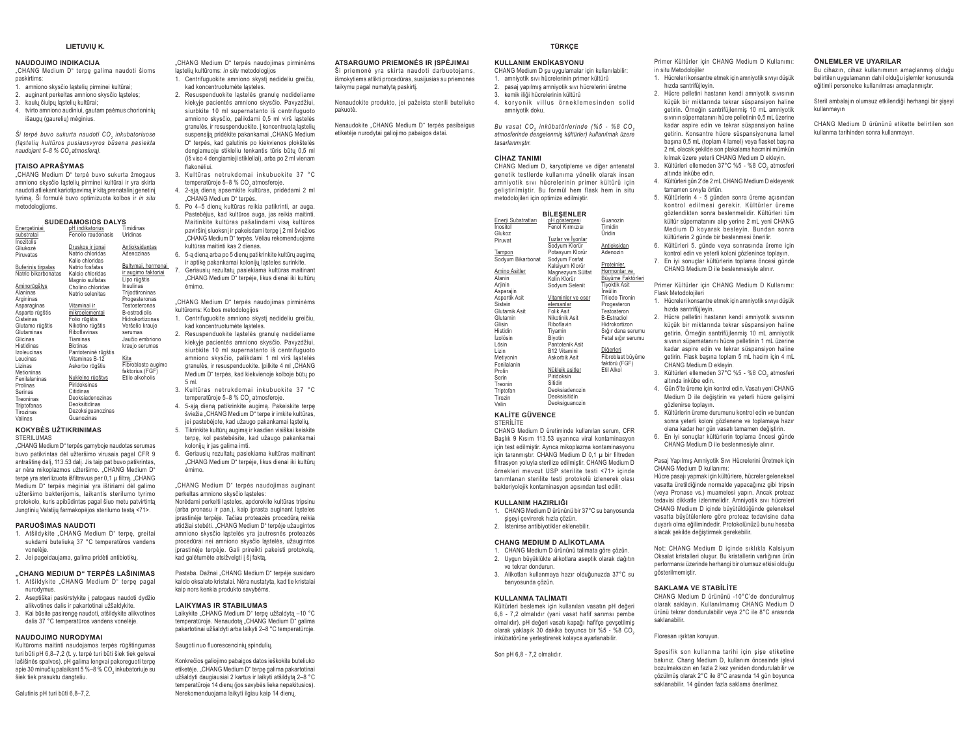#### LIETUVIU K.

#### **NAUDOJIMO INDIKACIJA**

"CHANG Medium D" terpe galima naudoti šioms naskirtims:

- amniono skysčio ląstelių pirminei kultūrai; auginant perkeltas amniono skysčio lasteles:
- kaulu čiulou lasteliu kultūrai:
- 4. tvirto amniono audiniui, gautam paėmus chorioninių

išaugu (gaureliu) mėginius.

Ši terné buvo sukurta naudoti CO, inkubatoriuose (ląstelių kultūros pusiausvyros būsena pasiekta naudojant 5-8 % CO atmosfera).

#### **ITAISO APRAŠYMAS**

"CHANG Medium D" terpė buvo sukurta žmogaus amniono skysčio ląstelių pirminei kultūrai ir yra skirta naudoti atliekant kariotipavimą ir kitą prenatalinį genetinį tyrima. Ši formulė buvo optimizuota kolbos ir in situ metodologijoms

## **SUDEDAMOSIOS DALYS**

| Energetiniai        | pri indikatorius    | rimidinas            |
|---------------------|---------------------|----------------------|
| substratai          | Fenolio raudonasis  | Uridinas             |
| Inozitolis          |                     |                      |
| Gliukozė            | Druskos ir jonai    | Antioksidantas       |
| Piruvatas           | Natrio chloridas    | Adenozinas           |
|                     | Kalio chloridas     |                      |
| Buferinis tirpalas  | Natrio fosfatas     | Baltymai, hormonai   |
| Natrio bikarbonatas | Kalcio chloridas    | ir augimo faktoriai  |
|                     | Magnio sulfatas     | Lipo rūgštis         |
| <u>Aminorūgštys</u> | Cholino chloridas   | Insulinas            |
| Alaninas            | Natrio selenitas    | Trijodtironinas      |
| Argininas           |                     | Progesteronas        |
| Asparaginas         | Vitaminai ir        | Testosteronas        |
| Asparto rūgštis     | mikroelementai      | <b>B-estradiolis</b> |
| Cisteinas           | Folio rūgštis       | Hidrokortizonas      |
| Glutamo rūgštis     | Nikotino rūgštis    | Veršelio kraujo      |
| Glutaminas          | Riboflavinas        | serumas              |
| Glicinas            | Tiaminas            | Jaučio embriono      |
| Histidinas          | <b>Biotinas</b>     | kraujo serumas       |
| Izoleucinas         | Pantoteninė rūgštis |                      |
| Leucinas            | Vitaminas B-12      | Kita                 |
| Lizinas             | Askorbo rūgštis     | Fibroblasto augimo   |
| Metioninas          |                     | faktorius (FGF)      |
| Fenilalaninas       | Nukleino rūgštys    | Etilo alkoholis      |
| Prolinas            | Piridoksinas        |                      |
| Serinas             | Citidinas           |                      |
| Treoninas           | Deoksiadenozinas    |                      |
| Triptofanas         | Deoksitidinas       |                      |
| Tirozinas           | Dezoksiguanozinas   |                      |
| Valinas             | Guanozinas          |                      |
|                     |                     |                      |

#### **KOKYBĖS UŽTIKRINIMAS** STERILUMAS

"CHANG Medium D" terpės gamyboje naudotas serumas buvo patikrintas dėl užteršimo virusais pagal CFR 9 antraštine dali. 113.53 dali. Jis taip pat buvo patikrintas. ar nėra mikoplazmos užteršimo. "CHANG Medium D" ternė vra sterilizuota išfiltravus per 0.1 u filtra. "CHANG Medium D" terpės mėginiai yra ištiriami dėl galimo užteršimo bakterijomis, laikantis sterilumo tyrimo protokolo, kuris apibūdintas pagal šiuo metu patvirtintą Jungtinių Valstijų farmakopėjos sterilumo testą <71>.

#### PARUOŠIMAS NAUDOTI

- 1. Atšildykite "CHANG Medium D" terpę, greitai sukdami buteliuka 37 °C temperatūros vandens onelèje
- 2. Jei pageidaujama, galima pridėti antibiotikų.

#### "CHANG MEDIUM D" TERPĖS LAŠINIMAS

- 1. Atšildykite "CHANG Medium D" terpę pagal nurodymus
- 2. Aseptiškai paskirstykite į patogaus naudoti dydžio alikvotines dalis ir pakartotinai užšaldykite.
- 3. Kai būsite pasirengę naudoti, atšildykite alikvotines dalis 37 °C temperatūros vandens vonelėje.

#### NAUDOJIMO NURODYMAI

Kultūroms maitinti naudojamos terpės rūgštingumas turi būti pH 6,8-7,2 (t. y. terpė turi būti šiek tiek gelsvai lašišinės spalvos). pH galima lengvai pakoreguoti terpę apie 30 minučių palaikant 5 %-8 % CO, inkubatoriuje su šiek tiek prasuktu dangteliu.

Galutinis pH turi būti 6,8-7,2.

"CHANG Medium D" terpės naudojimas pirminėms lastelių kultūroms: in situ metodologijos

1. Centrifuguokite amniono skysti nedideliu greičiu. kad koncentruotumėte lasteles. 2. Resuspenduokite lastelės granulę nedideliame

- kiekvie pacientės amniono skysčio. Pavyzdžiui. siurbkite 10 ml supernatanto iš centrifuguoto amniono skysčio, palikdami 0.5 ml virš lastelės granulés, ir resuspenduokite. I koncentruota lasteliu suspensiją pridėkite pakankamai "CHANG Medium D" terpės, kad galutinis po kiekvienos plokštelės dengiamuoju stiklelju tenkantis tūris būtu 0.5 ml (iš viso 4 dengiamieji stikleliai), arba po 2 ml vienam .<br>flakonėliui
- 3. Kultūras netrukdomai inkubuokite 37 °C temperatūroje 5-8 % CO atmosferoje
- 4. 2-aja diena apsemkite kultūras, pridėdami 2 ml "CHANG Medium D" terpės.
	- 5. Po 4-5 dienų kultūras reikia patikrinti, ar auga. Pastebėjus, kad kultūros auga, jas reikia maitinti. Maitinkite kultūras pašalindami visa kultūros paviršini sluoksni ir pakeisdami terpe i 2 ml šviežios .<br>CHANG Medium D" terpes. Vėliau rekomenduojama .<br>kultūras maitinti kas 2 dienas.
- 6. 5-a diena arba po 5 dienu patikrinkite kultūru augima
- ir aptike pakankamai koloniju lasteles surinkite. 7 Geriausiu rezultatu pasiekiama kultūras maitinant "CHANG Medium D" terpėje, likus dienai iki kultūrų

CHANG Medium D" terpès naudoiimas pirminèms kultūroms: Kolbos metodologijos

- 1 Centrifuguokite amniono skysti nedideliu greičiu kad koncentruotumėte ląsteles.
- 2. Resuspenduokite lastelės granulę nedideliame kiekyje pacientės amniono skysčio. Pavyzdžiui, siurhkite 10 ml sunernatanto iš centrifuguoto amniono skysčio, palikdami 1 ml virš lastelės aranulés, ir resuspenduokite, loilkite 4 ml .CHANG Medium D" terpės, kad kiekvienoje kolboje būtų po
- 3. Kultūras netrukdomai inkubuokite 37 °C temperatūroje 5-8 % CO, atmosferoje.
- 4. 5-aia diena patikrinkite augima. Pakeiskite terne šviežia "CHANG Medium D" terpe ir imkite kultūras, jei pastebėjote, kad užaugo pakankamai ląstelių.
- 5. Tikrinkite kultūrų augimą ir kasdien visiškai keiskite terpę, kol pastebėsite, kad užaugo pakankamai koloniju ir ias nalima imti
- 6. Geriausių rezultatų pasiekiama kultūras maitinant "CHANG Medium D" terpėje, likus dienai iki kultūru  $\Delta$ mimo

"CHANG Medium D" terpės naudojimas auginant nerkeltas amniono skysčio lasteles:

Noredami perkelti lasteles, apdorokite kultūras tripsinu (arba pronasu ir pan.), kaip įprasta auginant ląsteles prastinėje terpėje. Tačiau proteazės procedūra reikia atidžiai stebėti. "CHANG Medium D" terpėje užaugintos amniono skysčio ląstelės yra jautresnės proteazės procedūrai nei amniono skysčio lastelės, užaugintos prastinėje terpėje. Gali prireikti pakeisti protokolą, .<br>kad galėtumėte atsižvelgti į šį fakta.

Pastaba. Dažnai "CHANG Medium D" terpėje susidaro kalcin oksalato kristalai. Nėra nustatyta, kad tie kristalai kaip nors kenkia produkto savvbėms.

#### **LAIKYMAS IR STABILUMAS**

Laikykite "CHANG Medium D" terpe užšaldyta -10 °C temperatūroje. Nenaudota "CHANG Medium D" galima pakartotinai užšaldyti arba laikyti 2-8 °C temperatūroje.

Saugoti nuo fluorescencinių spindulių.

Konkrečios galiojimo pabajgos datos ješkokite buteljuko etiketeie. CHANG Medium D" terne galima pakartotinai užšaldyti daugiausiai 2 kartus ir laikyti atšildyta 2–8 °C. temperatūroje 14 dienų (jos savybės lieka nepakitusios). Nerekomenduojama laikyti ilgiau kaip 14 dienų.

#### ATSARGUMO PRIEMONĖS IR ĮSPĖJIMAI .<br>Ši priemonė yra skirta naudoti darbuotojams,

išmokytiems atlikti procedūras, susijusias su priemonės taikymu pagal numatytą paskirtį.

Nenaudokite produkto, jei pažeista sterili buteliuko pakuotė.

Nenaudokite "CHANG Medium D" terpės pasibaigus etiketėje nurodytai galiojimo pabaigos datai.

TÜRKCE

#### **KULLANIM ENDİKASYONU** CHANG Medium D su uygulamalar için kullanılabilir:

1. amnivotik sıvı hücrelerinin primer kültürü 2. pasaj yapılmış amniyotik sıvı hücrelerini üretme

- 3 kemik iliği hücrelerinin kültürü 4. korvonik villus örneklemesinden solid
- amnivotik doku.

Bu vasat CO, inkübatörlerinde (%5 - %8 CO, atmosferinde dengelenmis kültürler) kullanılmak üzere tasarlanmıştır

#### **CİHAZ TANIMI**

CHANG Medium D. karvotipleme ve diğer antenatal genetik testlerde kullanıma yönelik olarak insan amniyotik sıvı hücrelerinin primer kültürü için geliştirilmiştir. Bu formül hem flask hem in situ metodolojileri için optimize edilmiştir.

**BİLESENLER** 

| Enerji Substratları<br>nositol | pH gőstergesi<br>Fenol Kırmızısı | Guanozin<br>Timidin  |
|--------------------------------|----------------------------------|----------------------|
| Glukoz                         |                                  | Uridin               |
| <sup>2</sup> iruvat            | Tuzlar ve İyonlar                |                      |
|                                | Sodyum Klorür                    | Antioksidan          |
| ampon                          | Potasyum Klorür                  | Adenozin             |
| Sodyum Bikarbonat              | Sodyum Fosfat                    |                      |
|                                | Kalsiyum Klorür                  | Proteinler,          |
| Amino Asitler                  | Magnezyum Sülfat                 | Hormonlar ve         |
| Vanin                          | Kolin Klorür                     | Büyüme Faktörleri    |
| <b>Arjinin</b>                 | Sodyum Selenit                   | <b>Tiyoktik Asit</b> |
| <i><b>Asparajin</b></i>        |                                  | İnsülin              |
| Aspartik Asit                  | Vitaminler ve eser               | Triiodo Tironin      |
| Sistein                        | elemanlar                        | Progesteron          |
| <b>Glutamik Asit</b>           | Folik Asit                       | Testosteron          |
| <b>Glutamin</b>                | Nikotinik Asit                   | <b>B-Estradiol</b>   |
| Glisin                         | Riboflavin                       | Hidrokortizon        |
| listidin                       | Tiyamin                          | Sığır dana serumu    |
| zolösin                        | Biyotin                          | Fetal sığır serumu   |
| .ösin                          | Pantotenik Asit                  |                      |
| .izin                          | B12 Vitamini                     | Diğerleri            |
| <b>Aetiyonin</b>               | Askorbik Asit                    | Fibroblast büyüme    |
| enilalanin                     |                                  | faktörü (FGF)        |
| Prolin                         | Nükleik asitler                  | Etil Alkol           |
| Serin                          | Piridoksin                       |                      |
| reonin                         | <b>Sitidin</b>                   |                      |
| riptofan                       | Deoksiadenozin                   |                      |
| Tirozin                        | Deoksisitidin                    |                      |
| /alin                          | Deoksiguanozin                   |                      |
|                                |                                  |                      |

#### **KALİTE GÜVENCE STERILITE**

CHANG Medium D üretiminde kullanılan serum. CFR Başlık 9 Kısım 113.53 uyarınca viral kontaminasyon için test edilmiştir. Ayrıca mikoplazma kontaminasyonu icin taranmıştır. CHANG Medium D 0.1 u bir filtreden filtrasvon voluvla sterilize edilmistir. CHANG Medium D örnekleri meycut USP sterilite testi <71> icinde tanımlanan sterilite testi protokolü izlenerek olası bakteriyolojik kontaminasyon açısından test edilir.

#### KULLANIM HAZIRLIĞI

- 1. CHANG Medium D ürününü bir 37°C su banyosunda sisevi cevirerek hızla cözün
- 2. Istenirse antibiyotikler eklenebilir.

#### CHANG MEDIUM D ALIKOTLAMA

- 1. CHANG Medium D ürününü talimata göre cözün.
- 2. Uygun büyüklükte alikotlara aseptik olarak dağıtın ve tekrar dondurun
- 3. Alikotları kullanmaya hazır olduğunuzda 37°C su banyosunda çözün.

#### KULLANMA TALİMATI

Kültürleri beslemek için kullanılan vasatın pH değeri 6,8 - 7,2 olmalıdır (yani vasat hafif sarımsı pembe olmalıdır). pH değeri vasatı kapağı hafifce gevsetilmiş olarak yaklaşık 30 dakika boyunca bir %5 - %8 CO, inkübatörüne verlestirerek kolavca avarlanabilir.

Son nH 6 8 - 7 2 olmalıdır.

Primer Kültürler için CHANG Medium D Kullanımı: in situ Metodolojiler

- 1. Hücreleri konsantre etmek için amniyotik sıyıyı düsük hızda santrifüilevin
	- 2. Hücre pelletini hastanın kendi amniyotik sıyısının küçük bir miktarında tekrar süsnansiyon haline getirin. Örneğin santrifüjlenmiş 10 mL amnivotik sivinin süpernatanını hücre pelletinin 0,5 mL üzerine kadar aspire edin ve tekrar süspansiyon haline getirin. Konsantre hücre süspansiyonuna lamel basina 0.5 mL (toplam 4 lamel) veva flasket basina 2 ml. olacak sekilde son plakalama hacmini mümkün kılmak üzere yeterli CHANG Medium D ekleyin.
	- 3. Kültürleri ellemeden 37°C %5 %8 CO, atmosferi altında inkübe edin. 4. Kültürleri gün 2'de 2 mL CHANG Medium D ekleverek
	- tamamen sıvıyla örtün 5. Kültürlerin 4 - 5 günden sonra üreme açısından
	- kontrol edilmesi gerekir. Kültürler üreme gözlendikten sonra beslenmelidir. Kültürleri tüm kültür süpernatanını alıp yerine 2 mL yeni CHANG Medium D kovarak beslevin. Bundan sonra kültürlerin 2 günde bir beslenmesi önerilir.
	- 6. Kültürleri 5. günde veya sonrasında üreme için kontrol edin ve yeterli koloni gözlenince toplayın.
	- 7. En iyi sonuçlar kültürlerin toplama öncesi günde CHANG Medium D ile beslenmesiyle alınır.

Primer Kültürler icin CHANG Medium D Kullanımı: Flask Metodolojileri

- 1. Hücreleri konsantre etmek için amniyotik sıyıyı düşük hızda santrifüilevin.
- 2. Hücre pelletini hastanın kendi amniyotik sıyısının kücük bir miktarında tekrar süspansiyon haline getirin. Örneğin santrifüjlenmis 10 mL amnivotik sivinin sünernatanını hücre nelletinin 1 ml üzerine kadar aspire edin ve tekrar süspansiyon haline getirin. Flask basına toplam 5 mL hacim icin 4 mL CHANG Medium D eklevin.
- 3. Kültürleri ellemeden 37°C %5 %8 CO. atmosferi altında inkübe edin
- 4. Gün 5'te üreme için kontrol edin. Vasatı yeni CHANG Medium D ile değiştirin ve yeterli hücre gelişimi gözlenirse toplayın.
- 5. Kültürlerin üreme durumunu kontrol edin ve bundan sonra veterli koloni gözlenene ve toplamaya hazır olana kadar her gün vasatı tamamen değiştirin.
- 6. En iyi sonuçlar kültürlerin toplama öncesi günde CHANG Medium D ile beslenmesivle alınır.

#### Pasaj Yapılmış Amniyotik Sıvı Hücrelerini Üretmek için CHANG Medium D kullanımı:

Hücre pasajı yapmak için kültürlere, hücreler geleneksel vasatta üretildiğinde normalde yapacağınız gibi tripsin (veya Pronase vs.) muamelesi yapın. Ancak proteaz tedavisi dikkatle izlenmelidir. Amnivotik sıvı hücreleri CHANG Medium D icinde büyütüldüğünde geleneksel vasatta büyütülenlere göre proteaz tedavisine daha duyarlı olma eğilimindedir. Protokolünüzü bunu hesaba alacak şekilde değiştirmek gerekebilir.

Not: CHANG Medium D içinde sıklıkla Kalsiyum Oksalat kristalleri olusur. Bu kristallerin varlığının ürün performansı üzerinde herhangi bir olumsuz etkisi olduğu gösterilmemistir

#### **SAKLAMA VE STABİLİTE**

CHANG Medium D ürününü -10°C'de dondurulmus olarak saklavın. Kullanılmamıs CHANG Medium D ürünü tekrar dondurulabilir veya 2°C ile 8°C arasında saklanahilir

Floresan isiktan koruvun.

Spesifik son kullanma tarihi icin sise etiketine bakınız. Chang Medium D, kullanım öncesinde işlevi bozulmaksızın en fazla 2 kez veniden dondurulabilir ve cözülmüs olarak 2°C ile 8°C arasında 14 gün boyunca saklanabilir. 14 günden fazla saklama önerilmez

#### ÖNLEMLER VE UYARILAR

Bu cihazın, cihaz kullanımının amaclanmıs olduğu belirtilen uvgulamanın dahil olduğu islemler konusunda eğitimli personelce kullanılması amaçlanmıştır.

Steril ambalajın olumsuz etkilendiği herhangi bir sisevi kullanmavin

CHANG Medium D ürününü etikette belirtilen son kullanma tarihinden sonra kullanmavın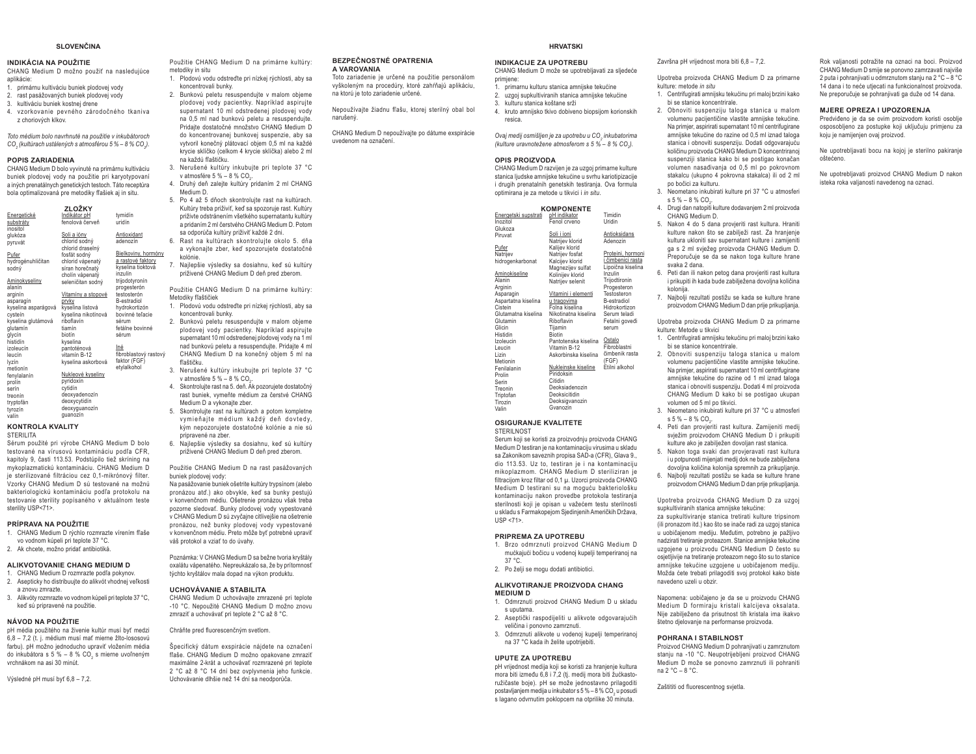#### **SLOVENČINA**

#### **INDIKÁCIA NA POUŽITIE**

CHANG Medium D možno použiť na nasledujúce aplikácie:

- 1. primárnu kultiváciu buniek plodovej vody
- 2. rast pasážovaných buniek plodovej vody
- 3. kultiváciu buniek kostnej drene
- 4. vzorkovanie pevného zárodočného tkaniva z choriových klkov.

Toto médium bolo navrhnuté na použitie v inkubátoroch CO. (kultúrach ustálených s atmosférou 5 % - 8 % CO.).

#### **POPIS ZARIADENIA**

CHANG Medium D bolo vyvinuté na primárnu kultiváciu buniek plodovej vody na použitie pri karvotvpovaní a iných prenatálnych genetických testoch. Táto receptúra bola optimalizovaná pre metodiky fľašiek aj in situ.

|                     | ZLOŽKY                    |                       |
|---------------------|---------------------------|-----------------------|
| Energetické         | Indikátor pH              | tymidín               |
| substráty           | fenolová červeň           | uridín                |
| inositol            |                           |                       |
| alukóza             | Soli a ióny               | Antioxidant           |
| pyruvát             | chlorid sodný             | adenozín              |
|                     | chlorid draselný          |                       |
| Pufer               | fosfát sodný              | Bielkoviny, hormóny   |
| hydrogénuhličitan   | chlorid vápenatý          | a rastové faktory     |
| sodný               | síran horečnatý           | kyselina tioktová     |
|                     | cholín vápenatý           | inzulín               |
| Aminokyseliny       | seleničitan sodný         | trijodotyronín        |
| alanín              |                           | progesterón           |
| arginín             | <u>Vitamíny a stopové</u> | testosterón           |
| asparagín           | prvky                     | <b>B-estradiol</b>    |
| kyselina asparágová | kyselina listová          | hydrokortizón         |
| cystein             | kyselina nikotínová       | bovinné teľacie       |
| kyselina glutámová  | riboflavín                | sérum                 |
| glutamín            | tiamín                    | fetálne bovinné       |
| glycín              | biotín                    | sérum                 |
| histidín            | kvselina                  |                       |
| izoleucín           | pantoténová               | Iné                   |
| leucín              | vitamín B-12              | fibroblastový rastový |
| lvzín               | kyselina askorbová        | faktor (FGF)          |
| metionin            |                           | etylalkohol           |
| fenylalanín         | Nukleové kyseliny         |                       |
| prolín              | pyridoxín                 |                       |
| serín               | cytidín                   |                       |
| treonín             | deoxyadenozín             |                       |
| tryptofán           | deoxycytidín              |                       |
| $h$ <i>readin</i>   | deoxyguanozín             |                       |

acoxygaa<br>quanozín valín

#### **KONTROLA KVALITY STERILITA**

Sérum použité pri výrobe CHANG Medium D bolo testované na vírusovú kontamináciu podľa CFR, kapitoly 9, časti 113.53. Podstúpilo tiež skríning na mykoplazmatickú kontamináciu. CHANG Medium D je sterilizované filtráciou cez 0.1-mikrónový filter Vzorky CHANG Medium D sú testované na možnú bakteriologickú kontamináciu podľa protokolu na testovanie sterility popísaného v aktuálnom teste sterility USP<71>.

#### PRÍPRAVA NA POUŽITIE

- 1. CHANG Medium D rýchlo rozmrazte vírením fľaše vo vodnom kúpeli pri teplote 37 °C.
- 2. Ak chcete, možno pridať antibiotiká.

#### ALIKVOTOVANIE CHANG MEDIUM D

- CHANG Medium D rozmrazte podľa pokynov. 2. Asepticky ho distribuujte do alikvót vhodnej veľkosti
- a znovu zmrazte 3. Alikvótv rozmrazte vo vodnom kúpeli pri teplote 37 °C.
- keď sú pripravené na použitie.

#### NÁVOD NA POLIŽITIE

pH média použitého na živenie kultúr musí byť medzi 6.8 - 7.2 (t. j. médium musí mať mierne žlto-lososovú farbu), pH možno jednoducho upraviť vložením média do inkubátora s 5 % - 8 % CO, s mierne uvoľneným vrchnákom na asi 30 minút

Výsledné pH musí byť 6.8 - 7.2.

Použitie CHANG Medium D na primárne kultúry: metodiky in situ

1. Plodovú vodu odstreďte pri nízkej rýchlosti, aby sa koncentrovali bunky

- 2. Bunkovú peletu resuspendujte v malom objeme plodovej vody pacientky. Napríklad aspirujte supernatant 10 ml odstredenej plodovej vody na 0.5 ml nad bunkovú peletu a resuspenduite. Pridaite dostatočné množstvo CHANG Medium D do koncentrovanej bunkovej suspenzie, aby sa vytvoril konečný plátovací objem 0,5 ml na každé krycie sklíčko (celkom 4 krycie sklíčka) alebo 2 ml na každú fľaštičku
- 3. Nerušené kultúry inkubujte pri teplote 37 °C v atmosfére 5 % - 8 % CO.
- 4. Druhý deň zaleite kultúry pridaním 2 ml CHANG Medium D.
- 5 Po 4 až 5 dňoch skontroluite rast na kultúrach Kultúry treba priživiť, keď sa spozoruje rast. Kultúry priživte odstránením všetkého supernatantu kultúry a pridaním 2 ml čerstvého CHANG Medium D. Potom sa odporúča kultúry priživiť každé 2 dni.
- 6. Rast na kultúrach skontrolujte okolo 5. dňa a vykonajte zber, keď spozorujete dostatočné kolónie.
- 7. Najlepšie výsledky sa dosiahnu, keď sú kultúry priživené CHANG Medium D deň pred zberom.

Použitie CHANG Medium D na primárne kultúry: Metodiky fľaštičiek

- 1. Plodovú vodu odstreďte pri nízkej rýchlosti, aby sa koncentrovali bunky.
- 2. Bunkovú peletu resuspendujte v malom objeme plodovej vody pacientky. Napríklad aspiruite supernatant 10 ml odstredenei plodovei vody na 1 ml nad bunkovú peletu a resuspendujte. Pridajte 4 ml CHANG Medium D na konečný objem 5 ml na fľačtičku
- 3. Nerušené kultúry inkubujte pri teplote 37 °C v atmosfére 5 %  $-$  8 % CO<sub>2</sub>.
- 4. Skontrolujte rast na 5. deň. Ák pozorujete dostatočný rast buniek, vymeňte médium za čerstvé CHANG Medium D a vykonaite zher
- 5. Skontrolujte rast na kultúrach a potom kompletne vymieňajte médium každý deň dovtedy, kým nepozorujete dostatočné kolónie a nie sú nrinravené na zher
- 6. Najlepšie výsledky sa dosiahnu, keď sú kultúry priživené CHANG Medium D deň pred zberom.

Použitie CHANG Medium D na rast pasážovaných buniek plodovej vody:

Na pasážovanie buniek ošetrite kultúry trypsínom (alebo pronázou atď.) ako obvykle, keď sa bunky pestujú v konvenčnom médiu. Ošetrenie pronázou však treba pozorne sledovať. Bunky plodovej vody vypestované v CHANG Medium D sú zvyčajne citlivejšie na ošetrenie pronázou, než bunky plodovej vody vypestované v konvenčnom médiu. Preto môže byť potrebné upraviť váš protokol a vziať to do úvahy.

Poznámka: V CHANG Medium D sa bežne tvoria kryštály oxalátu vápenatého. Nepreukázalo sa, že by prítomnosť týchto krvštálov mala dopad na výkon produktu.

#### **IICHOVÁVANIE A STARILITA**

CHANG Medium D uchovávaite zmrazené pri teplote -10 °C. Nepoužité CHANG Medium D možno znovu zmraziť a uchovávať pri teplote 2 °C až 8 °C.

#### Chráňte pred fluorescenčným svetlom.

Špecifický dátum exspirácie náidete na označení fľaše. CHANG Medium D možno opakovane zmraziť maximálne 2-krát a uchovávať rozmrazené pri teplote 2 °C až 8 °C 14 dní bez ovplyvnenia jeho funkcie. Uchovávanie dlhšie než 14 dní sa neodnorúča

#### **BEZPEČNOSTNÉ OPATRENIA** A VAROVANIA

Toto zariadenie je určené na použitie personálom vyškoleným na procedúry, ktoré zahŕňajú aplikáciu. na ktorú je toto zariadenie určené.

Nepoužívaite žiadnu fľašu, ktorei sterilný obal bol narušený.

CHANG Medium D nepoužívajte po dátume exspirácie ivedenom na označení

# **HRVATSKI**

#### **INDIKACIJE ZA UPOTREBU** CHANG Medium D može se upotrebljavati za sljedeće

- nrimiene: 1. primarnu kulturu stanica amnijske tekućine
- uzgoi supkultiviranih stanica amnijske tekućine
- kulturu stanica koštane srži kruto amnijsko tkivo dobiveno biopsijom korionskih

resica

Ovai medii osmišlien je za upotrebu u CO, inkubatorima (kulture uravnotežene atmosferom s 5 % - 8 % CO.).

#### **OPIS PROIZVODA**

CHANG Medium D razvijen je za uzgoj primarne kulture stanica liudske amnijske tekućine u svrhu kariotipizacije i drugih prenatalnih genetskih testiranja. Ova formula optimirana je za metode u tikvici i in situ. **KOMPONENTE** 

| <b>KOMPONENTE</b> |                      |                      |                    |  |  |  |  |
|-------------------|----------------------|----------------------|--------------------|--|--|--|--|
|                   | Energetski supstrati | pH indikator         | Timidin            |  |  |  |  |
|                   | Inozitol             | Fenol crveno         | Uridin             |  |  |  |  |
|                   | Glukoza              |                      |                    |  |  |  |  |
|                   | Piruvat              | Soli i ioni          | Antioksidans       |  |  |  |  |
|                   |                      | Natrijev klorid      | Adenozin           |  |  |  |  |
|                   | Pufer                | Kalijev klorid       |                    |  |  |  |  |
|                   | Natrijev             | Natrijev fosfat      | Proteini, hormoni  |  |  |  |  |
|                   | hidrogenkarbonat     | Kalcijev klorid      | i čimbenici rasta  |  |  |  |  |
|                   |                      | Magnezijev sulfat    | Lipoična kiselina  |  |  |  |  |
|                   | Aminokiseline        | Kolinijev klorid     | Inzulin            |  |  |  |  |
|                   | Alanin               | Natrijev selenit     | Trijodtironin      |  |  |  |  |
|                   | Arginin              |                      | Progesteron        |  |  |  |  |
|                   | Asparagin            | Vitamini i elementi  | Testosteron        |  |  |  |  |
|                   | Aspartatna kiselina  | u tragovima          | <b>B-estradiol</b> |  |  |  |  |
|                   | Cistein              | Folna kiselina       | Hidrokortizon      |  |  |  |  |
|                   | Glutamatna kiselina  | Nikotinatna kiselina | Serum teladi       |  |  |  |  |
|                   | Glutamin             | Riboflavin           | Fetalni goveđi     |  |  |  |  |
|                   | Glicin               | Tijamin              | serum              |  |  |  |  |
|                   | Histidin             | <b>Biotin</b>        |                    |  |  |  |  |
|                   | Izoleucin            | Pantotenska kiselina | Ostalo             |  |  |  |  |
|                   | Leucin               | Vitamin B-12         | Fibroblastni       |  |  |  |  |
|                   | Lizin                | Askorbinska kiselina | čimbenik rasta     |  |  |  |  |
|                   | Metionin             |                      | (FGF)              |  |  |  |  |
|                   | Fenilalanin          | Nukleinske kiseline  | Etilni alkohol     |  |  |  |  |
|                   | Prolin               | Piridoksin           |                    |  |  |  |  |
|                   | Serin                | Citidin              |                    |  |  |  |  |
|                   | Treonin              | Deoksiadenozin       |                    |  |  |  |  |
|                   | Triptofan            | Deoksicitidin        |                    |  |  |  |  |
|                   | Tirozin              | Deoksigvanozin       |                    |  |  |  |  |
|                   | Valin                | Gvanozin             |                    |  |  |  |  |
|                   |                      |                      |                    |  |  |  |  |

# **OSIGURANJE KVALITETE**

**STERILNOST** Serum koji se koristi za proizvodnju proizvoda CHANG Medium D testiran je na kontaminaciju virusima u skladu sa Zakonikom saveznih propisa SAD-a (CFR), Glava 9. dio 113.53 Uz to testiran je i na kontaminaciju mikoplazmom. CHANG Medium D steriliziran je filtracijom kroz filtar od 0,1 µ. Uzorci proizvoda CHANG Medium D testirani su na moguću bakteriološku kontaminaciju nakon provedbe protokola testiranja

sterilnosti koji je opisan u važećem testu sterilnosti u skladu s Farmakopejom Sjedinjenih Američkih Država,  $IISP < 71$ 

#### PRIPREMA ZA UPOTREBU

- 1. Brzo odmrznuti proizvod CHANG Medium D mućkajući bočicu u vodenoj kupelji temperiranoj na  $37 °C$
- 2. Po želji se mogu dodati antibiotici.

#### ALIKVOTIRANJE PROIZVODA CHANG MEDIUM D

- 1. Odmrznuti proizvod CHANG Medium D u skladu s uputama.
- 2. Aseptički raspodijeliti u alikvote odgovarajućih veličina i ponovno zamrznuti.
- 3. Odmrznuti alikvote u vodenoj kupelji temperiranoj na 37 °C kada ih želite upotrijebiti.

#### **UPUTE ZA UPOTREBU**

pH vrijednost medija koji se koristi za hranjenje kultura mora biti između 6,8 i 7,2 (tj. medij mora biti žućkastoružičaste boje). pH se može jednostavno prilagoditi postavljanjem medija u inkubator s 5 % - 8 % CO, u posudi s lagano odvrnutim poklopcem na otprilike 30 minuta.

Završna pH vrijednost mora biti 6,8 - 7,2.

- Upotreba proizvoda CHANG Medium D za primarne kulture: metode in situ
- 1. Centrifugirati amnijsku tekućinu pri maloj brzini kako bi se stanice koncentrirale.
- 2. Obnoviti suspenziju taloga stanica u malom volumenu pacijentičine vlastite amnijske tekućine. Na primier, aspirirati supernatant 10 ml centrifugirane amnijske tekućine do razine od 0.5 ml iznad taloga stanica i obnoviti suspenziju. Dodati odgovarajuću količinu proizvoda CHANG Medium D koncentriranoj suspenziji stanica kako bi se postigao konačan volumen nasađivanja od 0,5 ml po pokrovnom stakalcu (ukupno 4 pokrovna stakalca) ili od 2 ml
- no bočici za kulturu. 3. Neometano inkubirati kulture pri 37 °C u atmosferi  $5\% - 8\%$  CO
- 4. Drugi dan natopiti kulture dodavanjem 2 ml proizvoda CHANG Medium D.
- 5. Nakon 4 do 5 dana provjeriti rast kultura. Hraniti kulture nakon što se zabilježi rast. Za hranjenje kultura ukloniti sav supernatant kulture i zamijeniti ga s 2 ml svježeg proizvoda CHANG Medium D. Preporučuje se da se nakon toga kulture hrane svaka 2 dana.
- 6. Peti dan ili nakon petog dana provjeriti rast kultura i prikupiti ih kada bude zabilježena dovoljna količina kolonija
- 7. Najbolij rezultati postižu se kada se kulture hrane proizvodom CHANG Medium D dan prije prikupljanja.

Upotreba proizvoda CHANG Medium D za primarne kulture: Metode u tikvici

- 1. Centrifugirati amnijsku tekućinu pri maloj brzini kako hi se stanice koncentrirale
- 2. Obnoviti suspenziju taloga stanica u malom volumenu pacijentičine vlastite amnijske tekućine. Na primier, aspirirati supernatant 10 ml centrifugirane amnijske tekućine do razine od 1 ml iznad taloga stanica i obnoviti suspenziju. Dodati 4 ml proizvoda CHANG Medium D kako bi se postigao ukupan volumen od 5 ml no tikvici
- 3. Neometano inkubirati kulture pri 37 °C u atmosferi  $s.5\% - 8\%$  CO.
- 4. Peti dan provjeriti rast kultura. Zamijeniti medij sviežim proizvodom CHANG Medium D i prikupiti kulture ako je zabilježen dovoljan rast stanica
- 5. Nakon toga svaki dan provjeravati rast kultura i u potpunosti mijenjati medij dok ne bude zabilježena dovolina količina kolonija spremnih za prikupljanje.
- 6 Najbolii rezultati postižu se kada se kulture brane proizvodom CHANG Medium D dan prije prikupljanja.

#### Upotreba proizvoda CHANG Medium D za uzgoj supkultiviranih stanica amnijske tekućine:

za sunkultiviranje stanica tretirati kulture trinsinom (ili pronazom itd.) kao što se inače radi za uzgoj stanica u uobičajenom mediju. Međutim, potrebno je pažljivo nadzirati tretiranje proteazom. Stanice amnijske tekućine uzgojene u proizvodu CHANG Medium D često su osjetljivije na tretiranje proteazom nego što su to stanice amnijske tekućine uzgojene u uobičajenom mediju. Možda ćete trebati prilagoditi svoj protokol kako biste navedeno uzeli u obzir

Napomena: uobičajeno je da se u proizvodu CHANG Medium D formiraju kristali kalcijeva oksalata. Nije zabilježeno da prisutnost tih kristala ima ikakvo štetno dielovanie na performanse proizvoda.

#### POHRANA I STARII NOST

Proizvod CHANG Medium D pohranjivati u zamrznutom stanju na -10 °C. Neupotrijebljeni proizvod CHANG Medium D može se ponovno zamrznuti ili pohraniti na 2 °C - 8 °C.

Zaštititi od fluorescentnog svjetla.

Rok valjanosti potražite na oznaci na boci. Proizvod CHANG Medium D smije se ponovno zamrzavati najviše 2 puta i pohraniivati u odmrznutom staniu na 2 °C - 8 °C 14 dana i to neće utiecati na funkcionalnost proizvoda. Ne preporučuje se pohranijvati ga duže od 14 dana.

#### MJERE OPREZA I UPOZORENJA

Predviđeno je da se ovim proizvodom koristi osoblje osposobljeno za postupke koji uključuju primjenu za koju je namijenjen ovaj proizvod.

Ne upotrebljavati bocu na kojoj je sterilno pakiranje

Ne upotrebliavati proizvod CHANG Medium D nakon isteka roka valianosti navedenog na oznaci.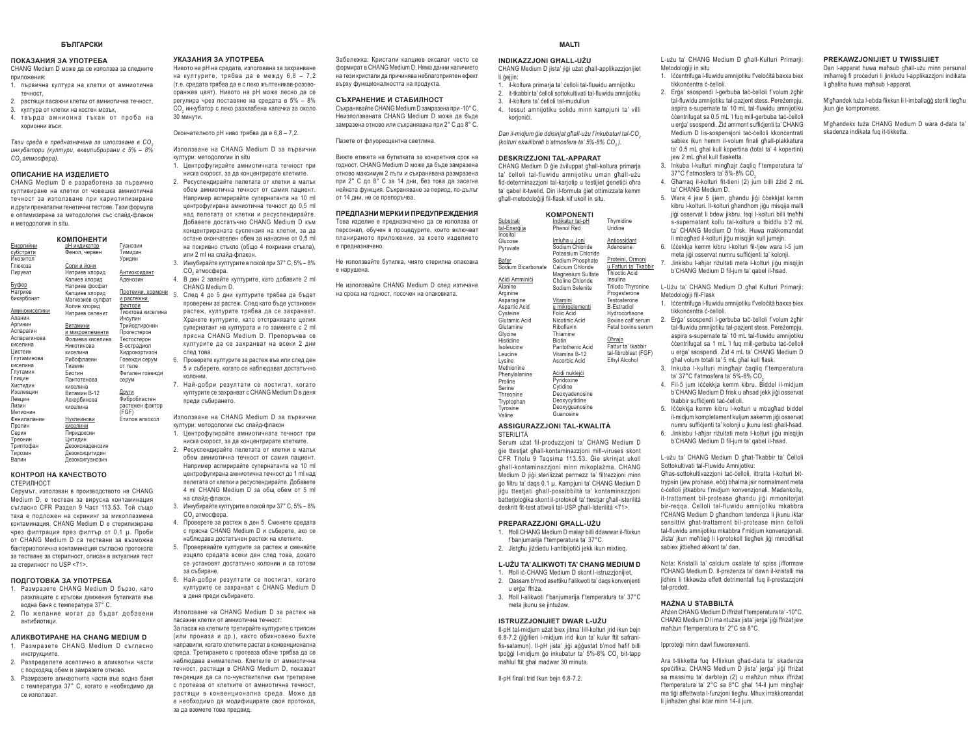#### **БЪЛГАРСКИ**

#### ПОКАЗАНИЯ ЗА УПОТРЕБА CHANG Medium D може да се използва за следните

приложения<sup>.</sup> 1. първична култура на клетки от амниотична

- течност, 2. растящи пасажни клетки от амниотична течност.
- 3. култура от клетки на костен мозък 4. твърда амнионна тъкан от проба на *XODHOHHH BLCH*

 $T$ ази среда е предназначена за използване в СО.  $u$ нкубатори (култури, еквилибрирани с 5% — 8%

#### ОПИСАНИЕ НА ИЗДЕЛИЕТО

 $CO<sub>z</sub>$ am<sub>Moc</sub>obepal.

CHANG Medium D е разработена за първично **KVUTURUNAHA HA KUATKU OT YORAIIKA AMHUOTUYHA** течност за използване при кариотипизиране и лоуги пренатални генетични тестове. Тази формула e оптимизирана за методология със слайд-флакон **u** Metononorug in situ

| <b>КОМПОНЕНТИ</b> |                  |                      |  |  |  |
|-------------------|------------------|----------------------|--|--|--|
| Енергийни         | рН индикатор     | Гуанозин             |  |  |  |
| субстрати         | Фенол, червен    | Тимидин              |  |  |  |
| Инозитоп          |                  | Уридин               |  |  |  |
| Глюкоза           | Соли и йони      |                      |  |  |  |
| Пируват           | Натриев хлорид   | Ант <u>иоксидант</u> |  |  |  |
|                   | Калиев хлорид    | Аденозин             |  |  |  |
| Буфер             | Натриев фосфат   |                      |  |  |  |
| Натриев           | Калциев хлорид   | Протеини, хормони    |  |  |  |
| бикарбонат        | Магнезиев сулфат | и растежни           |  |  |  |
|                   | Холин хлорид     | фактори              |  |  |  |
| Аминокиселини     | Натриев селенит  | Тиоктова киселина    |  |  |  |
| Апанин            |                  | Инсулин              |  |  |  |
| Аргинин           | Витамини         | Трийодтиронин        |  |  |  |
| Аспарагин         | и микроелементи  | Прогестерон          |  |  |  |
| Аспарагинова      | Фолиева киселина | Тестостерон          |  |  |  |
| киселина          | Никотинова       | В-естрадиол          |  |  |  |
| Цистеин           | киселина         | Хидрокортизон        |  |  |  |
| Глутаминова       | Рибофлавин       | Говежди серум        |  |  |  |
| киселина          | Тиамин           | от теле              |  |  |  |
| Глутамин          | Биотин           | Фетален говежди      |  |  |  |
| Глицин            | Пантотенова      | серум                |  |  |  |
| Хистидин          | киселина         |                      |  |  |  |
| Изолевцин         | Витамин В-12     | Други                |  |  |  |
| Левцин            | Аскорбинова      | Фибробластен         |  |  |  |
| Пизин             | киселина         | растежен фактор      |  |  |  |
| Метионин          |                  | (FGF)                |  |  |  |
| Фенилаланин       | Нуклеинови       | Етилов алкохол       |  |  |  |
| Пролин            | киселини         |                      |  |  |  |
| Серин             | Пиридоксин       |                      |  |  |  |
| Треонин           | Цитидин          |                      |  |  |  |
| Триптофан         | Дезоксиаденозин  |                      |  |  |  |
| Тирозин           | Дезоксицитидин   |                      |  |  |  |
| Валин             | Дезоксигуанозин  |                      |  |  |  |

#### **ɄɈɇɌɊɈɅɇȺɄȺɑȿɋɌȼɈɌɈ**CTEDMUHOCT

серумът, използван в производството на CHANG Medium D, е тестван за вирусна контаминация съгласно CFR Раздел 9 Част 113.53. Той също така е подложен на скрининг за микоплазмена контаминация. CHANG Medium D е стерилизирана чрез филтрация през филтър от 0,1 µ. Проби от CHANG Medium D са тествани за възможна бактериологична контаминация съгласно протокола SA TACTRAHA 3A CTANAHUOCT, ORIGAH B AKTVARHA TACT за стерилност по USP <71>.

#### ПОДГОТОВКА ЗА УПОТРЕБА

- 1. Pasmpasete CHANG Medium D 6ъp30, като **baskualiste c knytobu deuxeums but are and** водна баня с температура 37° С.
- 2. По желание могат да бъдат добавени антибиотици

#### **АЛИКВОТИРАНЕ НА CHANG MEDIUM D**

- 1. Размразете CHANG Medium D съгласно *<u>WHCTNVKIIWWTA</u>*
- 2. Разпределете асептично в аликвотни части с полхолящ обем и замразете отново. 3. Размразете аликвотните части във водна баня
- с температура 37° С. когато е необходимо да CA M30003BAT

#### **VEASAHIA 2A VEOTOEEA**

нивото на рН на средата, използвана за захранване на културите, трябва да е между 6.8 - 7.2 (т.е. средата трябва да е с леко жълтеникав-розовооранжев цвят). Нивото на pH може лесно да се  $i$ егулира чрез поставяне на средата в 5% - 8% CO<sub>2</sub> инкубатор с леко разхлабена капачка за около ЗО минути

Окончателното рН ниво трябва да е 6,8 - 7,2.

Използване на CHANG Medium D за първични култури: методологии in situ

1. Центрофугирайте амниотичната течност при ниска скорост, за да концентрирате клетките.

2. Ресуспендирайте пелетата от клетки в малък **ОБАМ АМНИОТИЧНА ТАЧНОСТ ОТ САМИЯ ПАЦИАНТ** Hапример аспирирайте супернатанта на 10 ml центрофугирана амниотична течност до 0,5 ml над пелетата от клетки и ресуспендирайте. Heg here το είναι το μεγαλύτισμο του το τραγούλου του το προσωπικό του Πράτημα. KOHUAHTDMDAHATA CVCDAH3MS HA KDATKM 38 DA остане окончателен обем за нанасяне от 0.5 ml на покривно стъкло (общо 4 покривни стъкла), или 2 ml на слайл-флакон.

- 3. Инкубирайте културите в покой при 37° С, 5% 8% CO<sub>2</sub> aтмосфера.
- В ден 2 залейте културите, като добавите 2 ml CHANG Medium D. 5. След 4 до 5 дни културите трябва да бъдат

проверени за растеж. След като бъде установен растеж, културите трябва да се захранват. .<br>Хранете културите, като отстранявате целия супернатант на културата и го заменяте с 2 ml **Ingrua CHANG Medium D. Onenontupa re** културите да се захранват на всеки 2 дни CRAT TORA

- 6. Проверете културите за растеж във или след ден 5 и съберете, когато се наблюдават достатъчно  $\mathbf{v}$
- 7. Най-добри резултати се постигат, когато културите се захранват с CHANG Medium D в деня прели събирането.

Използване на CHANG Medium D за първични култури: методологии със слайд-флакон

- 1 **Пентрофугирайте амниотичната течност при** ниска скорост, за да концентрирате клетките.
- 2. Ресуспендирайте пелетата от клетки в малък обем амниотична течност от самия пациент. Hапример аспирирайте супернатанта на 10 ml центрофугирана амниотична течност до 1 ml над пелетата от клетки и ресуспендирайте. Добавете 4 ml CHANG Medium D 38 obju obey of 5 ml на слайл-флакон
- 3. Инкубирайте културите в покой при 37° С. 5% 8% CO<sub>2</sub> aтмосфера.
- 4. Проверете за растеж в ден 5. Сменете средата с прясна CHANG Medium D и съберете, ако се HАблюлава лостатъчен растеж на клетките
- 5. Проверявайте културите за растеж и сменяйте изцяло средата всеки ден след това, докато се установят достатъчно колонии и са готови 33 CLOMANA
- 6 Най-лобри резултати се постигат когато културите се захранват с CHANG Medium D **B B B B**

Използване на CHANG Medium D за растеж на ПАСАЖНИ КЛАТКИ ОТ АМНИОТИЧНА ТАЧНОСТ'

за пасаж на клетките третирайте културите с трипсин (или проназа и др.), както обикновено бихте НАПОАВИЛИ, КОГАТО КЛЕТКИТЕ DACTAT В КОНВЕНЦИОНАЛНА cpena. Третирането с протеаза обаче трябва да се наблюдава внимателно. Клетките от амниотична течност, растящи в CHANG Medium D, показват тенленция ла са по-чувствителни към третиране с протеаза от клетките от амниотична течност, растящи в конвенционална среда. Може да в необходимо да модифицирате своя протокол. 38 B B3AMATA TORA BDARNA

Забележка: Кристали калшиев оксалат често се формират в CHANG Medium D. Няма данни наличието на тези кристали да причинява неблагоприятен ефект **върху функционалността на продукта.** 

#### СЪХРАНЕНИЕ И СТАБИЛНОСТ

Съхранявайте CHANG Medium D замразена при -10°С. Неизползваната CHANG Medium D може да бъде SAMP 39 OF 10 SHOW AND ABOUT A BARBARA SHOW ASSESSMENT A SHOW ASSESSMENT AND A BARBARA SHOW A SHOW A BARBARA SHOW A

Пазете от флуоресцентна светлина

Вижте етикета на бутилката за конкретния срок на ronност CHANG Medium D може да бъде замразена отново максимум 2 пъти и съхранявана размразена при 2° С до 8° С за 14 дни. без това да засегне нейната функция. Съхраняване за период. по-дълъг  $\sigma$ T 14 July 18 Co Dependences

#### ПРЕДПАЗНИ МЕРКИ И ПРЕДУПРЕЖДЕНИЯ

персонал, обучен в процедурите, които включват ΠΠΑΝΜΠΑΝΩ ΩΩ ΦΝΗΦΝΑΝ ΤΗ ΦΙΑΝΑΙΑ ΤΗ ΠΑΝΑΙΑ е предназначено.

Не използвайте бутилка, чиято стерилна опаковка e нарушена.

на срока на годност, посочен на опаковката

| INDIKAZZJONI GHALL-UŻU |  |
|------------------------|--|

CHANG Medium D jista' jiği użat ghall-applikazzjonijiet li òeijin

**MALTI**

- . il-koltura primaria ta' celloli tal-fluwidu amniiotiku 2. it-tkabbir ta' celloli sottokultivati tal-fluwidu amnijotiku
- il-koltura ta' čelloli tal-mudullun
- 4. tessut amnijotiku solidu minn kampjuni ta' villi

Dan il-midjum *ĝie ddisinjat għall-użu f'inkubaturi tal-CO*<sub>2</sub> *NROWIGHT COLORES COLORES SHEM COLORES 18'* 5%-8% CO. 1.

#### **DESKRIZZJONI TAL-APPARAT**

Sodium Bicarbonate Calcium Chloride

korionići

## CHANG Medium D gie żviluppat għall-koltura primarja

Thymidine UridineAntiossidant AdenosineProteini, Ormoni u Fatturi ta' Tkabbir Thioctic AcidInsulina Triiodo Thyronine Progesterone TestosteroneB-Estradiol Hydrocortisone Bovine calf serum Fetal bovine serumOhrain Fattur ta' tkabbir tal-fibroblast (FGF) Ethyl Alcohol

ta' qabel it-twelid. Din il-formula giet ottimizzata kemm ghall-metodologiii fil-flask kif ukoll in situ. **KOMPONENTI**

> Indikatur tal-pH Phenol Red<u>Imluħa u Joni</u><br>Sodium Chloride Potassium Chloride Sodium Phosphate Magnesium Sulfate Choline Chloride Sodium Selenite Vitamini u mikroelementi Folic Acid Nicotinic Acid Riboflavin Thiamine Biotin Pantothenic AcidVitamina B-12Ascorbic Acid

ta' čelloli tal-fluwidu amnijotiku uman ghall-uzu fid-determinazzioni tal-kariotio u testijiet denetici ohra 3. Inkuba I-kulturi minghair caglig f'temperatura ta' 37°C f'atmosfera ta' 5%-8% CO2

Metodoloģiji in situ

tikkončentra č-čelloli

jew 2 mL ghal kull flasketta.

4. Gharraq il-kolturi fit-tieni (2) jum billi żżid 2 mL ta' CHANG Medium D.

L-użu ta' CHANG Medium D għall-Kulturi Primarji:

1. Iččentrifuga l-fluwidu amnijotiku f'veločità baxxa biex

2. Erģa' ssospendi I-gerbuba tač-čelloli f'volum żgħir tal-fluwidu amnijotiku tal-pazient stess. Perezempju, aspira s-supernate ta' 10 mL tal-fluwidu amnijotiku ccentrifugat sa 0.5 mL 'l fug mill-gerbuba tac-celloli u erda' ssospendi. Zid ammont sufficienti ta' CHANG Medium D lis-sospensjoni tač-čelloli kkončentrati sabiex ikun hemm il-volum finali ghall-plakkatura ta' 0.5 mL ghal kull kopertina (total ta' 4 kopertini)

- 5. Wara 4 jew 5 ijiem, ghandu jigi ccekkjat kemm kibru I-kolturi. Il-kolturi ghandhom jigu misqija malli jiği osservat li bdew jikbru. Isgi l-kolturi billi tnehhi s-supernatant kollu tal-koltura u tbiddlu b'2 mL ta' CHANG Medium D frisk. Huwa rrakkomandat li mbaghad il-kolturi jiğu misqijin kull jumejn.
- 6. Iččekkja kemm kibru I-kolturi fil-/jew wara I-5 jum meta iidi osservat numru sufficienti ta' kolonii. 7. Jinkisbu l-ahiar rizultati meta l-kolturi jigu misqijin
- b'CHANG Medium D fil-jum ta' qabel il-hsad.

L-Użu ta' CHANG Medium D għal Kulturi Primarji: Metodoloģiji fil Flask

- 1. Iccentrifuga I-fluwidu amnijotiku f'velocità baxxa biex tikkončentra č-čelloli.
- 2. Erga' ssospendi l-gerbuba tac-celloli f'volum żghir tal-fluwidu amnijotiku tal-pazient stess. Perezempiu. aspira s-supernate ta' 10 mL tal-fluwidu amnijotiku ccentrifugat sa 1 mL 'l fuq mill-gerbuba tac-celloli u erga' ssospendi. Zid 4 mL ta' CHANG Medium D ghal volum totali ta' 5 mL ghal kull flask.
- 3. Inkuba I-kulturi minghajr caqliq f'temperatura ta' 37°C f'atmosfera ta' 5%-8% CO
- 4. Fil-5 jum iččekkja kemm kibru. Biddel il-midjum b'CHANG Medium D frisk u ansad jekk jigi osservat tkabbir sufficienti tac-celloli.
- 5. lccekkja kemm kibru l-kolturi u mbaghad biddel il-midium kompletament kulium sakemm iidi osservat numru sufficienti ta' kolonii u ikunu lesti qhall-hsad.
- 6. Jinkisbu l-ahjar rizultati meta l-kolturi jigu misqijin b'CHANG Medium D fil-jum ta' qabel il-hsad.

#### L-użu ta' CHANG Medium D għat-Tkabbir ta' Čelloli Sottokultivati tal-Fluwidu Amnijotiku:

Ghas-sottokultivazzioni tač-čelloli ittratta l-kolturi bittrypsin (jew pronase, ecc) bhalma jsir normalment meta č-čelloli jitkabbru f'midjum konvenzionali. Madankollu. it-trattament bil-protease ghandu jidi mmonitoriat bir-renna Čelloli tal-fluwidu amnijotiku mkabbra f'CHANG Medium D ghandhom tendenza li jkunu iktar sensittivi ghat-trattament bil-protease minn celloli tal-fluwidu amnijotiku mkabbra f'midjum konvenzjonali. Jista' ikun mehtieg li l-protokoll tieghek jiği mmodifikat sabiex iittiehed akkont ta' dan.

Nota: Kristalli ta' calcium oxalate ta' spiss jifformaw f'CHANG Medium D. II-preżenza ta' dawn il-kristalli ma jidhirx li tikkawża effett detrimentali fuq il-prestazzjoni tal-prodott.

#### **HAŻNA U STABBILTÀ**

Aħżen CHANG Medium D iffriżat f'temperatura ta' -10°C. CHANG Medium D li ma ntużax jista' jerga' jigi ffriżat jew mahżun f temperatura ta' 2°C sa 8°C.

Ipproteģi minn dawl fluworexxenti.

Ara t-tikketta fug il-flixkun ghad-data ta' skadenza spečifika. CHANG Medium D iista' ierda' iidi ffrižat sa massimu ta' darbtein (2) u mahżun mhux iffriżat f'temperatura ta' 2°C sa 8°C qhal 14-il jum minghajr ma tigi affettwata l-funzioni tieghu. Mhux irrakkomandat li iinhazen ghal iktar minn 14-il ium.

#### **PREKAWZJONIJIET U TWISSIJIET**

Dan I-apparat huwa maħsub għall-użu minn persunal imharred fi proceduri li iinkludu l-applikazzioni indikata li ghaliha huwa mahsuh l-annarat

M'għandek tuża l-ebda flixkun li l-imballaġġ sterili tiegħu jkun ģie kompromess.

#### M'ghandekx tuża CHANG Medium D wara d-data ta' skadenza indikata fuq it-tikketta.

<sup>1</sup> Това изделие е предназначено да се използва от **Substrati** tal-Enerģija Inositol GlucosePyruvate

Не използвайте CHANG Medium D след изтичане

 Phenylalanine Proline Serine Threonine Tryptophan Tyrosine Valine<u>Aċidi nuklejċi</u><br>Pyridoxine Cytidine Deoxyadenosine Deoxycytidine Deoxyguanosine Guanosine**ASSIGURAZZJONI TAL-KWALITÀ**STERILITÀ

Bafer

<u>Aċidi Amminiċi</u> Alanine Arginine Asparagine Aspartic Acid Cysteine Glutamic AcidGlutamine Glycine **Histidine** IsoleucineLeucine Lysine Methionine

Serum użat fil-produzzjoni ta' CHANG Medium D die ttestiat ghall-kontaminazzioni mill-viruses skont CFR Titolu 9 Taqsima 113.53. Gie skrinjat ukoll ghall-kontaminazzioni minn mikoplażma. CHANG Medium D jigi sterilizzat permezz ta' filtrazzioni minn ôn filtru ta' dans 0.1 u. Kampiuni ta' CHANG Medium D ijou ttestiati ghall-possibbiltà ta' kontaminazzioni batterjoloģika skont il-protokoll ta' ttestjar għall-isterilità deskritt fit-test attwali tal-USP ghall-Isterilità <71>.

#### **PREPARAZZJONI GHALL-UZU**

- 1. Holl CHANG Medium D malajr billi ddawwar il-flixkun f'banjumarija f'temperatura ta' 37°C.
- 2. Jistqhu jiżdiedu l-antibijotići jekk ikun mixtieg.

# **L-UŻU TA' ALIKWOTI TA' CHANG MEDIUM D**

- 1. Holl ic-CHANG Medium D skont l-istruzzioniijet. 2. Qassam b'mod asettiku f'alikwoti ta' daqs konvenjenti
- u erģa' ffriža 3. Holl I-alikwoti f'banjumarija f'temperatura ta' 37°C
- meta ikunu se iintuzaw.

# **ISTRUZZJONIJIET DWAR L-UŻU**

II-pH tal-midjum użat biex jitma' lill-kolturi jrid ikun bejn 6.8-7.2 (jiğifieri l-midjum irid ikun ta' kulur ftit safranifis-salamun). Il-pH jista' jigi ağğustat b'mod hafif billi tpoddi l-midium do inkubatur ta' 5%-8% CO, bit-tapp mahlul ftit ghal madwar 30 minuta.

Il-pH finali trid tkun bejn 6.8-7.2.